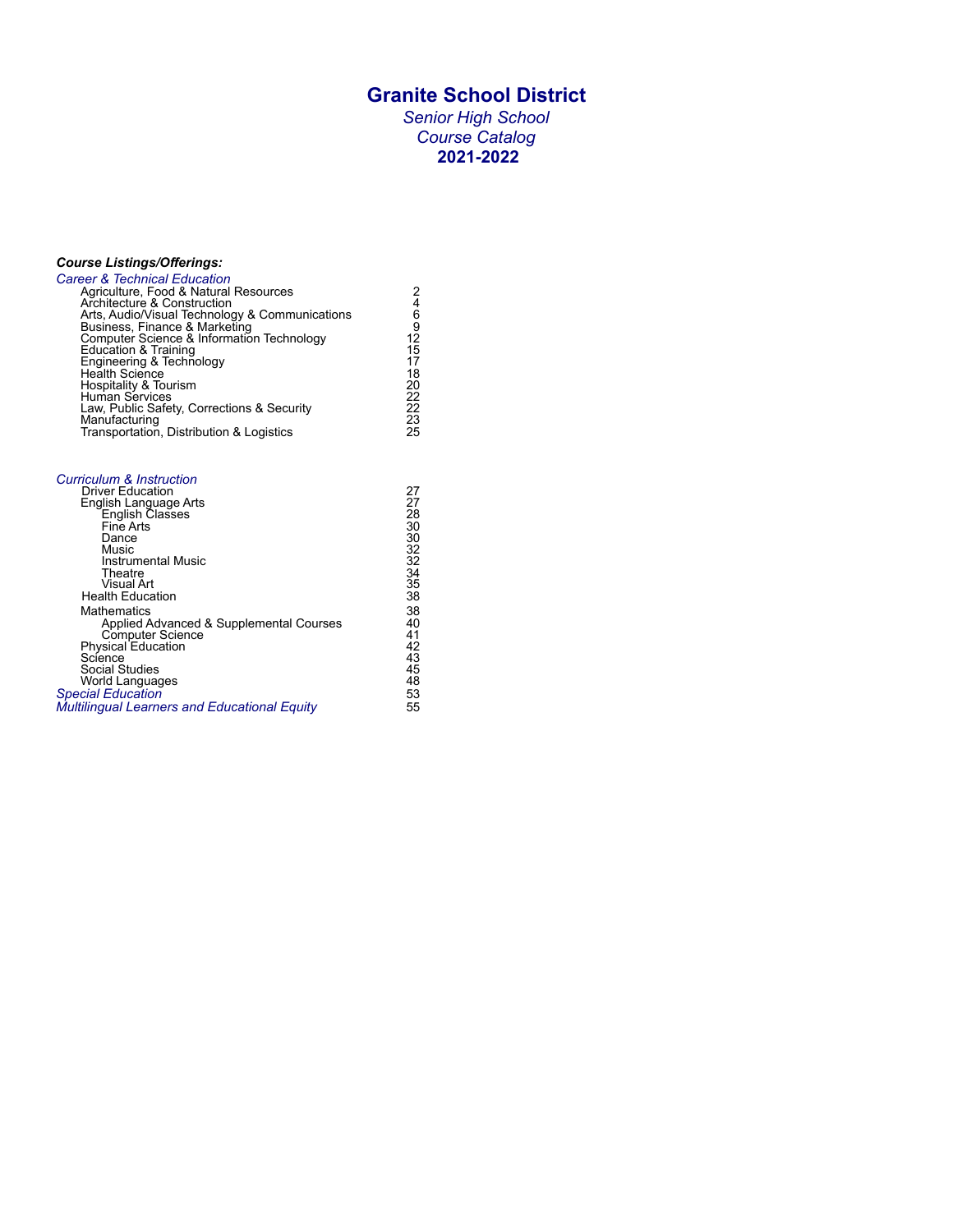# **Granite School District**

*Senior High School Course Catalog* **2021-2022**

# *Course Listings/Offerings:*

| <b>Career &amp; Technical Education</b>        |    |
|------------------------------------------------|----|
| Agriculture, Food & Natural Resources          | 2  |
| Architecture & Construction                    | 4  |
| Arts, Audio/Visual Technology & Communications | 6  |
| Business, Finance & Marketing                  | 9  |
| Computer Science & Information Technology      | 12 |
| Education & Training                           | 15 |
| Engineering & Technology<br>Health Science     | 17 |
|                                                | 18 |
| Hospitality & Tourism                          | 20 |
| Human Services                                 | 22 |
| Law, Public Safety, Corrections & Security     | 22 |
| Manufacturing                                  | 23 |
| Transportation, Distribution & Logistics       | 25 |
|                                                |    |

| <b>Curriculum &amp; Instruction</b>          |    |
|----------------------------------------------|----|
| <b>Driver Education</b>                      | 27 |
| English Language Arts                        | 27 |
| English Classes                              | 28 |
| Fine Arts                                    | 30 |
| Dance                                        | 30 |
| Music                                        | 32 |
| Instrumental Music                           | 32 |
| Theatre                                      | 34 |
| Visual Art                                   | 35 |
| <b>Health Education</b>                      | 38 |
| Mathematics                                  | 38 |
| Applied Advanced & Supplemental Courses      | 40 |
| Computer Science                             | 41 |
| Physical Education                           | 42 |
| Science                                      | 43 |
| <b>Social Studies</b>                        | 45 |
| World Languages                              | 48 |
| <b>Special Education</b>                     | 53 |
| Multilingual Learners and Educational Equity | 55 |
|                                              |    |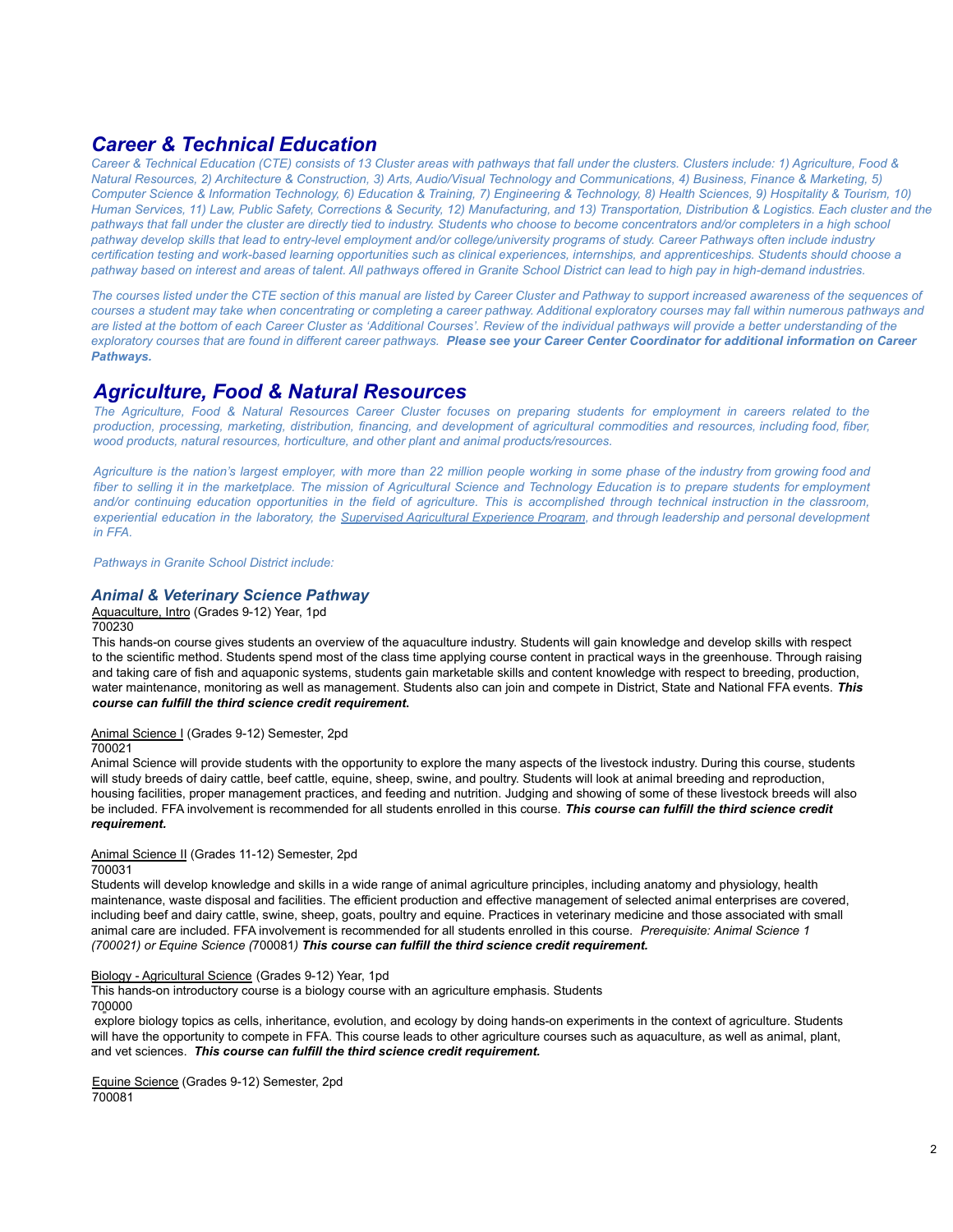# <span id="page-1-0"></span>*Career & Technical Education*

Career & Technical Education (CTE) consists of 13 Cluster areas with pathways that fall under the clusters. Clusters include: 1) Agriculture, Food & Natural Resources, 2) Architecture & Construction, 3) Arts, Audio/Visual Technology and Communications, 4) Business, Finance & Marketing, 5) Computer Science & Information Technology, 6) Education & Training, 7) Engineering & Technology, 8) Health Sciences, 9) Hospitality & Tourism, 10) Human Services, 11) Law, Public Safety, Corrections & Security, 12) Manufacturing, and 13) Transportation, Distribution & Logistics. Each cluster and the pathways that fall under the cluster are directly tied to industry. Students who choose to become concentrators and/or completers in a high school pathway develop skills that lead to entry-level employment and/or college/university programs of study. Career Pathways often include industry certification testing and work-based learning opportunities such as clinical experiences, internships, and apprenticeships. Students should choose a pathway based on interest and areas of talent. All pathways offered in Granite School District can lead to high pay in high-demand industries.

The courses listed under the CTE section of this manual are listed by Career Cluster and Pathway to support increased awareness of the sequences of courses a student may take when concentrating or completing a career pathway. Additional exploratory courses may fall within numerous pathways and are listed at the bottom of each Career Cluster as 'Additional Courses'. Review of the individual pathways will provide a better understanding of the exploratory courses that are found in different career pathways. Please see your Career Center Coordinator for additional information on Career *Pathways.*

# *Agriculture, Food & Natural Resources*

The Agriculture, Food & Natural Resources Career Cluster focuses on preparing students for employment in careers related to the production, processing, marketing, distribution, financing, and development of agricultural commodities and resources, including food, fiber, *wood products, natural resources, horticulture, and other plant and animal products/resources.*

Agriculture is the nation's largest employer, with more than 22 million people working in some phase of the industry from growing food and fiber to selling it in the marketplace. The mission of Agricultural Science and Technology Education is to prepare students for employment and/or continuing education opportunities in the field of agriculture. This is accomplished through technical instruction in the classroom, experiential education in the laboratory, the Supervised Agricultural [Experience](http://www.schools.utah.gov/ate/ag/agr/saep.html) Program, and through leadership and personal development *in FFA.*

*Pathways in Granite School District include:*

# *Animal & Veterinary Science Pathway*

Aquaculture, Intro (Grades 9-12) Year, 1pd

700230

This hands-on course gives students an overview of the aquaculture industry. Students will gain knowledge and develop skills with respect to the scientific method. Students spend most of the class time applying course content in practical ways in the greenhouse. Through raising and taking care of fish and aquaponic systems, students gain marketable skills and content knowledge with respect to breeding, production, water maintenance, monitoring as well as management. Students also can join and compete in District, State and National FFA events. *This course can fulfill the third science credit requirement***.**

# Animal Science I (Grades 9-12) Semester, 2pd

700021

Animal Science will provide students with the opportunity to explore the many aspects of the livestock industry. During this course, students will study breeds of dairy cattle, beef cattle, equine, sheep, swine, and poultry. Students will look at animal breeding and reproduction, housing facilities, proper management practices, and feeding and nutrition. Judging and showing of some of these livestock breeds will also be included. FFA involvement is recommended for all students enrolled in this course. *This course can fulfill the third science credit requirement.*

# Animal Science II (Grades 11-12) Semester, 2pd

700031

Students will develop knowledge and skills in a wide range of animal agriculture principles, including anatomy and physiology, health maintenance, waste disposal and facilities. The efficient production and effective management of selected animal enterprises are covered, including beef and dairy cattle, swine, sheep, goats, poultry and equine. Practices in veterinary medicine and those associated with small animal care are included. FFA involvement is recommended for all students enrolled in this course. *Prerequisite: Animal Science 1 (700021) or Equine Science (*700081*) This course can fulfill the third science credit requirement.*

# Biology - Agricultural Science (Grades 9-12) Year, 1pd

This hands-on introductory course is a biology course with an agriculture emphasis. Students 700000

explore biology topics as cells, inheritance, evolution, and ecology by doing hands-on experiments in the context of agriculture. Students will have the opportunity to compete in FFA. This course leads to other agriculture courses such as aquaculture, as well as animal, plant, and vet sciences. *This course can fulfill the third science credit requirement.*

Equine Science (Grades 9-12) Semester, 2pd 700081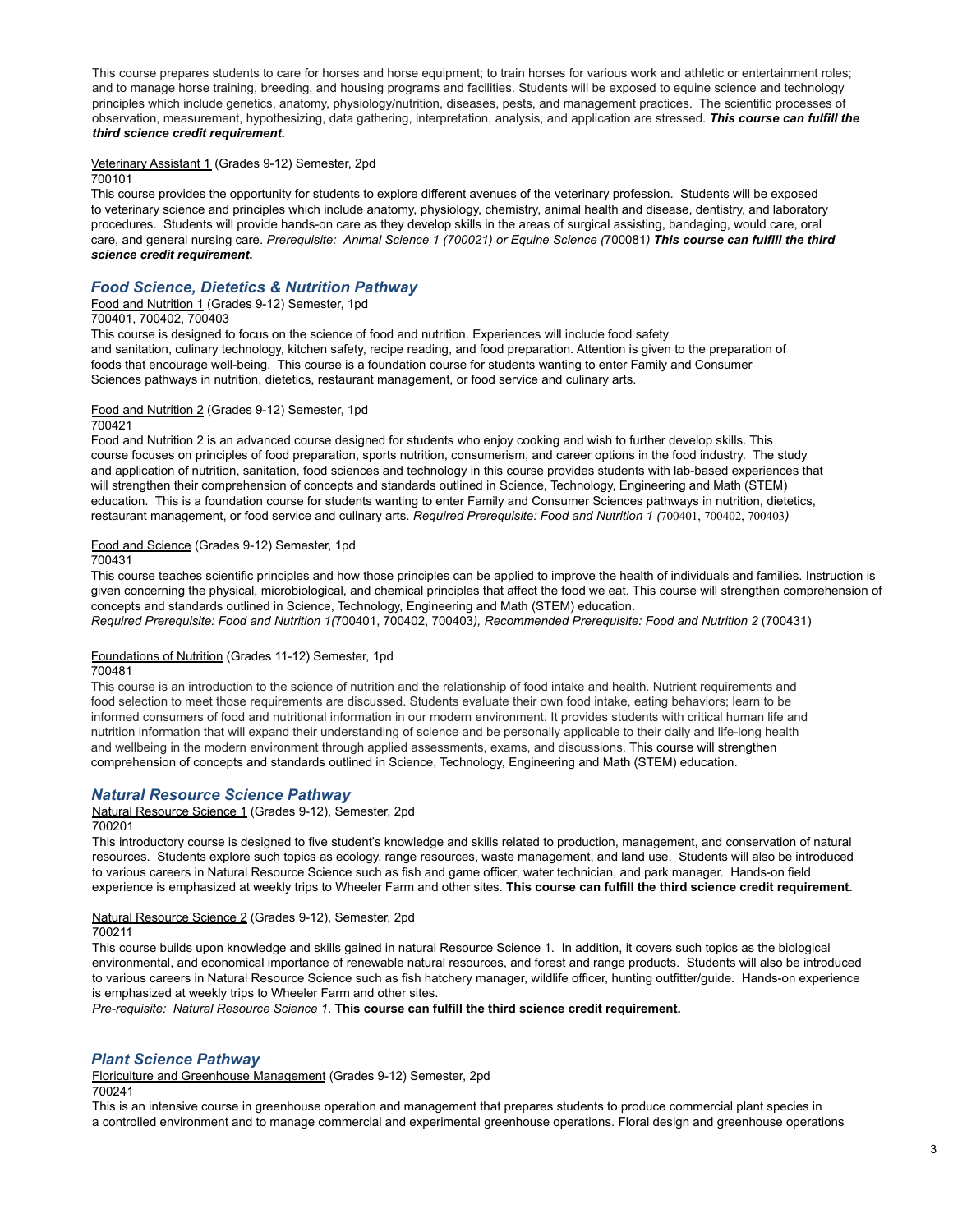This course prepares students to care for horses and horse equipment; to train horses for various work and athletic or entertainment roles; and to manage horse training, breeding, and housing programs and facilities. Students will be exposed to equine science and technology principles which include genetics, anatomy, physiology/nutrition, diseases, pests, and management practices. The scientific processes of observation, measurement, hypothesizing, data gathering, interpretation, analysis, and application are stressed. *This course can fulfill the third science credit requirement***.**

### Veterinary Assistant 1 (Grades 9-12) Semester, 2pd

### 700101

This course provides the opportunity for students to explore different avenues of the veterinary profession. Students will be exposed to veterinary science and principles which include anatomy, physiology, chemistry, animal health and disease, dentistry, and laboratory procedures. Students will provide hands-on care as they develop skills in the areas of surgical assisting, bandaging, would care, oral care, and general nursing care. Prerequisite: Animal Science 1 (700021) or Equine Science (700081) This course can fulfill the third *science credit requirement***.**

# *Food Science, Dietetics & Nutrition Pathway*

### Food and Nutrition 1 (Grades 9-12) Semester, 1pd

### 700401, 700402, 700403

This course is designed to focus on the science of food and nutrition. Experiences will include food safety and sanitation, culinary technology, kitchen safety, recipe reading, and food preparation. Attention is given to the preparation of foods that encourage well-being. This course is a foundation course for students wanting to enter Family and Consumer Sciences pathways in nutrition, dietetics, restaurant management, or food service and culinary arts.

### Food and Nutrition 2 (Grades 9-12) Semester, 1pd

### 700421

Food and Nutrition 2 is an advanced course designed for students who enjoy cooking and wish to further develop skills. This course focuses on principles of food preparation, sports nutrition, consumerism, and career options in the food industry. The study and application of nutrition, sanitation, food sciences and technology in this course provides students with lab-based experiences that will strengthen their comprehension of concepts and standards outlined in Science, Technology, Engineering and Math (STEM) education. This is a foundation course for students wanting to enter Family and Consumer Sciences pathways in nutrition, dietetics, restaurant management, or food service and culinary arts. *Required Prerequisite: Food and Nutrition 1 (*700401, 700402, 700403*)*

### Food and Science (Grades 9-12) Semester, 1pd

700431

This course teaches scientific principles and how those principles can be applied to improve the health of individuals and families. Instruction is given concerning the physical, microbiological, and chemical principles that affect the food we eat. This course will strengthen comprehension of concepts and standards outlined in Science, Technology, Engineering and Math (STEM) education. *Required Prerequisite: Food and Nutrition 1(*700401, 700402, 700403*), Recommended Prerequisite: Food and Nutrition 2* (700431)

### Foundations of Nutrition (Grades 11-12) Semester, 1pd

### 700481

This course is an introduction to the science of nutrition and the relationship of food intake and health. Nutrient requirements and food selection to meet those requirements are discussed. Students evaluate their own food intake, eating behaviors; learn to be informed consumers of food and nutritional information in our modern environment. It provides students with critical human life and nutrition information that will expand their understanding of science and be personally applicable to their daily and life-long health and wellbeing in the modern environment through applied assessments, exams, and discussions. This course will strengthen comprehension of concepts and standards outlined in Science, Technology, Engineering and Math (STEM) education.

### *Natural Resource Science Pathway*

### Natural Resource Science 1 (Grades 9-12), Semester, 2pd

700201

This introductory course is designed to five student's knowledge and skills related to production, management, and conservation of natural resources. Students explore such topics as ecology, range resources, waste management, and land use. Students will also be introduced to various careers in Natural Resource Science such as fish and game officer, water technician, and park manager. Hands-on field experience is emphasized at weekly trips to Wheeler Farm and other sites. **This course can fulfill the third science credit requirement.**

### Natural Resource Science 2 (Grades 9-12), Semester, 2pd

# 700211

This course builds upon knowledge and skills gained in natural Resource Science 1. In addition, it covers such topics as the biological environmental, and economical importance of renewable natural resources, and forest and range products. Students will also be introduced to various careers in Natural Resource Science such as fish hatchery manager, wildlife officer, hunting outfitter/guide. Hands-on experience is emphasized at weekly trips to Wheeler Farm and other sites.

*Pre-requisite: Natural Resource Science 1*. **This course can fulfill the third science credit requirement.**

# *Plant Science Pathway*

Floriculture and Greenhouse Management (Grades 9-12) Semester, 2pd

### 700241

This is an intensive course in greenhouse operation and management that prepares students to produce commercial plant species in a controlled environment and to manage commercial and experimental greenhouse operations. Floral design and greenhouse operations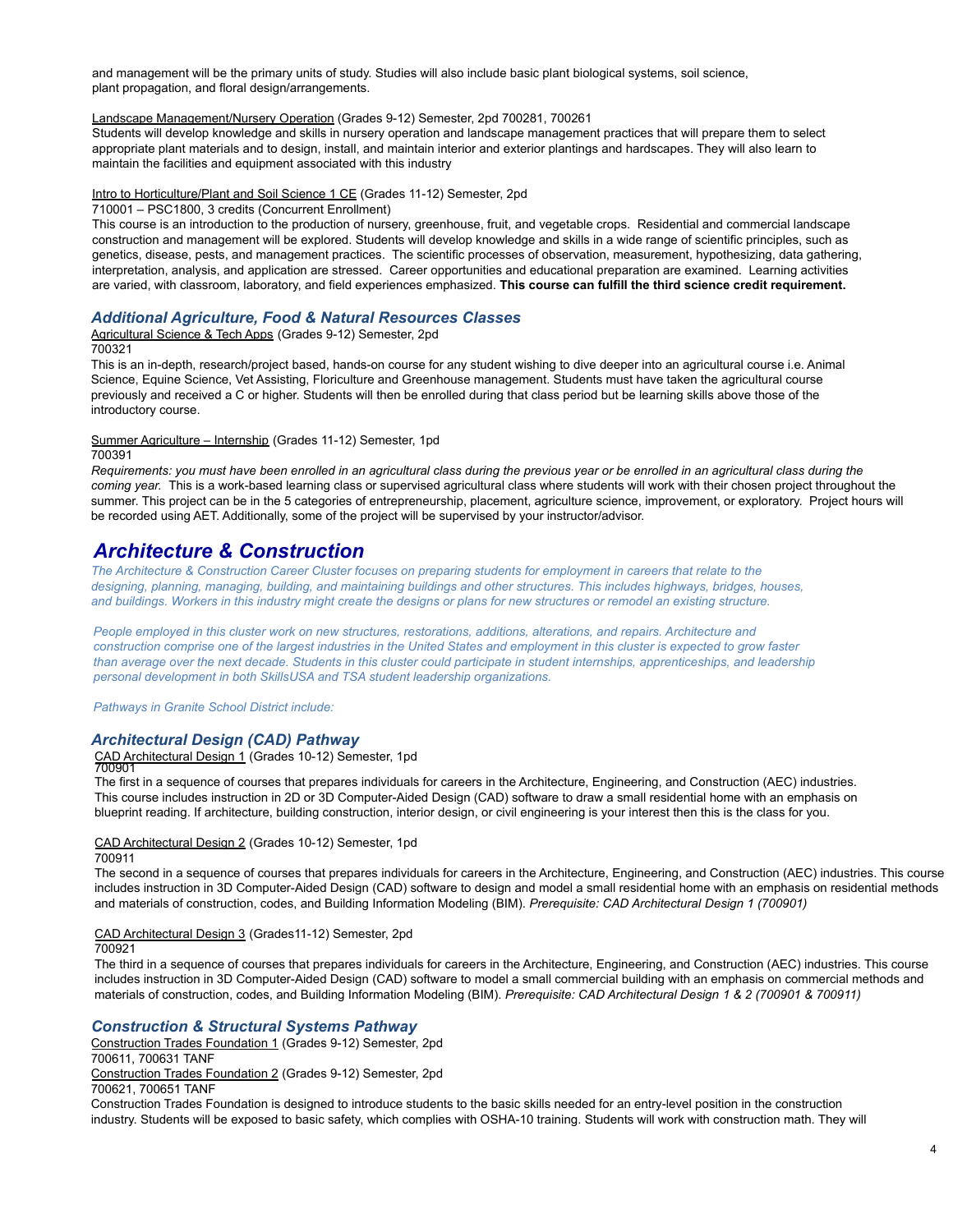and management will be the primary units of study. Studies will also include basic plant biological systems, soil science, plant propagation, and floral design/arrangements.

### Landscape Management/Nursery Operation (Grades 9-12) Semester, 2pd 700281, 700261

Students will develop knowledge and skills in nursery operation and landscape management practices that will prepare them to select appropriate plant materials and to design, install, and maintain interior and exterior plantings and hardscapes. They will also learn to maintain the facilities and equipment associated with this industry

### Intro to Horticulture/Plant and Soil Science 1 CE (Grades 11-12) Semester, 2pd

### 710001 – PSC1800, 3 credits (Concurrent Enrollment)

This course is an introduction to the production of nursery, greenhouse, fruit, and vegetable crops. Residential and commercial landscape construction and management will be explored. Students will develop knowledge and skills in a wide range of scientific principles, such as genetics, disease, pests, and management practices. The scientific processes of observation, measurement, hypothesizing, data gathering, interpretation, analysis, and application are stressed. Career opportunities and educational preparation are examined. Learning activities are varied, with classroom, laboratory, and field experiences emphasized. **This course can fulfill the third science credit requirement.**

# *Additional Agriculture, Food & Natural Resources Classes*

Agricultural Science & Tech Apps (Grades 9-12) Semester, 2pd 700321

This is an in-depth, research/project based, hands-on course for any student wishing to dive deeper into an agricultural course i.e. Animal Science, Equine Science, Vet Assisting, Floriculture and Greenhouse management. Students must have taken the agricultural course previously and received a C or higher. Students will then be enrolled during that class period but be learning skills above those of the introductory course.

### Summer Agriculture – Internship (Grades 11-12) Semester, 1pd

### 700391

Requirements: you must have been enrolled in an agricultural class during the previous year or be enrolled in an agricultural class during the *coming year.* This is a work-based learning class or supervised agricultural class where students will work with their chosen project throughout the summer. This project can be in the 5 categories of entrepreneurship, placement, agriculture science, improvement, or exploratory. Project hours will be recorded using AET. Additionally, some of the project will be supervised by your instructor/advisor.

# *Architecture & Construction*

The Architecture & Construction Career Cluster focuses on preparing students for employment in careers that relate to the designing, planning, managing, building, and maintaining buildings and other structures. This includes highways, bridges, houses, and buildings. Workers in this industry might create the designs or plans for new structures or remodel an existing structure.

People employed in this cluster work on new structures, restorations, additions, alterations, and repairs. Architecture and construction comprise one of the largest industries in the United States and employment in this cluster is expected to grow faster than average over the next decade. Students in this cluster could participate in student internships, apprenticeships, and leadership *personal development in both SkillsUSA and TSA student leadership organizations.*

*Pathways in Granite School District include:*

### *Architectural Design (CAD) Pathway*

# CAD Architectural Design 1 (Grades 10-12) Semester, 1pd<br>700901

The first in a sequence of courses that prepares individuals for careers in the Architecture, Engineering, and Construction (AEC) industries. This course includes instruction in 2D or 3D Computer-Aided Design (CAD) software to draw a small residential home with an emphasis on blueprint reading. If architecture, building construction, interior design, or civil engineering is your interest then this is the class for you.

### CAD Architectural Design 2 (Grades 10-12) Semester, 1pd

### 700911

The second in a sequence of courses that prepares individuals for careers in the Architecture, Engineering, and Construction (AEC) industries. This course includes instruction in 3D Computer-Aided Design (CAD) software to design and model a small residential home with an emphasis on residential methods and materials of construction, codes, and Building Information Modeling (BIM). *Prerequisite: CAD Architectural Design 1 (700901)*

### CAD Architectural Design 3 (Grades11-12) Semester, 2pd

### 700921

The third in a sequence of courses that prepares individuals for careers in the Architecture, Engineering, and Construction (AEC) industries. This course includes instruction in 3D Computer-Aided Design (CAD) software to model a small commercial building with an emphasis on commercial methods and materials of construction, codes, and Building Information Modeling (BIM). *Prerequisite: CAD Architectural Design 1 & 2 (700901 & 700911)*

## *Construction & Structural Systems Pathway*

Construction Trades Foundation 1 (Grades 9-12) Semester, 2pd 700611, 700631 TANF Construction Trades Foundation 2 (Grades 9-12) Semester, 2pd 700621, 700651 TANF

Construction Trades Foundation is designed to introduce students to the basic skills needed for an entry-level position in the construction industry. Students will be exposed to basic safety, which complies with OSHA-10 training. Students will work with construction math. They will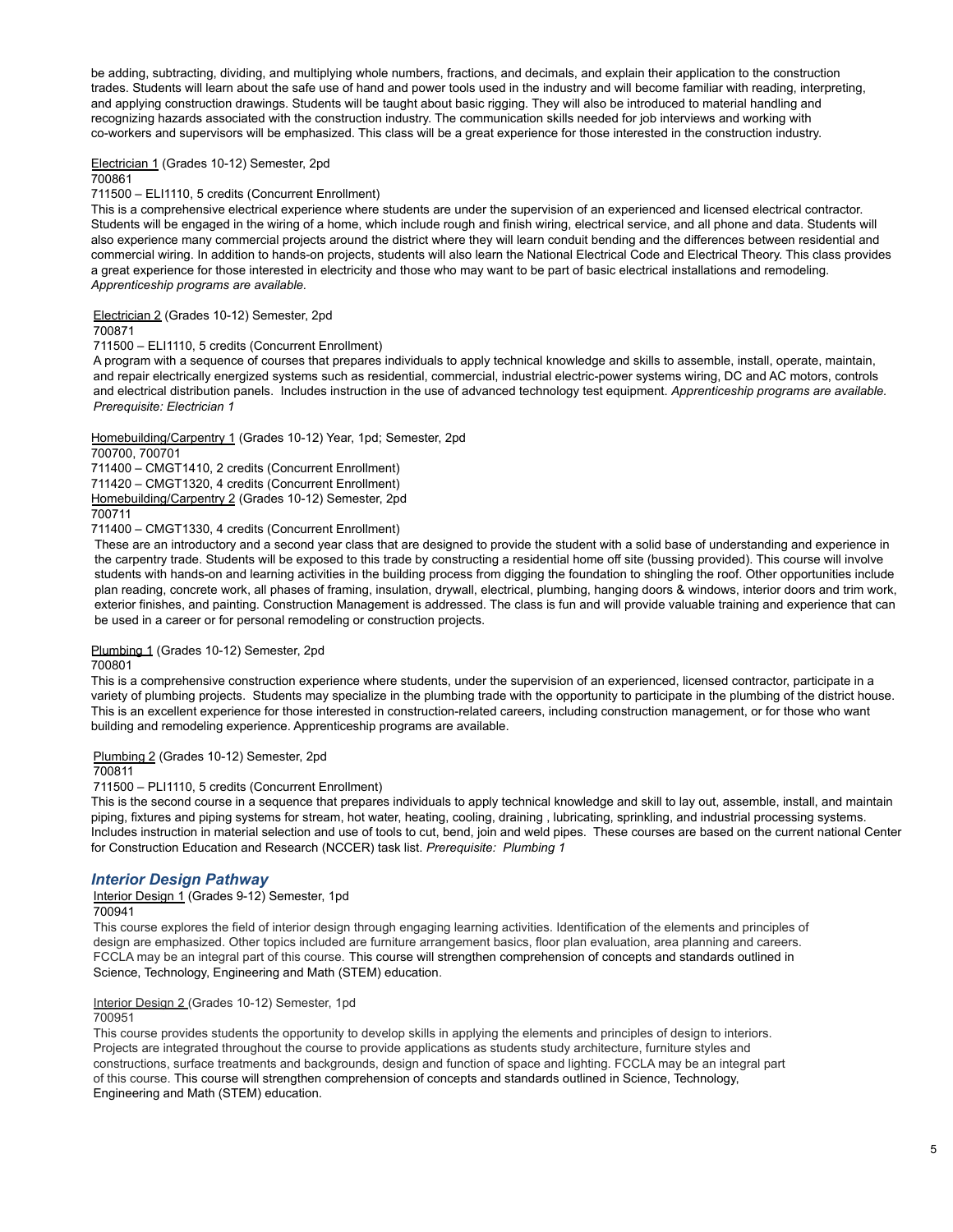be adding, subtracting, dividing, and multiplying whole numbers, fractions, and decimals, and explain their application to the construction trades. Students will learn about the safe use of hand and power tools used in the industry and will become familiar with reading, interpreting, and applying construction drawings. Students will be taught about basic rigging. They will also be introduced to material handling and recognizing hazards associated with the construction industry. The communication skills needed for job interviews and working with co-workers and supervisors will be emphasized. This class will be a great experience for those interested in the construction industry.

# Electrician 1 (Grades 10-12) Semester, 2pd

700861

### 711500 – ELI1110, 5 credits (Concurrent Enrollment)

This is a comprehensive electrical experience where students are under the supervision of an experienced and licensed electrical contractor. Students will be engaged in the wiring of a home, which include rough and finish wiring, electrical service, and all phone and data. Students will also experience many commercial projects around the district where they will learn conduit bending and the differences between residential and commercial wiring. In addition to hands-on projects, students will also learn the National Electrical Code and Electrical Theory. This class provides a great experience for those interested in electricity and those who may want to be part of basic electrical installations and remodeling. *Apprenticeship programs are available.*

### Electrician 2 (Grades 10-12) Semester, 2pd

700871

711500 – ELI1110, 5 credits (Concurrent Enrollment)

A program with a sequence of courses that prepares individuals to apply technical knowledge and skills to assemble, install, operate, maintain, and repair electrically energized systems such as residential, commercial, industrial electric-power systems wiring, DC and AC motors, controls and electrical distribution panels. Includes instruction in the use of advanced technology test equipment. *Apprenticeship programs are available. Prerequisite: Electrician 1*

Homebuilding/Carpentry 1 (Grades 10-12) Year, 1pd; Semester, 2pd

### 700700, 700701

711400 – CMGT1410, 2 credits (Concurrent Enrollment) 711420 – CMGT1320, 4 credits (Concurrent Enrollment) Homebuilding/Carpentry 2 (Grades 10-12) Semester, 2pd 700711

711400 – CMGT1330, 4 credits (Concurrent Enrollment)

These are an introductory and a second year class that are designed to provide the student with a solid base of understanding and experience in the carpentry trade. Students will be exposed to this trade by constructing a residential home off site (bussing provided). This course will involve students with hands-on and learning activities in the building process from digging the foundation to shingling the roof. Other opportunities include plan reading, concrete work, all phases of framing, insulation, drywall, electrical, plumbing, hanging doors & windows, interior doors and trim work, exterior finishes, and painting. Construction Management is addressed. The class is fun and will provide valuable training and experience that can be used in a career or for personal remodeling or construction projects.

### Plumbing 1 (Grades 10-12) Semester, 2pd

700801

This is a comprehensive construction experience where students, under the supervision of an experienced, licensed contractor, participate in a variety of plumbing projects. Students may specialize in the plumbing trade with the opportunity to participate in the plumbing of the district house. This is an excellent experience for those interested in construction-related careers, including construction management, or for those who want building and remodeling experience. Apprenticeship programs are available.

### Plumbing 2 (Grades 10-12) Semester, 2pd

700811

711500 – PLI1110, 5 credits (Concurrent Enrollment)

This is the second course in a sequence that prepares individuals to apply technical knowledge and skill to lay out, assemble, install, and maintain piping, fixtures and piping systems for stream, hot water, heating, cooling, draining , lubricating, sprinkling, and industrial processing systems. Includes instruction in material selection and use of tools to cut, bend, join and weld pipes. These courses are based on the current national Center for Construction Education and Research (NCCER) task list. *Prerequisite: Plumbing 1*

# *Interior Design Pathway*

Interior Design 1 (Grades 9-12) Semester, 1pd

# 700941

This course explores the field of interior design through engaging learning activities. Identification of the elements and principles of design are emphasized. Other topics included are furniture arrangement basics, floor plan evaluation, area planning and careers. FCCLA may be an integral part of this course. This course will strengthen comprehension of concepts and standards outlined in Science, Technology, Engineering and Math (STEM) education.

# Interior Design 2 (Grades 10-12) Semester, 1pd

### 700951

This course provides students the opportunity to develop skills in applying the elements and principles of design to interiors. Projects are integrated throughout the course to provide applications as students study architecture, furniture styles and constructions, surface treatments and backgrounds, design and function of space and lighting. FCCLA may be an integral part of this course. This course will strengthen comprehension of concepts and standards outlined in Science, Technology, Engineering and Math (STEM) education.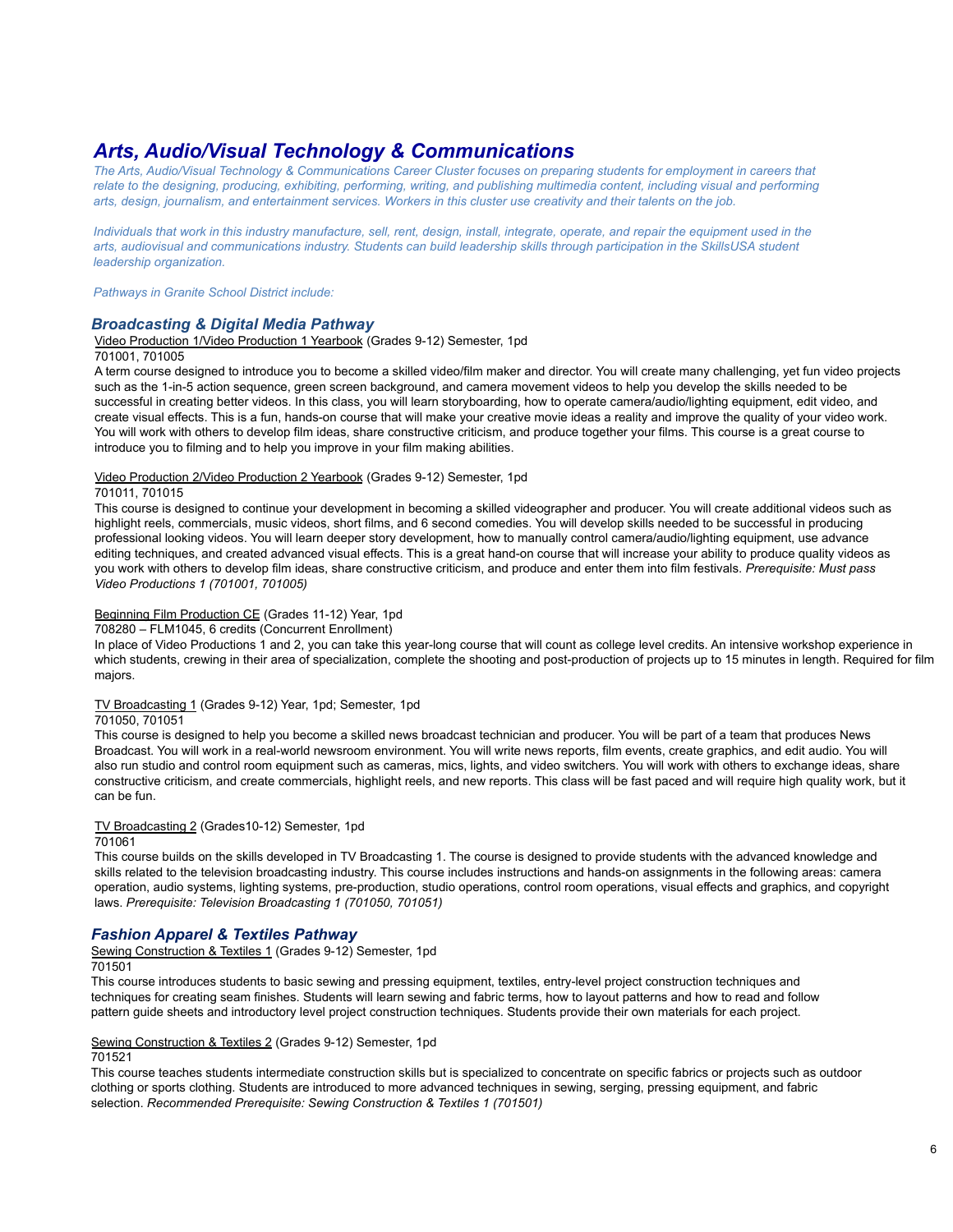# *Arts, Audio/Visual Technology & Communications*

The Arts. Audio/Visual Technology & Communications Career Cluster focuses on preparing students for employment in careers that relate to the designing, producing, exhibiting, performing, writing, and publishing multimedia content, including visual and performing arts, design, journalism, and entertainment services. Workers in this cluster use creativity and their talents on the job.

Individuals that work in this industry manufacture, sell, rent, design, install, integrate, operate, and repair the equipment used in the arts, audiovisual and communications industry. Students can build leadership skills through participation in the SkillsUSA student *leadership organization.*

*Pathways in Granite School District include:*

# *Broadcasting & Digital Media Pathway*

Video Production 1/Video Production 1 Yearbook (Grades 9-12) Semester, 1pd

701001, 701005

A term course designed to introduce you to become a skilled video/film maker and director. You will create many challenging, yet fun video projects such as the 1-in-5 action sequence, green screen background, and camera movement videos to help you develop the skills needed to be successful in creating better videos. In this class, you will learn storyboarding, how to operate camera/audio/lighting equipment, edit video, and create visual effects. This is a fun, hands-on course that will make your creative movie ideas a reality and improve the quality of your video work. You will work with others to develop film ideas, share constructive criticism, and produce together your films. This course is a great course to introduce you to filming and to help you improve in your film making abilities.

### Video Production 2/Video Production 2 Yearbook (Grades 9-12) Semester, 1pd

### 701011, 701015

This course is designed to continue your development in becoming a skilled videographer and producer. You will create additional videos such as highlight reels, commercials, music videos, short films, and 6 second comedies. You will develop skills needed to be successful in producing professional looking videos. You will learn deeper story development, how to manually control camera/audio/lighting equipment, use advance editing techniques, and created advanced visual effects. This is a great hand-on course that will increase your ability to produce quality videos as you work with others to develop film ideas, share constructive criticism, and produce and enter them into film festivals. *Prerequisite: Must pass Video Productions 1 (701001, 701005)*

### Beginning Film Production CE (Grades 11-12) Year, 1pd

708280 – FLM1045, 6 credits (Concurrent Enrollment)

In place of Video Productions 1 and 2, you can take this year-long course that will count as college level credits. An intensive workshop experience in which students, crewing in their area of specialization, complete the shooting and post-production of projects up to 15 minutes in length. Required for film majors.

### TV Broadcasting 1 (Grades 9-12) Year, 1pd; Semester, 1pd

### 701050, 701051

This course is designed to help you become a skilled news broadcast technician and producer. You will be part of a team that produces News Broadcast. You will work in a real-world newsroom environment. You will write news reports, film events, create graphics, and edit audio. You will also run studio and control room equipment such as cameras, mics, lights, and video switchers. You will work with others to exchange ideas, share constructive criticism, and create commercials, highlight reels, and new reports. This class will be fast paced and will require high quality work, but it can be fun.

### TV Broadcasting 2 (Grades10-12) Semester, 1pd

701061

This course builds on the skills developed in TV Broadcasting 1. The course is designed to provide students with the advanced knowledge and skills related to the television broadcasting industry. This course includes instructions and hands-on assignments in the following areas: camera operation, audio systems, lighting systems, pre-production, studio operations, control room operations, visual effects and graphics, and copyright laws. *Prerequisite: Television Broadcasting 1 (701050, 701051)*

# *Fashion Apparel & Textiles Pathway*

Sewing Construction & Textiles 1 (Grades 9-12) Semester, 1pd 701501

This course introduces students to basic sewing and pressing equipment, textiles, entry-level project construction techniques and techniques for creating seam finishes. Students will learn sewing and fabric terms, how to layout patterns and how to read and follow pattern guide sheets and introductory level project construction techniques. Students provide their own materials for each project.

# Sewing Construction & Textiles 2 (Grades 9-12) Semester, 1pd

# 701521

This course teaches students intermediate construction skills but is specialized to concentrate on specific fabrics or projects such as outdoor clothing or sports clothing. Students are introduced to more advanced techniques in sewing, serging, pressing equipment, and fabric selection. *Recommended Prerequisite: Sewing Construction & Textiles 1 (701501)*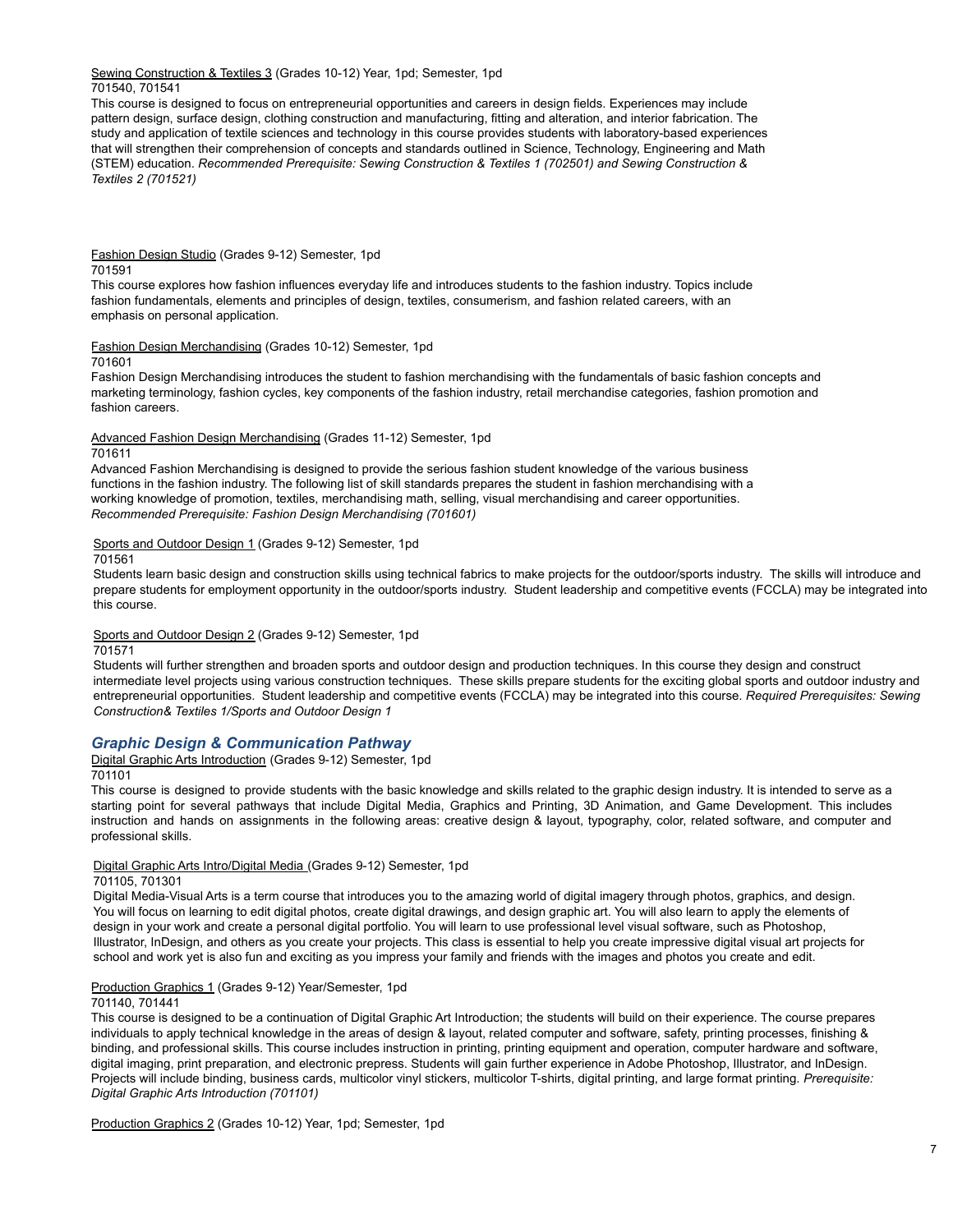Sewing Construction & Textiles 3 (Grades 10-12) Year, 1pd; Semester, 1pd 701540, 701541

This course is designed to focus on entrepreneurial opportunities and careers in design fields. Experiences may include pattern design, surface design, clothing construction and manufacturing, fitting and alteration, and interior fabrication. The study and application of textile sciences and technology in this course provides students with laboratory-based experiences that will strengthen their comprehension of concepts and standards outlined in Science, Technology, Engineering and Math (STEM) education. *Recommended Prerequisite: Sewing Construction & Textiles 1 (702501) and Sewing Construction & Textiles 2 (701521)*

Fashion Design Studio (Grades 9-12) Semester, 1pd 701591

This course explores how fashion influences everyday life and introduces students to the fashion industry. Topics include fashion fundamentals, elements and principles of design, textiles, consumerism, and fashion related careers, with an emphasis on personal application.

Fashion Design Merchandising (Grades 10-12) Semester, 1pd

701601

Fashion Design Merchandising introduces the student to fashion merchandising with the fundamentals of basic fashion concepts and marketing terminology, fashion cycles, key components of the fashion industry, retail merchandise categories, fashion promotion and fashion careers.

Advanced Fashion Design Merchandising (Grades 11-12) Semester, 1pd

### 701611

Advanced Fashion Merchandising is designed to provide the serious fashion student knowledge of the various business functions in the fashion industry. The following list of skill standards prepares the student in fashion merchandising with a working knowledge of promotion, textiles, merchandising math, selling, visual merchandising and career opportunities. *Recommended Prerequisite: Fashion Design Merchandising (701601)*

### Sports and Outdoor Design 1 (Grades 9-12) Semester, 1pd

701561

Students learn basic design and construction skills using technical fabrics to make projects for the outdoor/sports industry. The skills will introduce and prepare students for employment opportunity in the outdoor/sports industry. Student leadership and competitive events (FCCLA) may be integrated into this course.

# Sports and Outdoor Design 2 (Grades 9-12) Semester, 1pd

### 701571

Students will further strengthen and broaden sports and outdoor design and production techniques. In this course they design and construct intermediate level projects using various construction techniques. These skills prepare students for the exciting global sports and outdoor industry and entrepreneurial opportunities. Student leadership and competitive events (FCCLA) may be integrated into this course. *Required Prerequisites: Sewing Construction& Textiles 1/Sports and Outdoor Design 1*

# *Graphic Design & Communication Pathway*

Digital Graphic Arts Introduction (Grades 9-12) Semester, 1pd

### 701101

This course is designed to provide students with the basic knowledge and skills related to the graphic design industry. It is intended to serve as a starting point for several pathways that include Digital Media, Graphics and Printing, 3D Animation, and Game Development. This includes instruction and hands on assignments in the following areas: creative design & layout, typography, color, related software, and computer and professional skills.

### Digital Graphic Arts Intro/Digital Media (Grades 9-12) Semester, 1pd

### 701105, 701301

Digital Media-Visual Arts is a term course that introduces you to the amazing world of digital imagery through photos, graphics, and design. You will focus on learning to edit digital photos, create digital drawings, and design graphic art. You will also learn to apply the elements of design in your work and create a personal digital portfolio. You will learn to use professional level visual software, such as Photoshop, Illustrator, InDesign, and others as you create your projects. This class is essential to help you create impressive digital visual art projects for school and work yet is also fun and exciting as you impress your family and friends with the images and photos you create and edit.

### Production Graphics 1 (Grades 9-12) Year/Semester, 1pd

### 701140, 701441

This course is designed to be a continuation of Digital Graphic Art Introduction; the students will build on their experience. The course prepares individuals to apply technical knowledge in the areas of design & layout, related computer and software, safety, printing processes, finishing & binding, and professional skills. This course includes instruction in printing, printing equipment and operation, computer hardware and software, digital imaging, print preparation, and electronic prepress. Students will gain further experience in Adobe Photoshop, Illustrator, and InDesign. Projects will include binding, business cards, multicolor vinyl stickers, multicolor T-shirts, digital printing, and large format printing. *Prerequisite: Digital Graphic Arts Introduction (701101)*

Production Graphics 2 (Grades 10-12) Year, 1pd; Semester, 1pd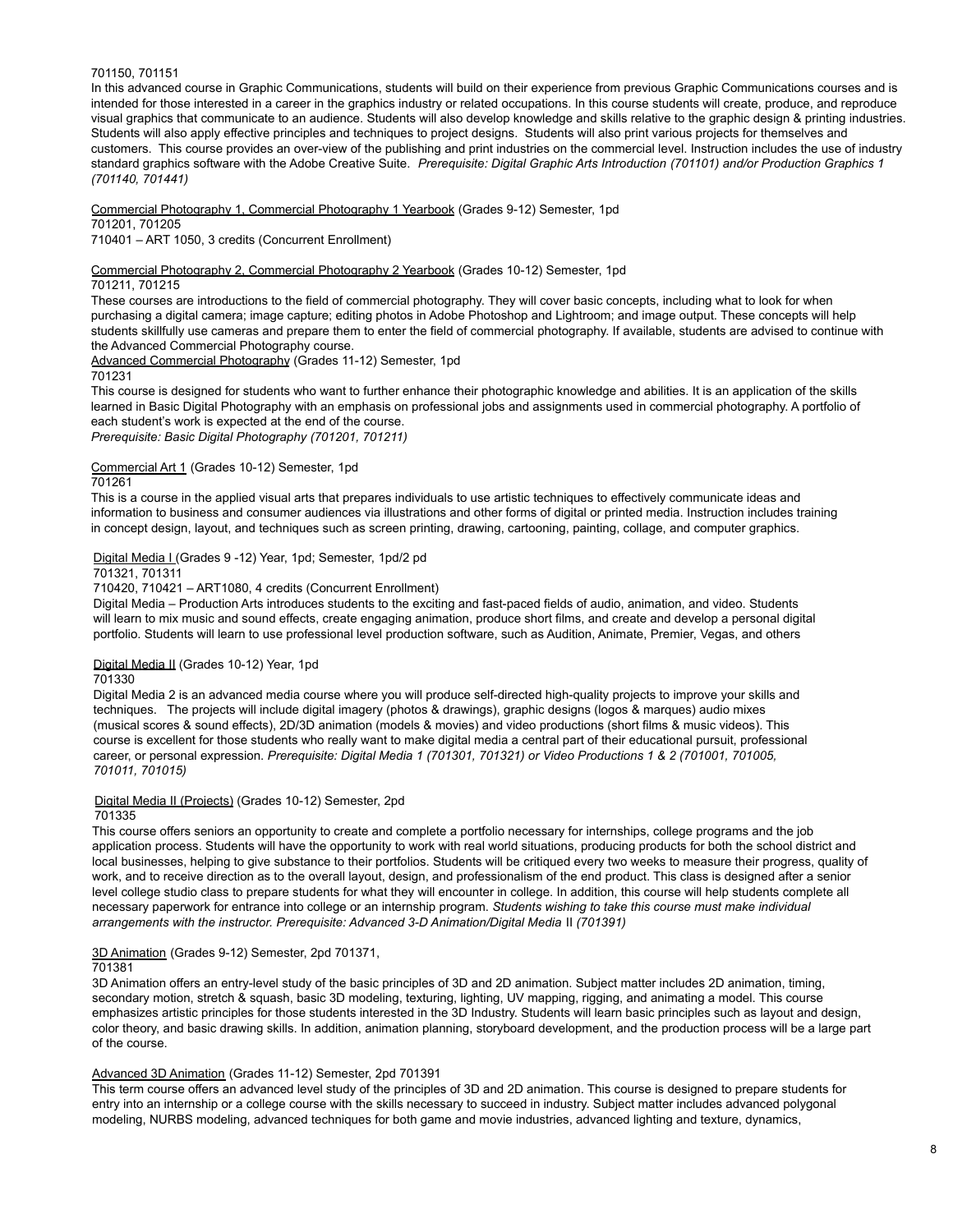### 701150, 701151

In this advanced course in Graphic Communications, students will build on their experience from previous Graphic Communications courses and is intended for those interested in a career in the graphics industry or related occupations. In this course students will create, produce, and reproduce visual graphics that communicate to an audience. Students will also develop knowledge and skills relative to the graphic design & printing industries. Students will also apply effective principles and techniques to project designs. Students will also print various projects for themselves and customers. This course provides an over-view of the publishing and print industries on the commercial level. Instruction includes the use of industry standard graphics software with the Adobe Creative Suite. *Prerequisite: Digital Graphic Arts Introduction (701101) and/or Production Graphics 1 (701140, 701441)*

Commercial Photography 1, Commercial Photography 1 Yearbook (Grades 9-12) Semester, 1pd

701201, 701205

710401 – ART 1050, 3 credits (Concurrent Enrollment)

Commercial Photography 2, Commercial Photography 2 Yearbook (Grades 10-12) Semester, 1pd

701211, 701215

These courses are introductions to the field of commercial photography. They will cover basic concepts, including what to look for when purchasing a digital camera; image capture; editing photos in Adobe Photoshop and Lightroom; and image output. These concepts will help students skillfully use cameras and prepare them to enter the field of commercial photography. If available, students are advised to continue with the Advanced Commercial Photography course.

Advanced Commercial Photography (Grades 11-12) Semester, 1pd

### 701231

This course is designed for students who want to further enhance their photographic knowledge and abilities. It is an application of the skills learned in Basic Digital Photography with an emphasis on professional jobs and assignments used in commercial photography. A portfolio of each student's work is expected at the end of the course.

*Prerequisite: Basic Digital Photography (701201, 701211)*

Commercial Art 1 (Grades 10-12) Semester, 1pd

701261

This is a course in the applied visual arts that prepares individuals to use artistic techniques to effectively communicate ideas and information to business and consumer audiences via illustrations and other forms of digital or printed media. Instruction includes training in concept design, layout, and techniques such as screen printing, drawing, cartooning, painting, collage, and computer graphics.

### Digital Media I (Grades 9 -12) Year, 1pd; Semester, 1pd/2 pd

701321, 701311

710420, 710421 – ART1080, 4 credits (Concurrent Enrollment)

Digital Media – Production Arts introduces students to the exciting and fast-paced fields of audio, animation, and video. Students will learn to mix music and sound effects, create engaging animation, produce short films, and create and develop a personal digital portfolio. Students will learn to use professional level production software, such as Audition, Animate, Premier, Vegas, and others

# Digital Media II (Grades 10-12) Year, 1pd

701330

Digital Media 2 is an advanced media course where you will produce self-directed high-quality projects to improve your skills and techniques. The projects will include digital imagery (photos & drawings), graphic designs (logos & marques) audio mixes (musical scores & sound effects), 2D/3D animation (models & movies) and video productions (short films & music videos). This course is excellent for those students who really want to make digital media a central part of their educational pursuit, professional career, or personal expression. *Prerequisite: Digital Media 1 (701301, 701321) or Video Productions 1 & 2 (701001, 701005, 701011, 701015)*

Digital Media II (Projects) (Grades 10-12) Semester, 2pd

### 701335

This course offers seniors an opportunity to create and complete a portfolio necessary for internships, college programs and the job application process. Students will have the opportunity to work with real world situations, producing products for both the school district and local businesses, helping to give substance to their portfolios. Students will be critiqued every two weeks to measure their progress, quality of work, and to receive direction as to the overall layout, design, and professionalism of the end product. This class is designed after a senior level college studio class to prepare students for what they will encounter in college. In addition, this course will help students complete all necessary paperwork for entrance into college or an internship program. *Students wishing to take this course must make individual arrangements with the instructor. Prerequisite: Advanced 3-D Animation/Digital Media* II *(701391)*

### 3D Animation (Grades 9-12) Semester, 2pd 701371,

# 701381

3D Animation offers an entry-level study of the basic principles of 3D and 2D animation. Subject matter includes 2D animation, timing, secondary motion, stretch & squash, basic 3D modeling, texturing, lighting, UV mapping, rigging, and animating a model. This course emphasizes artistic principles for those students interested in the 3D Industry. Students will learn basic principles such as layout and design, color theory, and basic drawing skills. In addition, animation planning, storyboard development, and the production process will be a large part of the course.

### Advanced 3D Animation (Grades 11-12) Semester, 2pd 701391

This term course offers an advanced level study of the principles of 3D and 2D animation. This course is designed to prepare students for entry into an internship or a college course with the skills necessary to succeed in industry. Subject matter includes advanced polygonal modeling, NURBS modeling, advanced techniques for both game and movie industries, advanced lighting and texture, dynamics,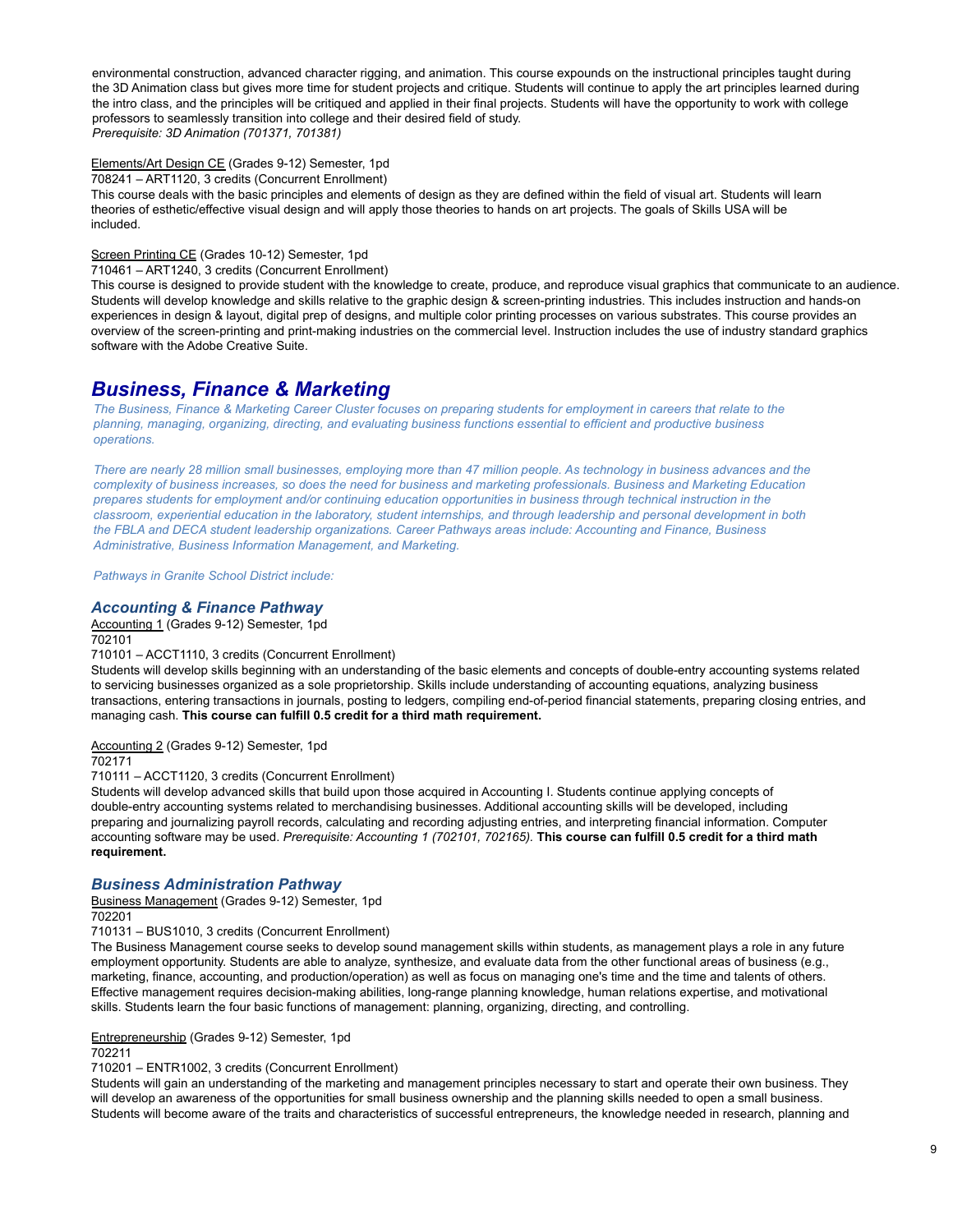environmental construction, advanced character rigging, and animation. This course expounds on the instructional principles taught during the 3D Animation class but gives more time for student projects and critique. Students will continue to apply the art principles learned during the intro class, and the principles will be critiqued and applied in their final projects. Students will have the opportunity to work with college professors to seamlessly transition into college and their desired field of study. *Prerequisite: 3D Animation (701371, 701381)*

### Elements/Art Design CE (Grades 9-12) Semester, 1pd

708241 – ART1120, 3 credits (Concurrent Enrollment)

This course deals with the basic principles and elements of design as they are defined within the field of visual art. Students will learn theories of esthetic/effective visual design and will apply those theories to hands on art projects. The goals of Skills USA will be included.

# Screen Printing CE (Grades 10-12) Semester, 1pd

710461 – ART1240, 3 credits (Concurrent Enrollment)

This course is designed to provide student with the knowledge to create, produce, and reproduce visual graphics that communicate to an audience. Students will develop knowledge and skills relative to the graphic design & screen-printing industries. This includes instruction and hands-on experiences in design & layout, digital prep of designs, and multiple color printing processes on various substrates. This course provides an overview of the screen-printing and print-making industries on the commercial level. Instruction includes the use of industry standard graphics software with the Adobe Creative Suite.

# *Business, Finance & Marketing*

The Business, Finance & Marketing Career Cluster focuses on preparing students for employment in careers that relate to the *planning, managing, organizing, directing, and evaluating business functions essential to efficient and productive business operations.*

There are nearly 28 million small businesses, employing more than 47 million people. As technology in business advances and the complexity of business increases, so does the need for business and marketing professionals. Business and Marketing Education prepares students for employment and/or continuing education opportunities in business through technical instruction in the classroom, experiential education in the laboratory, student internships, and through leadership and personal development in both *the FBLA and DECA student leadership organizations. Career Pathways areas include: Accounting and Finance, Business Administrative, Business Information Management, and Marketing.*

*Pathways in Granite School District include:*

# *Accounting & Finance Pathway*

Accounting 1 (Grades 9-12) Semester, 1pd

702101

### 710101 – ACCT1110, 3 credits (Concurrent Enrollment)

Students will develop skills beginning with an understanding of the basic elements and concepts of double-entry accounting systems related to servicing businesses organized as a sole proprietorship. Skills include understanding of accounting equations, analyzing business transactions, entering transactions in journals, posting to ledgers, compiling end-of-period financial statements, preparing closing entries, and managing cash. **This course can fulfill 0.5 credit for a third math requirement.**

Accounting 2 (Grades 9-12) Semester, 1pd

# 702171

710111 – ACCT1120, 3 credits (Concurrent Enrollment)

Students will develop advanced skills that build upon those acquired in Accounting I. Students continue applying concepts of double-entry accounting systems related to merchandising businesses. Additional accounting skills will be developed, including preparing and journalizing payroll records, calculating and recording adjusting entries, and interpreting financial information. Computer accounting software may be used. Prerequisite: Accounting 1 (702101, 702165). This course can fulfill 0.5 credit for a third math **requirement.**

### *Business Administration Pathway*

Business Management (Grades 9-12) Semester, 1pd

702201

710131 – BUS1010, 3 credits (Concurrent Enrollment)

The Business Management course seeks to develop sound management skills within students, as management plays a role in any future employment opportunity. Students are able to analyze, synthesize, and evaluate data from the other functional areas of business (e.g., marketing, finance, accounting, and production/operation) as well as focus on managing one's time and the time and talents of others. Effective management requires decision-making abilities, long-range planning knowledge, human relations expertise, and motivational skills. Students learn the four basic functions of management: planning, organizing, directing, and controlling.

Entrepreneurship (Grades 9-12) Semester, 1pd

# 702211

710201 – ENTR1002, 3 credits (Concurrent Enrollment)

Students will gain an understanding of the marketing and management principles necessary to start and operate their own business. They will develop an awareness of the opportunities for small business ownership and the planning skills needed to open a small business. Students will become aware of the traits and characteristics of successful entrepreneurs, the knowledge needed in research, planning and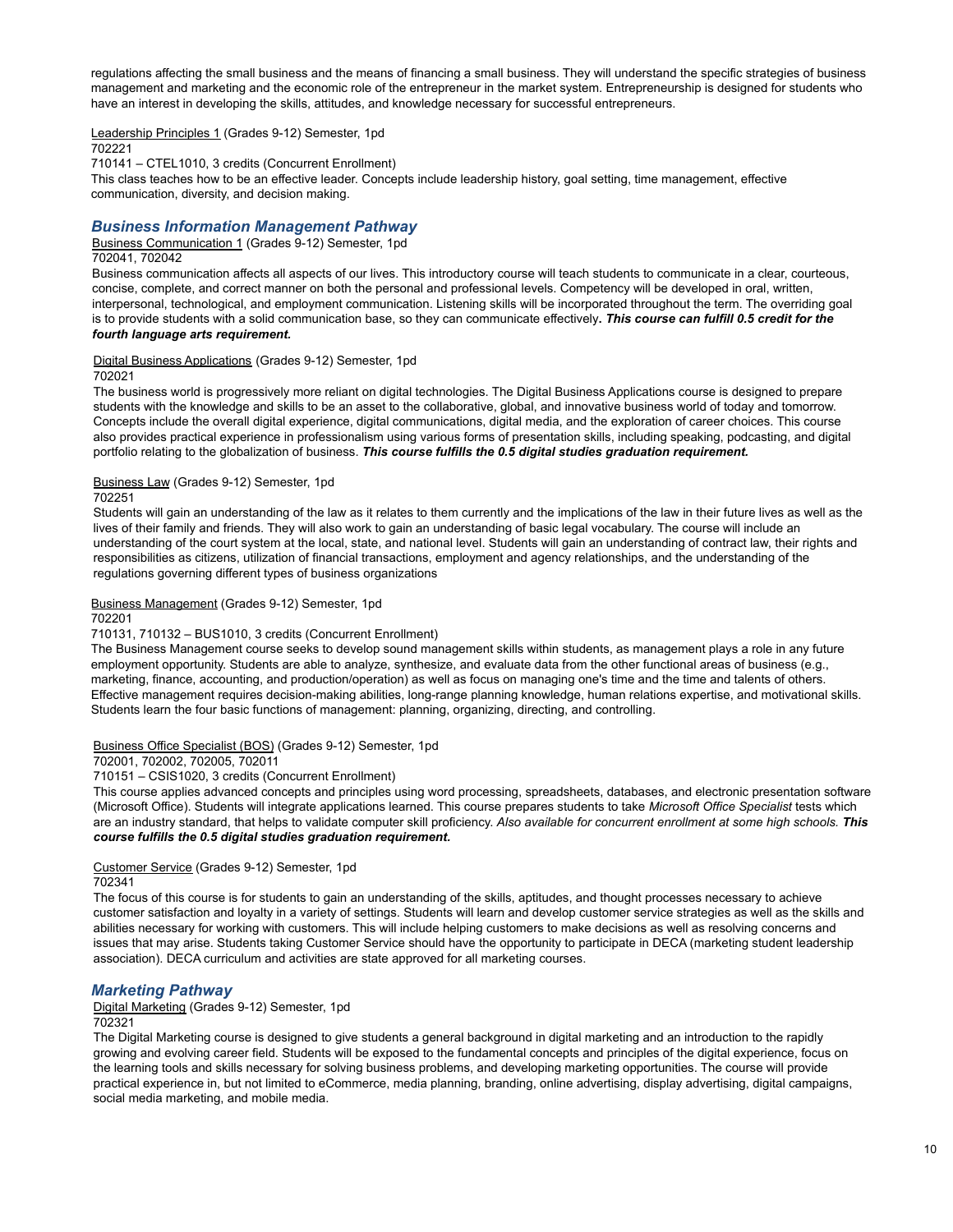regulations affecting the small business and the means of financing a small business. They will understand the specific strategies of business management and marketing and the economic role of the entrepreneur in the market system. Entrepreneurship is designed for students who have an interest in developing the skills, attitudes, and knowledge necessary for successful entrepreneurs.

Leadership Principles 1 (Grades 9-12) Semester, 1pd

702221

710141 – CTEL1010, 3 credits (Concurrent Enrollment)

This class teaches how to be an effective leader. Concepts include leadership history, goal setting, time management, effective communication, diversity, and decision making.

# *Business Information Management Pathway*

Business Communication 1 (Grades 9-12) Semester, 1pd

### 702041, 702042

Business communication affects all aspects of our lives. This introductory course will teach students to communicate in a clear, courteous, concise, complete, and correct manner on both the personal and professional levels. Competency will be developed in oral, written, interpersonal, technological, and employment communication. Listening skills will be incorporated throughout the term. The overriding goal is to provide students with a solid communication base, so they can communicate effectively**.** *This course can fulfill 0.5 credit for the fourth language arts requirement.*

### Digital Business Applications (Grades 9-12) Semester, 1pd

### 702021

The business world is progressively more reliant on digital technologies. The Digital Business Applications course is designed to prepare students with the knowledge and skills to be an asset to the collaborative, global, and innovative business world of today and tomorrow. Concepts include the overall digital experience, digital communications, digital media, and the exploration of career choices. This course also provides practical experience in professionalism using various forms of presentation skills, including speaking, podcasting, and digital portfolio relating to the globalization of business. *This course fulfills the 0.5 digital studies graduation requirement.*

# Business Law (Grades 9-12) Semester, 1pd

702251

Students will gain an understanding of the law as it relates to them currently and the implications of the law in their future lives as well as the lives of their family and friends. They will also work to gain an understanding of basic legal vocabulary. The course will include an understanding of the court system at the local, state, and national level. Students will gain an understanding of contract law, their rights and responsibilities as citizens, utilization of financial transactions, employment and agency relationships, and the understanding of the regulations governing different types of business organizations

### Business Management (Grades 9-12) Semester, 1pd

702201

# 710131, 710132 – BUS1010, 3 credits (Concurrent Enrollment)

The Business Management course seeks to develop sound management skills within students, as management plays a role in any future employment opportunity. Students are able to analyze, synthesize, and evaluate data from the other functional areas of business (e.g., marketing, finance, accounting, and production/operation) as well as focus on managing one's time and the time and talents of others. Effective management requires decision-making abilities, long-range planning knowledge, human relations expertise, and motivational skills. Students learn the four basic functions of management: planning, organizing, directing, and controlling.

### Business Office Specialist (BOS) (Grades 9-12) Semester, 1pd

### 702001, 702002, 702005, 702011

### 710151 – CSIS1020, 3 credits (Concurrent Enrollment)

This course applies advanced concepts and principles using word processing, spreadsheets, databases, and electronic presentation software (Microsoft Office). Students will integrate applications learned. This course prepares students to take *Microsoft Office Specialist* tests which are an industry standard, that helps to validate computer skill proficiency. *Also available for concurrent enrollment at some high schools. This course fulfills the 0.5 digital studies graduation requirement.*

# Customer Service (Grades 9-12) Semester, 1pd

### 702341

The focus of this course is for students to gain an understanding of the skills, aptitudes, and thought processes necessary to achieve customer satisfaction and loyalty in a variety of settings. Students will learn and develop customer service strategies as well as the skills and abilities necessary for working with customers. This will include helping customers to make decisions as well as resolving concerns and issues that may arise. Students taking Customer Service should have the opportunity to participate in DECA (marketing student leadership association). DECA curriculum and activities are state approved for all marketing courses.

# *Marketing Pathway*

# Digital Marketing (Grades 9-12) Semester, 1pd

### 702321

The Digital Marketing course is designed to give students a general background in digital marketing and an introduction to the rapidly growing and evolving career field. Students will be exposed to the fundamental concepts and principles of the digital experience, focus on the learning tools and skills necessary for solving business problems, and developing marketing opportunities. The course will provide practical experience in, but not limited to eCommerce, media planning, branding, online advertising, display advertising, digital campaigns, social media marketing, and mobile media.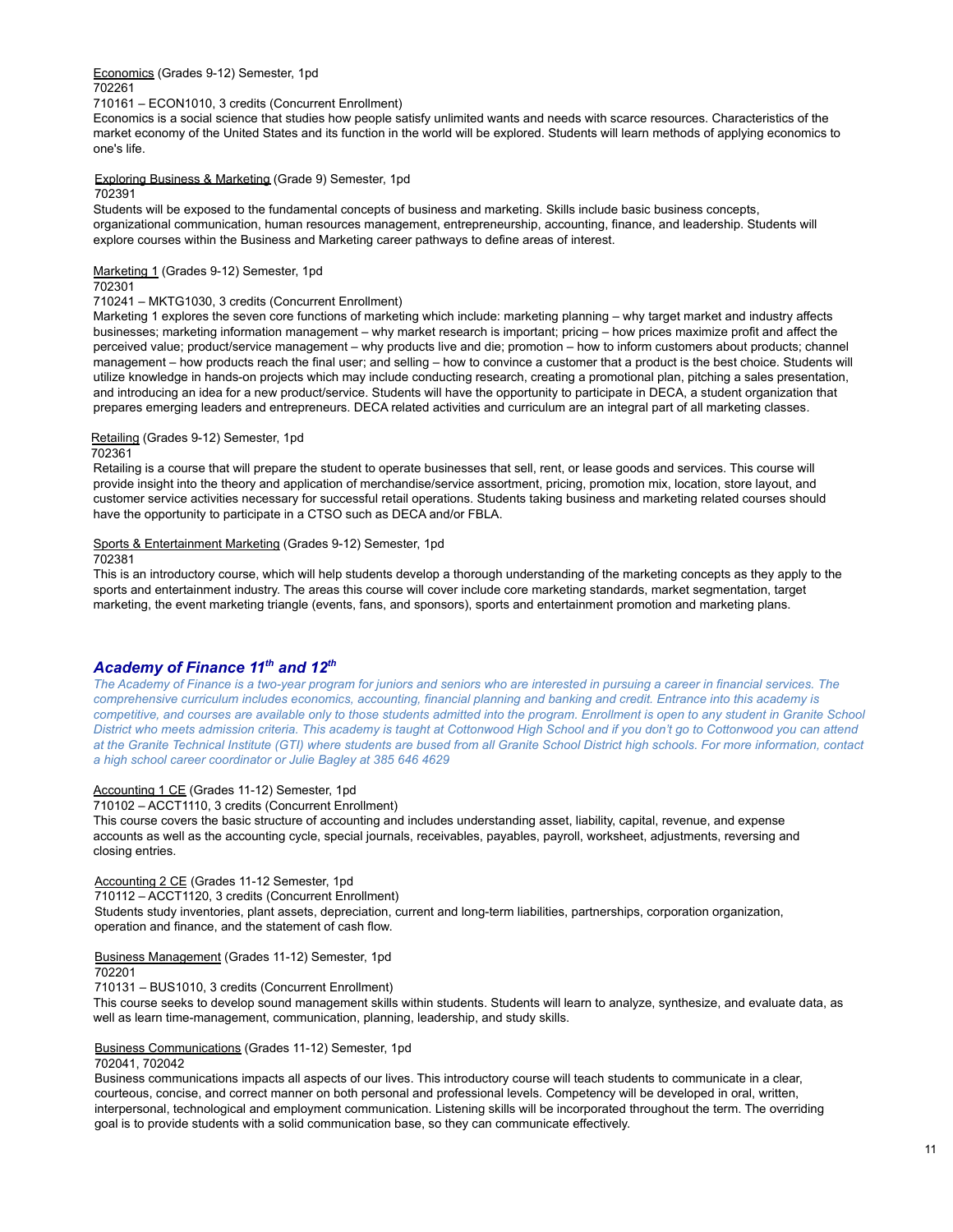Economics (Grades 9-12) Semester, 1pd 702261

710161 – ECON1010, 3 credits (Concurrent Enrollment)

Economics is a social science that studies how people satisfy unlimited wants and needs with scarce resources. Characteristics of the market economy of the United States and its function in the world will be explored. Students will learn methods of applying economics to one's life.

Exploring Business & Marketing (Grade 9) Semester, 1pd

### 702391

Students will be exposed to the fundamental concepts of business and marketing. Skills include basic business concepts, organizational communication, human resources management, entrepreneurship, accounting, finance, and leadership. Students will explore courses within the Business and Marketing career pathways to define areas of interest.

Marketing 1 (Grades 9-12) Semester, 1pd

# 702301

### 710241 – MKTG1030, 3 credits (Concurrent Enrollment)

Marketing 1 explores the seven core functions of marketing which include: marketing planning – why target market and industry affects businesses; marketing information management – why market research is important; pricing – how prices maximize profit and affect the perceived value; product/service management – why products live and die; promotion – how to inform customers about products; channel management – how products reach the final user; and selling – how to convince a customer that a product is the best choice. Students will utilize knowledge in hands-on projects which may include conducting research, creating a promotional plan, pitching a sales presentation, and introducing an idea for a new product/service. Students will have the opportunity to participate in DECA, a student organization that prepares emerging leaders and entrepreneurs. DECA related activities and curriculum are an integral part of all marketing classes*.*

# Retailing (Grades 9-12) Semester, 1pd

## 702361

Retailing is a course that will prepare the student to operate businesses that sell, rent, or lease goods and services. This course will provide insight into the theory and application of merchandise/service assortment, pricing, promotion mix, location, store layout, and customer service activities necessary for successful retail operations. Students taking business and marketing related courses should have the opportunity to participate in a CTSO such as DECA and/or FBLA.

### Sports & Entertainment Marketing (Grades 9-12) Semester, 1pd

702381

This is an introductory course, which will help students develop a thorough understanding of the marketing concepts as they apply to the sports and entertainment industry. The areas this course will cover include core marketing standards, market segmentation, target marketing, the event marketing triangle (events, fans, and sponsors), sports and entertainment promotion and marketing plans.

# *Academy of Finance 11 th and 12 th*

The Academy of Finance is a two-year program for juniors and seniors who are interested in pursuing a career in financial services. The comprehensive curriculum includes economics, accounting, financial planning and banking and credit. Entrance into this academy is competitive, and courses are available only to those students admitted into the program. Enrollment is open to any student in Granite School District who meets admission criteria. This academy is taught at Cottonwood High School and if you don't go to Cottonwood you can attend at the Granite Technical Institute (GTI) where students are bused from all Granite School District high schools. For more information, contact *a high school career coordinator or Julie Bagley at 385 646 4629*

## Accounting 1 CE (Grades 11-12) Semester, 1pd

710102 – ACCT1110, 3 credits (Concurrent Enrollment)

This course covers the basic structure of accounting and includes understanding asset, liability, capital, revenue, and expense accounts as well as the accounting cycle, special journals, receivables, payables, payroll, worksheet, adjustments, reversing and closing entries.

## Accounting 2 CE (Grades 11-12 Semester, 1pd

710112 – ACCT1120, 3 credits (Concurrent Enrollment)

Students study inventories, plant assets, depreciation, current and long-term liabilities, partnerships, corporation organization, operation and finance, and the statement of cash flow.

### Business Management (Grades 11-12) Semester, 1pd

702201

710131 – BUS1010, 3 credits (Concurrent Enrollment)

This course seeks to develop sound management skills within students. Students will learn to analyze, synthesize, and evaluate data, as well as learn time-management, communication, planning, leadership, and study skills.

# Business Communications (Grades 11-12) Semester, 1pd

# 702041, 702042

Business communications impacts all aspects of our lives. This introductory course will teach students to communicate in a clear, courteous, concise, and correct manner on both personal and professional levels. Competency will be developed in oral, written, interpersonal, technological and employment communication. Listening skills will be incorporated throughout the term. The overriding goal is to provide students with a solid communication base, so they can communicate effectively.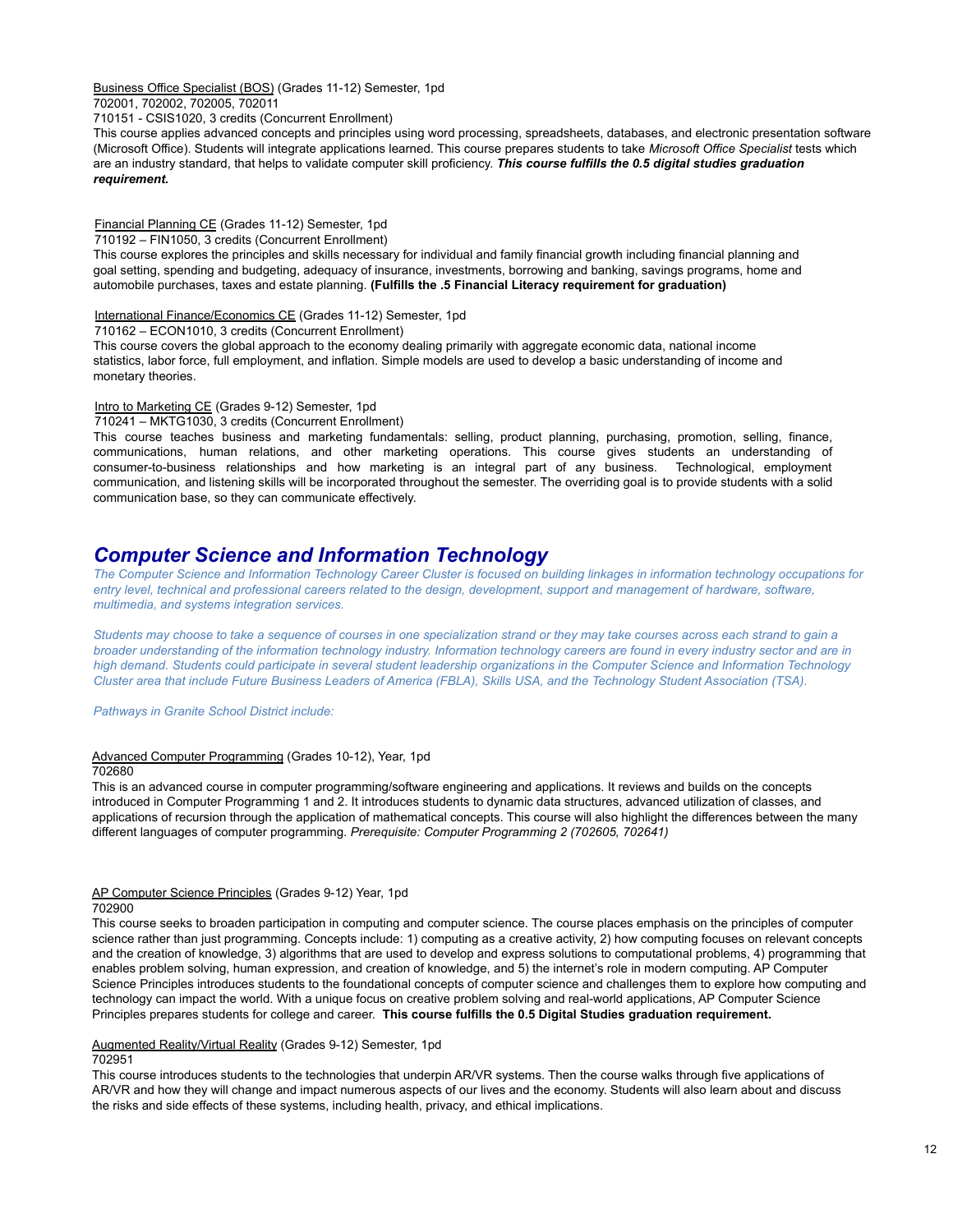Business Office Specialist (BOS) (Grades 11-12) Semester, 1pd

702001, 702002, 702005, 702011

710151 - CSIS1020, 3 credits (Concurrent Enrollment)

This course applies advanced concepts and principles using word processing, spreadsheets, databases, and electronic presentation software (Microsoft Office). Students will integrate applications learned. This course prepares students to take *Microsoft Office Specialist* tests which are an industry standard, that helps to validate computer skill proficiency. *This course fulfills the 0.5 digital studies graduation requirement.*

Financial Planning CE (Grades 11-12) Semester, 1pd

710192 – FIN1050, 3 credits (Concurrent Enrollment)

This course explores the principles and skills necessary for individual and family financial growth including financial planning and goal setting, spending and budgeting, adequacy of insurance, investments, borrowing and banking, savings programs, home and automobile purchases, taxes and estate planning. **(Fulfills the .5 Financial Literacy requirement for graduation)**

International Finance/Economics CE (Grades 11-12) Semester, 1pd

710162 – ECON1010, 3 credits (Concurrent Enrollment)

This course covers the global approach to the economy dealing primarily with aggregate economic data, national income statistics, labor force, full employment, and inflation. Simple models are used to develop a basic understanding of income and monetary theories.

Intro to Marketing CE (Grades 9-12) Semester, 1pd

710241 – MKTG1030, 3 credits (Concurrent Enrollment)

This course teaches business and marketing fundamentals: selling, product planning, purchasing, promotion, selling, finance, communications, human relations, and other marketing operations. This course gives students an understanding of consumer-to-business relationships and how marketing is an integral part of any business. Technological, employment communication, and listening skills will be incorporated throughout the semester. The overriding goal is to provide students with a solid communication base, so they can communicate effectively.

# *Computer Science and Information Technology*

The Computer Science and Information Technology Career Cluster is focused on building linkages in information technology occupations for entry level, technical and professional careers related to the design, development, support and management of hardware, software, *multimedia, and systems integration services.*

Students may choose to take a sequence of courses in one specialization strand or they may take courses across each strand to gain a broader understanding of the information technology industry. Information technology careers are found in every industry sector and are in high demand. Students could participate in several student leadership organizations in the Computer Science and Information Technology Cluster area that include Future Business Leaders of America (FBLA), Skills USA, and the Technology Student Association (TSA).

*Pathways in Granite School District include:*

### Advanced Computer Programming (Grades 10-12), Year, 1pd

### 702680

This is an advanced course in computer programming/software engineering and applications. It reviews and builds on the concepts introduced in Computer Programming 1 and 2. It introduces students to dynamic data structures, advanced utilization of classes, and applications of recursion through the application of mathematical concepts. This course will also highlight the differences between the many different languages of computer programming. *Prerequisite: Computer Programming 2 (702605, 702641)*

### AP Computer Science Principles (Grades 9-12) Year, 1pd 702900

This course seeks to broaden participation in computing and computer science. The course places emphasis on the principles of computer science rather than just programming. Concepts include: 1) computing as a creative activity, 2) how computing focuses on relevant concepts and the creation of knowledge, 3) algorithms that are used to develop and express solutions to computational problems, 4) programming that enables problem solving, human expression, and creation of knowledge, and 5) the internet's role in modern computing. AP Computer Science Principles introduces students to the foundational concepts of computer science and challenges them to explore how computing and technology can impact the world. With a unique focus on creative problem solving and real-world applications, AP Computer Science Principles prepares students for college and career. **This course fulfills the 0.5 Digital Studies graduation requirement.**

### Augmented Reality/Virtual Reality (Grades 9-12) Semester, 1pd 702951

This course introduces students to the technologies that underpin AR/VR systems. Then the course walks through five applications of AR/VR and how they will change and impact numerous aspects of our lives and the economy. Students will also learn about and discuss the risks and side effects of these systems, including health, privacy, and ethical implications.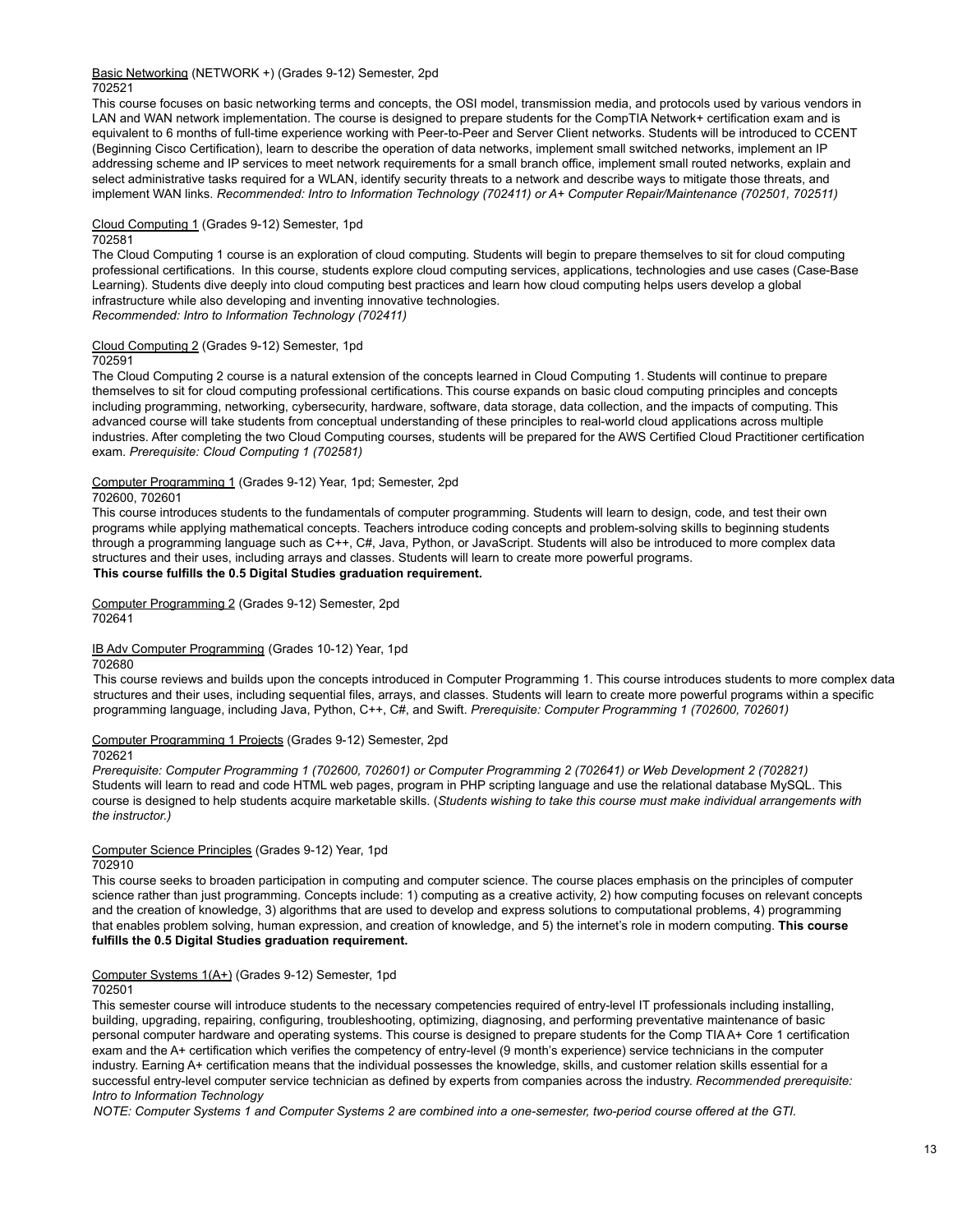### Basic Networking (NETWORK +) (Grades 9-12) Semester, 2pd 702521

This course focuses on basic networking terms and concepts, the OSI model, transmission media, and protocols used by various vendors in LAN and WAN network implementation. The course is designed to prepare students for the CompTIA Network+ certification exam and is equivalent to 6 months of full-time experience working with Peer-to-Peer and Server Client networks. Students will be introduced to CCENT (Beginning Cisco Certification), learn to describe the operation of data networks, implement small switched networks, implement an IP addressing scheme and IP services to meet network requirements for a small branch office, implement small routed networks, explain and select administrative tasks required for a WLAN, identify security threats to a network and describe ways to mitigate those threats, and implement WAN links. *Recommended: Intro to Information Technology (702411) or A+ Computer Repair/Maintenance (702501, 702511)*

### Cloud Computing 1 (Grades 9-12) Semester, 1pd 702581

The Cloud Computing 1 course is an exploration of cloud computing. Students will begin to prepare themselves to sit for cloud computing professional certifications. In this course, students explore cloud computing services, applications, technologies and use cases (Case-Base Learning). Students dive deeply into cloud computing best practices and learn how cloud computing helps users develop a global infrastructure while also developing and inventing innovative technologies. *Recommended: Intro to Information Technology (702411)*

# Cloud Computing 2 (Grades 9-12) Semester, 1pd

### 702591

The Cloud Computing 2 course is a natural extension of the concepts learned in Cloud Computing 1. Students will continue to prepare themselves to sit for cloud computing professional certifications. This course expands on basic cloud computing principles and concepts including programming, networking, cybersecurity, hardware, software, data storage, data collection, and the impacts of computing. This advanced course will take students from conceptual understanding of these principles to real-world cloud applications across multiple industries. After completing the two Cloud Computing courses, students will be prepared for the AWS Certified Cloud Practitioner certification exam. *Prerequisite: Cloud Computing 1 (702581)*

# Computer Programming 1 (Grades 9-12) Year, 1pd; Semester, 2pd

### 702600, 702601

This course introduces students to the fundamentals of computer programming. Students will learn to design, code, and test their own programs while applying mathematical concepts. Teachers introduce coding concepts and problem-solving skills to beginning students through a programming language such as C++, C#, Java, Python, or JavaScript. Students will also be introduced to more complex data structures and their uses, including arrays and classes. Students will learn to create more powerful programs. **This course fulfills the 0.5 Digital Studies graduation requirement.**

Computer Programming 2 (Grades 9-12) Semester, 2pd 702641

## IB Adv Computer Programming (Grades 10-12) Year, 1pd

### 702680

This course reviews and builds upon the concepts introduced in Computer Programming 1. This course introduces students to more complex data structures and their uses, including sequential files, arrays, and classes. Students will learn to create more powerful programs within a specific programming language, including Java, Python, C++, C#, and Swift. *Prerequisite: Computer Programming 1 (702600, 702601)*

### Computer Programming 1 Projects (Grades 9-12) Semester, 2pd

### 702621

Prerequisite: Computer Programming 1 (702600, 702601) or Computer Programming 2 (702641) or Web Development 2 (702821) Students will learn to read and code HTML web pages, program in PHP scripting language and use the relational database MySQL. This course is designed to help students acquire marketable skills. (*Students wishing to take this course must make individual arrangements with the instructor.)*

# Computer Science Principles (Grades 9-12) Year, 1pd

### 702910

This course seeks to broaden participation in computing and computer science. The course places emphasis on the principles of computer science rather than just programming. Concepts include: 1) computing as a creative activity, 2) how computing focuses on relevant concepts and the creation of knowledge, 3) algorithms that are used to develop and express solutions to computational problems, 4) programming that enables problem solving, human expression, and creation of knowledge, and 5) the internet's role in modern computing. **This course fulfills the 0.5 Digital Studies graduation requirement.**

# Computer Systems 1(A+) (Grades 9-12) Semester, 1pd

### 702501

This semester course will introduce students to the necessary competencies required of entry-level IT professionals including installing, building, upgrading, repairing, configuring, troubleshooting, optimizing, diagnosing, and performing preventative maintenance of basic personal computer hardware and operating systems. This course is designed to prepare students for the Comp TIA A+ Core 1 certification exam and the A+ certification which verifies the competency of entry-level (9 month's experience) service technicians in the computer industry. Earning A+ certification means that the individual possesses the knowledge, skills, and customer relation skills essential for a successful entry-level computer service technician as defined by experts from companies across the industry. *Recommended prerequisite: Intro to Information Technology*

NOTE: Computer Systems 1 and Computer Systems 2 are combined into a one-semester, two-period course offered at the GTI.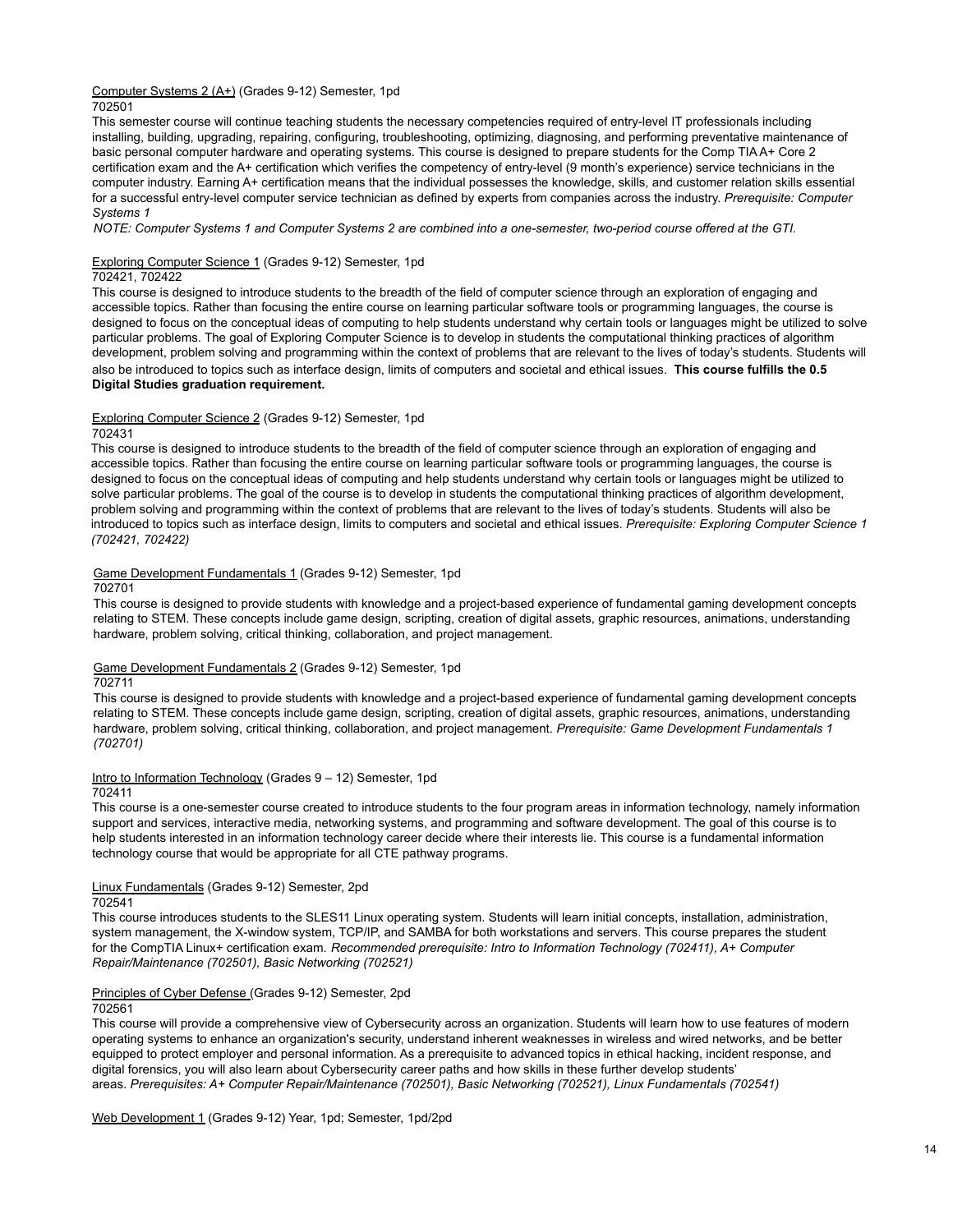# Computer Systems 2 (A+) (Grades 9-12) Semester, 1pd

702501

This semester course will continue teaching students the necessary competencies required of entry-level IT professionals including installing, building, upgrading, repairing, configuring, troubleshooting, optimizing, diagnosing, and performing preventative maintenance of basic personal computer hardware and operating systems. This course is designed to prepare students for the Comp TIA A+ Core 2 certification exam and the A+ certification which verifies the competency of entry-level (9 month's experience) service technicians in the computer industry. Earning A+ certification means that the individual possesses the knowledge, skills, and customer relation skills essential for a successful entry-level computer service technician as defined by experts from companies across the industry. *Prerequisite: Computer Systems 1*

NOTE: Computer Systems 1 and Computer Systems 2 are combined into a one-semester, two-period course offered at the GTI.

Exploring Computer Science 1 (Grades 9-12) Semester, 1pd

## 702421, 702422

This course is designed to introduce students to the breadth of the field of computer science through an exploration of engaging and accessible topics. Rather than focusing the entire course on learning particular software tools or programming languages, the course is designed to focus on the conceptual ideas of computing to help students understand why certain tools or languages might be utilized to solve particular problems. The goal of Exploring Computer Science is to develop in students the computational thinking practices of algorithm development, problem solving and programming within the context of problems that are relevant to the lives of today's students. Students will also be introduced to topics such as interface design, limits of computers and societal and ethical issues. **This course fulfills the 0.5 Digital Studies graduation requirement.**

### Exploring Computer Science 2 (Grades 9-12) Semester, 1pd

### 702431

This course is designed to introduce students to the breadth of the field of computer science through an exploration of engaging and accessible topics. Rather than focusing the entire course on learning particular software tools or programming languages, the course is designed to focus on the conceptual ideas of computing and help students understand why certain tools or languages might be utilized to solve particular problems. The goal of the course is to develop in students the computational thinking practices of algorithm development, problem solving and programming within the context of problems that are relevant to the lives of today's students. Students will also be introduced to topics such as interface design, limits to computers and societal and ethical issues. *Prerequisite: Exploring Computer Science 1 (702421, 702422)*

### Game Development Fundamentals 1 (Grades 9-12) Semester, 1pd

702701

This course is designed to provide students with knowledge and a project-based experience of fundamental gaming development concepts relating to STEM. These concepts include game design, scripting, creation of digital assets, graphic resources, animations, understanding hardware, problem solving, critical thinking, collaboration, and project management.

### Game Development Fundamentals 2 (Grades 9-12) Semester, 1pd

702711

This course is designed to provide students with knowledge and a project-based experience of fundamental gaming development concepts relating to STEM. These concepts include game design, scripting, creation of digital assets, graphic resources, animations, understanding hardware, problem solving, critical thinking, collaboration, and project management. *Prerequisite: Game Development Fundamentals 1 (702701)*

# Intro to Information Technology (Grades 9 – 12) Semester, 1pd

702411

This course is a one-semester course created to introduce students to the four program areas in information technology, namely information support and services, interactive media, networking systems, and programming and software development. The goal of this course is to help students interested in an information technology career decide where their interests lie. This course is a fundamental information technology course that would be appropriate for all CTE pathway programs.

# Linux Fundamentals (Grades 9-12) Semester, 2pd

702541

This course introduces students to the SLES11 Linux operating system. Students will learn initial concepts, installation, administration, system management, the X-window system, TCP/IP, and SAMBA for both workstations and servers. This course prepares the student for the CompTIA Linux+ certification exam. *Recommended prerequisite: Intro to Information Technology (702411), A+ Computer Repair/Maintenance (702501), Basic Networking (702521)*

# Principles of Cyber Defense (Grades 9-12) Semester, 2pd

### 702561

This course will provide a comprehensive view of Cybersecurity across an organization. Students will learn how to use features of modern operating systems to enhance an organization's security, understand inherent weaknesses in wireless and wired networks, and be better equipped to protect employer and personal information. As a prerequisite to advanced topics in ethical hacking, incident response, and digital forensics, you will also learn about Cybersecurity career paths and how skills in these further develop students' areas. *Prerequisites: A+ Computer Repair/Maintenance (702501), Basic Networking (702521), Linux Fundamentals (702541)*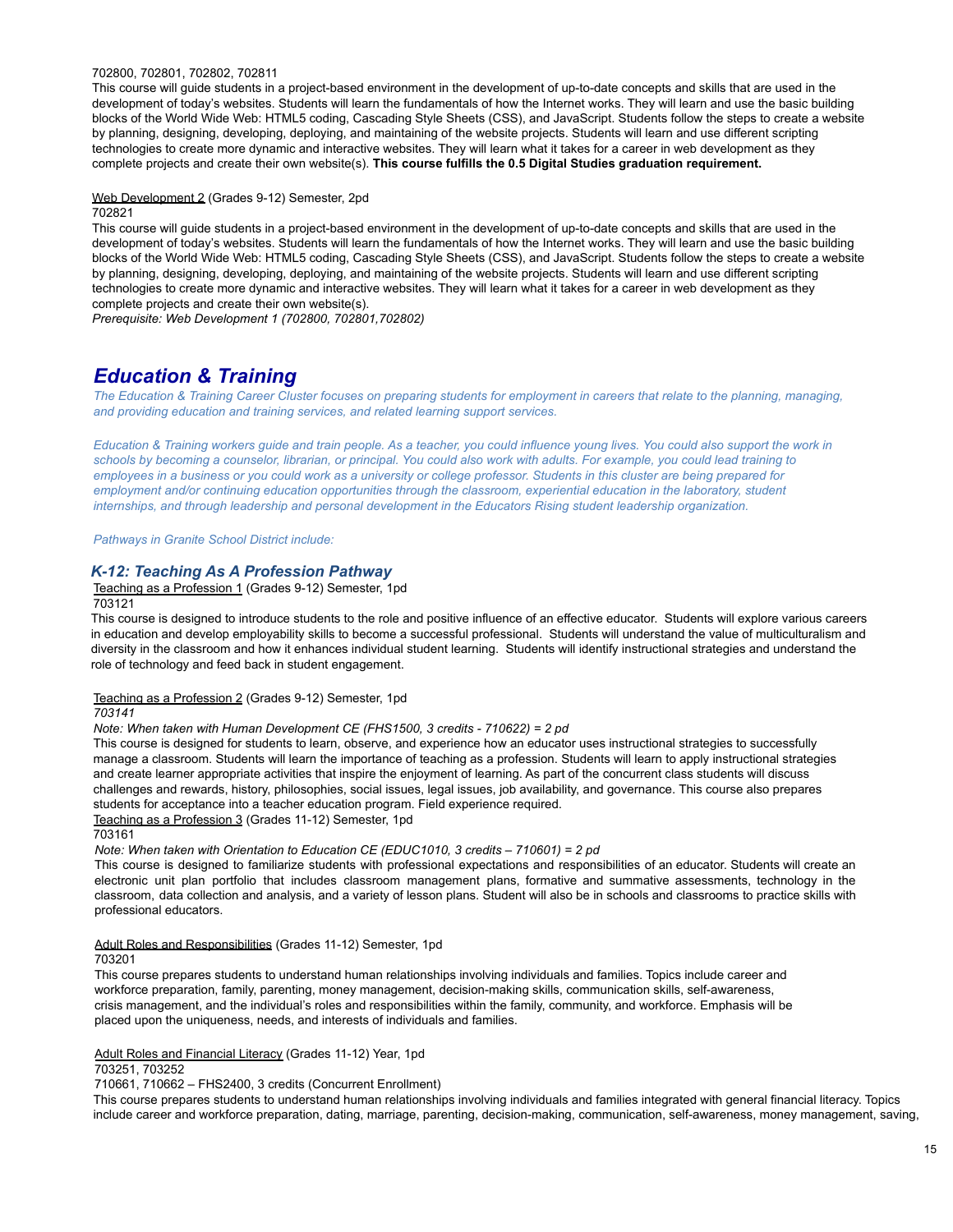### 702800, 702801, 702802, 702811

This course will guide students in a project-based environment in the development of up-to-date concepts and skills that are used in the development of today's websites. Students will learn the fundamentals of how the Internet works. They will learn and use the basic building blocks of the World Wide Web: HTML5 coding, Cascading Style Sheets (CSS), and JavaScript. Students follow the steps to create a website by planning, designing, developing, deploying, and maintaining of the website projects. Students will learn and use different scripting technologies to create more dynamic and interactive websites. They will learn what it takes for a career in web development as they complete projects and create their own website(s). **This course fulfills the 0.5 Digital Studies graduation requirement.**

### Web Development 2 (Grades 9-12) Semester, 2pd 702821

This course will guide students in a project-based environment in the development of up-to-date concepts and skills that are used in the development of today's websites. Students will learn the fundamentals of how the Internet works. They will learn and use the basic building blocks of the World Wide Web: HTML5 coding, Cascading Style Sheets (CSS), and JavaScript. Students follow the steps to create a website by planning, designing, developing, deploying, and maintaining of the website projects. Students will learn and use different scripting technologies to create more dynamic and interactive websites. They will learn what it takes for a career in web development as they complete projects and create their own website(s).

*Prerequisite: Web Development 1 (702800, 702801,702802)*

# *Education & Training*

The Education & Training Career Cluster focuses on preparing students for employment in careers that relate to the planning, managing, *and providing education and training services, and related learning support services.*

Education & Training workers guide and train people. As a teacher, you could influence young lives. You could also support the work in schools by becoming a counselor, librarian, or principal. You could also work with adults. For example, you could lead training to employees in a business or you could work as a university or college professor. Students in this cluster are being prepared for *employment and/or continuing education opportunities through the classroom, experiential education in the laboratory, student internships, and through leadership and personal development in the Educators Rising student leadership organization.*

*Pathways in Granite School District include:*

# *K-12: Teaching As A Profession Pathway*

Teaching as a Profession 1 (Grades 9-12) Semester, 1pd

703121

This course is designed to introduce students to the role and positive influence of an effective educator. Students will explore various careers in education and develop employability skills to become a successful professional. Students will understand the value of multiculturalism and diversity in the classroom and how it enhances individual student learning. Students will identify instructional strategies and understand the role of technology and feed back in student engagement.

Teaching as a Profession 2 (Grades 9-12) Semester, 1pd

*703141*

### *Note: When taken with Human Development CE (FHS1500, 3 credits - 710622) = 2 pd*

This course is designed for students to learn, observe, and experience how an educator uses instructional strategies to successfully manage a classroom. Students will learn the importance of teaching as a profession. Students will learn to apply instructional strategies and create learner appropriate activities that inspire the enjoyment of learning. As part of the concurrent class students will discuss challenges and rewards, history, philosophies, social issues, legal issues, job availability, and governance. This course also prepares students for acceptance into a teacher education program. Field experience required.

Teaching as a Profession 3 (Grades 11-12) Semester, 1pd

703161

*Note: When taken with Orientation to Education CE (EDUC1010, 3 credits – 710601) = 2 pd*

This course is designed to familiarize students with professional expectations and responsibilities of an educator. Students will create an electronic unit plan portfolio that includes classroom management plans, formative and summative assessments, technology in the classroom, data collection and analysis, and a variety of lesson plans. Student will also be in schools and classrooms to practice skills with professional educators.

### Adult Roles and Responsibilities (Grades 11-12) Semester, 1pd

### 703201

This course prepares students to understand human relationships involving individuals and families. Topics include career and workforce preparation, family, parenting, money management, decision-making skills, communication skills, self-awareness, crisis management, and the individual's roles and responsibilities within the family, community, and workforce. Emphasis will be placed upon the uniqueness, needs, and interests of individuals and families.

## Adult Roles and Financial Literacy (Grades 11-12) Year, 1pd

### 703251, 703252

710661, 710662 – FHS2400, 3 credits (Concurrent Enrollment)

This course prepares students to understand human relationships involving individuals and families integrated with general financial literacy. Topics include career and workforce preparation, dating, marriage, parenting, decision-making, communication, self-awareness, money management, saving,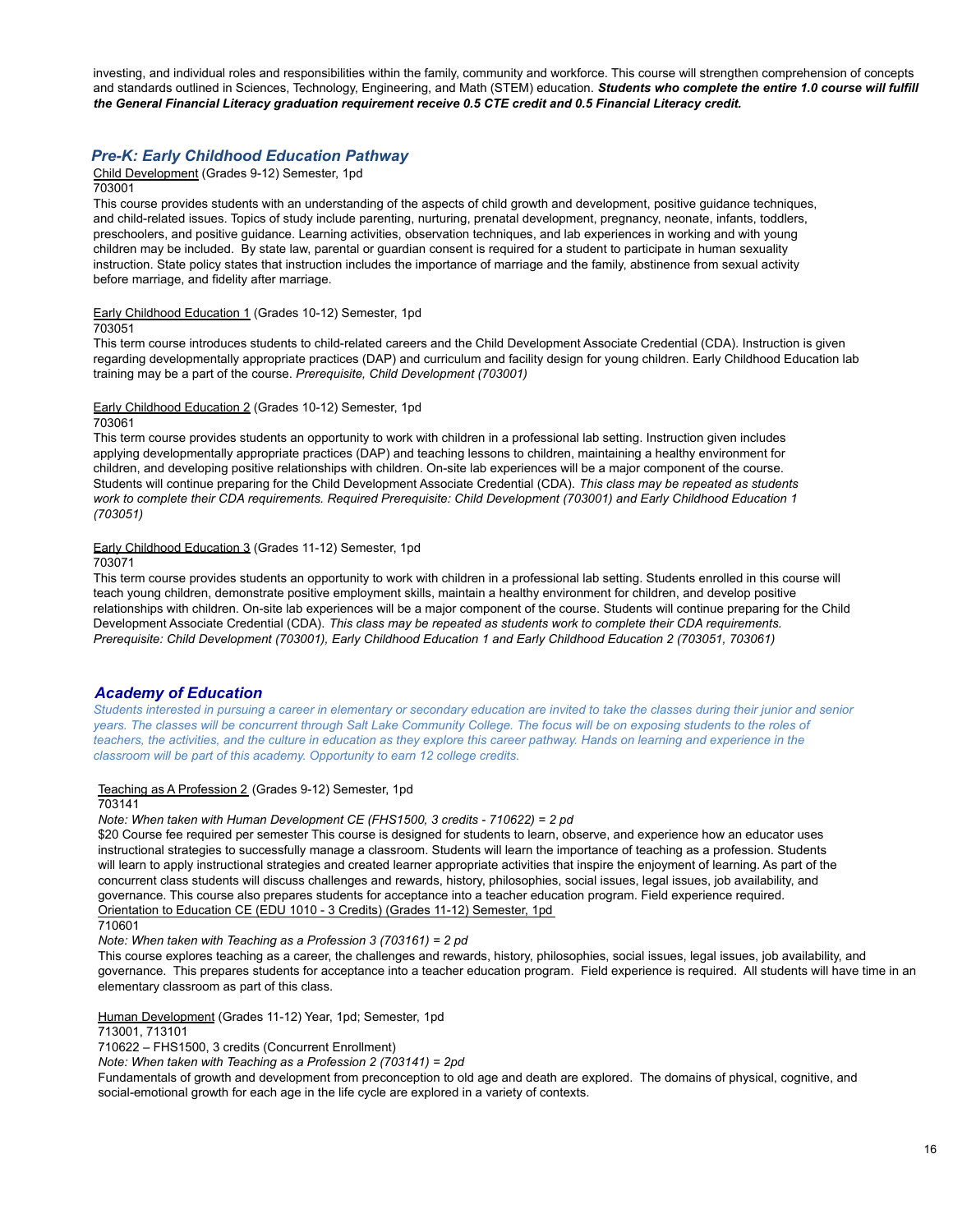investing, and individual roles and responsibilities within the family, community and workforce. This course will strengthen comprehension of concepts and standards outlined in Sciences, Technology, Engineering, and Math (STEM) education. *Students who complete the entire 1.0 course will fulfill the General Financial Literacy graduation requirement receive 0.5 CTE credit and 0.5 Financial Literacy credit.*

## *Pre-K: Early Childhood Education Pathway*

Child Development (Grades 9-12) Semester, 1pd

### 703001

This course provides students with an understanding of the aspects of child growth and development, positive guidance techniques, and child-related issues. Topics of study include parenting, nurturing, prenatal development, pregnancy, neonate, infants, toddlers, preschoolers, and positive guidance. Learning activities, observation techniques, and lab experiences in working and with young children may be included. By state law, parental or guardian consent is required for a student to participate in human sexuality instruction. State policy states that instruction includes the importance of marriage and the family, abstinence from sexual activity before marriage, and fidelity after marriage.

### Early Childhood Education 1 (Grades 10-12) Semester, 1pd

703051

This term course introduces students to child-related careers and the Child Development Associate Credential (CDA). Instruction is given regarding developmentally appropriate practices (DAP) and curriculum and facility design for young children. Early Childhood Education lab training may be a part of the course. *Prerequisite, Child Development (703001)*

## Early Childhood Education 2 (Grades 10-12) Semester, 1pd

### 703061

This term course provides students an opportunity to work with children in a professional lab setting. Instruction given includes applying developmentally appropriate practices (DAP) and teaching lessons to children, maintaining a healthy environment for children, and developing positive relationships with children. On-site lab experiences will be a major component of the course. Students will continue preparing for the Child Development Associate Credential (CDA). *This class may be repeated as students* work to complete their CDA requirements. Required Prerequisite: Child Development (703001) and Early Childhood Education 1 *(703051)*

### Early Childhood Education 3 (Grades 11-12) Semester, 1pd

703071

This term course provides students an opportunity to work with children in a professional lab setting. Students enrolled in this course will teach young children, demonstrate positive employment skills, maintain a healthy environment for children, and develop positive relationships with children. On-site lab experiences will be a major component of the course. Students will continue preparing for the Child Development Associate Credential (CDA). *This class may be repeated as students work to complete their CDA requirements. Prerequisite: Child Development (703001), Early Childhood Education 1 and Early Childhood Education 2 (703051, 703061)*

### *Academy of Education*

Students interested in pursuing a career in elementary or secondary education are invited to take the classes during their junior and senior years. The classes will be concurrent through Salt Lake Community College. The focus will be on exposing students to the roles of teachers, the activities, and the culture in education as they explore this career pathway. Hands on learning and experience in the *classroom will be part of this academy. Opportunity to earn 12 college credits.*

### Teaching as A Profession 2 (Grades 9-12) Semester, 1pd

### 703141

*Note: When taken with Human Development CE (FHS1500, 3 credits - 710622) = 2 pd*

\$20 Course fee required per semester This course is designed for students to learn, observe, and experience how an educator uses instructional strategies to successfully manage a classroom. Students will learn the importance of teaching as a profession. Students will learn to apply instructional strategies and created learner appropriate activities that inspire the enjoyment of learning. As part of the concurrent class students will discuss challenges and rewards, history, philosophies, social issues, legal issues, job availability, and governance. This course also prepares students for acceptance into a teacher education program. Field experience required. Orientation to Education CE (EDU 1010 - 3 Credits) (Grades 11-12) Semester, 1pd

710601

*Note: When taken with Teaching as a Profession 3 (703161) = 2 pd*

This course explores teaching as a career, the challenges and rewards, history, philosophies, social issues, legal issues, job availability, and governance. This prepares students for acceptance into a teacher education program. Field experience is required. All students will have time in an elementary classroom as part of this class.

Human Development (Grades 11-12) Year, 1pd; Semester, 1pd

713001, 713101

710622 – FHS1500, 3 credits (Concurrent Enrollment)

*Note: When taken with Teaching as a Profession 2 (703141) = 2pd*

Fundamentals of growth and development from preconception to old age and death are explored. The domains of physical, cognitive, and social-emotional growth for each age in the life cycle are explored in a variety of contexts.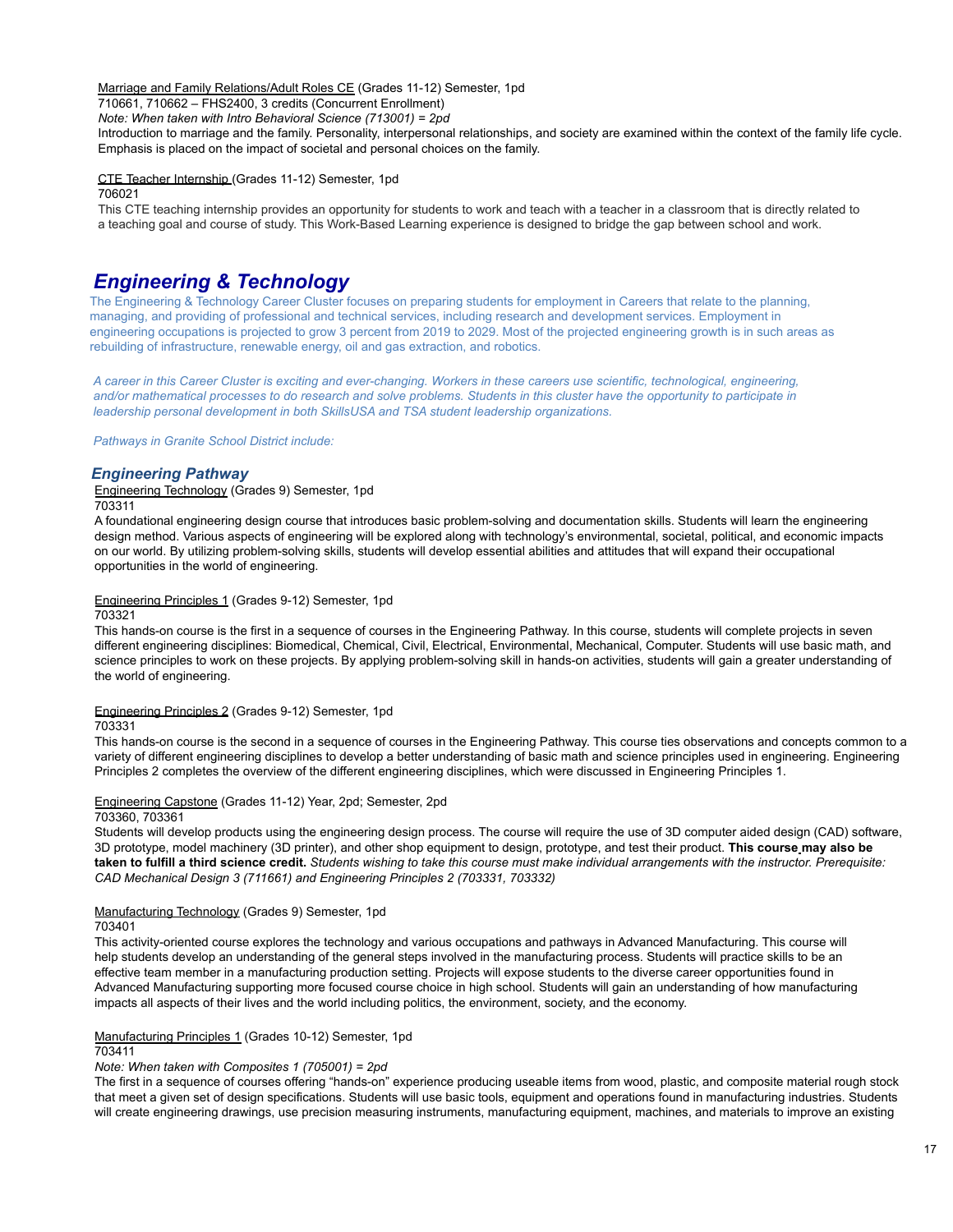Marriage and Family Relations/Adult Roles CE (Grades 11-12) Semester, 1pd

710661, 710662 – FHS2400, 3 credits (Concurrent Enrollment) *Note: When taken with Intro Behavioral Science (713001) = 2pd*

Introduction to marriage and the family. Personality, interpersonal relationships, and society are examined within the context of the family life cycle.

Emphasis is placed on the impact of societal and personal choices on the family.

CTE Teacher Internship (Grades 11-12) Semester, 1pd

706021

This CTE teaching internship provides an opportunity for students to work and teach with a teacher in a classroom that is directly related to a teaching goal and course of study. This Work-Based Learning experience is designed to bridge the gap between school and work.

# *Engineering & Technology*

The Engineering & Technology Career Cluster focuses on preparing students for employment in Careers that relate to the planning, managing, and providing of professional and technical services, including research and development services. Employment in engineering occupations is projected to grow 3 percent from 2019 to 2029. Most of the projected engineering growth is in such areas as rebuilding of infrastructure, renewable energy, oil and gas extraction, and robotics.

A career in this Career Cluster is exciting and ever-changing. Workers in these careers use scientific, technological, engineering, and/or mathematical processes to do research and solve problems. Students in this cluster have the opportunity to participate in *leadership personal development in both SkillsUSA and TSA student leadership organizations.*

*Pathways in Granite School District include:*

# *Engineering Pathway*

Engineering Technology (Grades 9) Semester, 1pd 703311

A foundational engineering design course that introduces basic problem-solving and documentation skills. Students will learn the engineering design method. Various aspects of engineering will be explored along with technology's environmental, societal, political, and economic impacts on our world. By utilizing problem-solving skills, students will develop essential abilities and attitudes that will expand their occupational opportunities in the world of engineering.

### Engineering Principles 1 (Grades 9-12) Semester, 1pd

703321

This hands-on course is the first in a sequence of courses in the Engineering Pathway. In this course, students will complete projects in seven different engineering disciplines: Biomedical, Chemical, Civil, Electrical, Environmental, Mechanical, Computer. Students will use basic math, and science principles to work on these projects. By applying problem-solving skill in hands-on activities, students will gain a greater understanding of the world of engineering.

### Engineering Principles 2 (Grades 9-12) Semester, 1pd

703331

This hands-on course is the second in a sequence of courses in the Engineering Pathway. This course ties observations and concepts common to a variety of different engineering disciplines to develop a better understanding of basic math and science principles used in engineering. Engineering Principles 2 completes the overview of the different engineering disciplines, which were discussed in Engineering Principles 1.

### Engineering Capstone (Grades 11-12) Year, 2pd; Semester, 2pd

703360, 703361

Students will develop products using the engineering design process. The course will require the use of 3D computer aided design (CAD) software, 3D prototype, model machinery (3D printer), and other shop equipment to design, prototype, and test their product. **This course may also be** taken to fulfill a third science credit. Students wishing to take this course must make individual arrangements with the instructor. Prerequisite: *CAD Mechanical Design 3 (711661) and Engineering Principles 2 (703331, 703332)*

# Manufacturing Technology (Grades 9) Semester, 1pd

703401

This activity-oriented course explores the technology and various occupations and pathways in Advanced Manufacturing. This course will help students develop an understanding of the general steps involved in the manufacturing process. Students will practice skills to be an effective team member in a manufacturing production setting. Projects will expose students to the diverse career opportunities found in Advanced Manufacturing supporting more focused course choice in high school. Students will gain an understanding of how manufacturing impacts all aspects of their lives and the world including politics, the environment, society, and the economy.

Manufacturing Principles 1 (Grades 10-12) Semester, 1pd

# 703411

*Note: When taken with Composites 1 (705001) = 2pd*

The first in a sequence of courses offering "hands-on" experience producing useable items from wood, plastic, and composite material rough stock that meet a given set of design specifications. Students will use basic tools, equipment and operations found in manufacturing industries. Students will create engineering drawings, use precision measuring instruments, manufacturing equipment, machines, and materials to improve an existing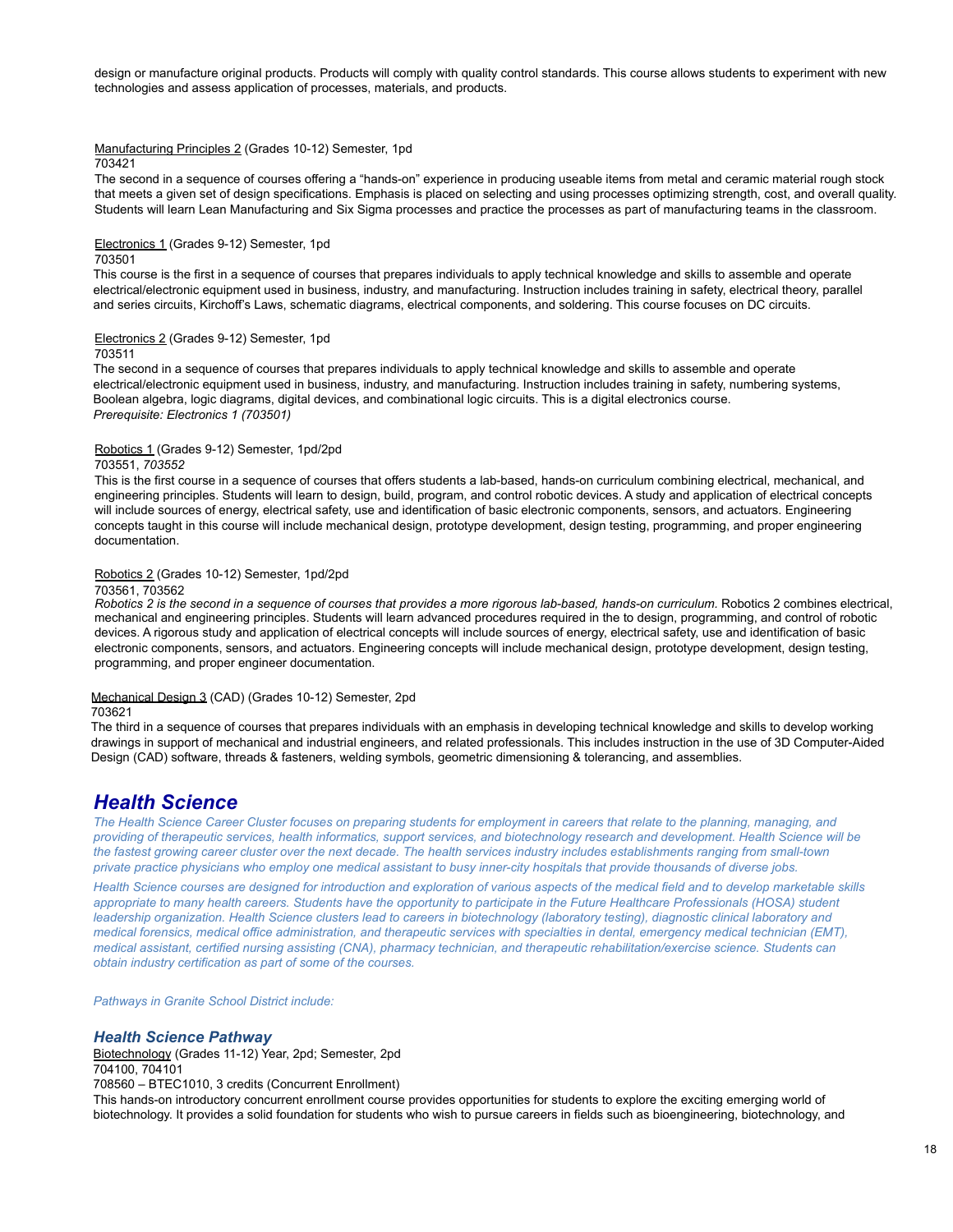design or manufacture original products. Products will comply with quality control standards. This course allows students to experiment with new technologies and assess application of processes, materials, and products.

# Manufacturing Principles 2 (Grades 10-12) Semester, 1pd

### 703421

The second in a sequence of courses offering a "hands-on" experience in producing useable items from metal and ceramic material rough stock that meets a given set of design specifications. Emphasis is placed on selecting and using processes optimizing strength, cost, and overall quality. Students will learn Lean Manufacturing and Six Sigma processes and practice the processes as part of manufacturing teams in the classroom.

### Electronics 1 (Grades 9-12) Semester, 1pd 703501

This course is the first in a sequence of courses that prepares individuals to apply technical knowledge and skills to assemble and operate electrical/electronic equipment used in business, industry, and manufacturing. Instruction includes training in safety, electrical theory, parallel and series circuits, Kirchoff's Laws, schematic diagrams, electrical components, and soldering. This course focuses on DC circuits.

### Electronics 2 (Grades 9-12) Semester, 1pd

703511

The second in a sequence of courses that prepares individuals to apply technical knowledge and skills to assemble and operate electrical/electronic equipment used in business, industry, and manufacturing. Instruction includes training in safety, numbering systems, Boolean algebra, logic diagrams, digital devices, and combinational logic circuits. This is a digital electronics course. *Prerequisite: Electronics 1 (703501)*

### Robotics 1 (Grades 9-12) Semester, 1pd/2pd

### 703551, *703552*

This is the first course in a sequence of courses that offers students a lab-based, hands-on curriculum combining electrical, mechanical, and engineering principles. Students will learn to design, build, program, and control robotic devices. A study and application of electrical concepts will include sources of energy, electrical safety, use and identification of basic electronic components, sensors, and actuators. Engineering concepts taught in this course will include mechanical design, prototype development, design testing, programming, and proper engineering documentation.

### Robotics 2 (Grades 10-12) Semester, 1pd/2pd

### 703561, 703562

Robotics 2 is the second in a sequence of courses that provides a more rigorous lab-based, hands-on curriculum. Robotics 2 combines electrical, mechanical and engineering principles. Students will learn advanced procedures required in the to design, programming, and control of robotic devices. A rigorous study and application of electrical concepts will include sources of energy, electrical safety, use and identification of basic electronic components, sensors, and actuators. Engineering concepts will include mechanical design, prototype development, design testing, programming, and proper engineer documentation.

### Mechanical Design 3 (CAD) (Grades 10-12) Semester, 2pd

# 703621

The third in a sequence of courses that prepares individuals with an emphasis in developing technical knowledge and skills to develop working drawings in support of mechanical and industrial engineers, and related professionals. This includes instruction in the use of 3D Computer-Aided Design (CAD) software, threads & fasteners, welding symbols, geometric dimensioning & tolerancing, and assemblies.

# *Health Science*

The Health Science Career Cluster focuses on preparing students for employment in careers that relate to the planning, managing, and providing of therapeutic services, health informatics, support services, and biotechnology research and development. Health Science will be the fastest growing career cluster over the next decade. The health services industry includes establishments ranging from small-town private practice physicians who employ one medical assistant to busy inner-city hospitals that provide thousands of diverse jobs.

Health Science courses are designed for introduction and exploration of various aspects of the medical field and to develop marketable skills appropriate to many health careers. Students have the opportunity to participate in the Future Healthcare Professionals (HOSA) student leadership organization. Health Science clusters lead to careers in biotechnology (laboratory testing), diagnostic clinical laboratory and medical forensics, medical office administration, and therapeutic services with specialties in dental, emergency medical technician (EMT), medical assistant, certified nursing assisting (CNA), pharmacy technician, and therapeutic rehabilitation/exercise science. Students can *obtain industry certification as part of some of the courses.*

*Pathways in Granite School District include:*

# *Health Science Pathway*

Biotechnology (Grades 11-12) Year, 2pd; Semester, 2pd 704100, 704101

708560 – BTEC1010, 3 credits (Concurrent Enrollment)

This hands-on introductory concurrent enrollment course provides opportunities for students to explore the exciting emerging world of biotechnology. It provides a solid foundation for students who wish to pursue careers in fields such as bioengineering, biotechnology, and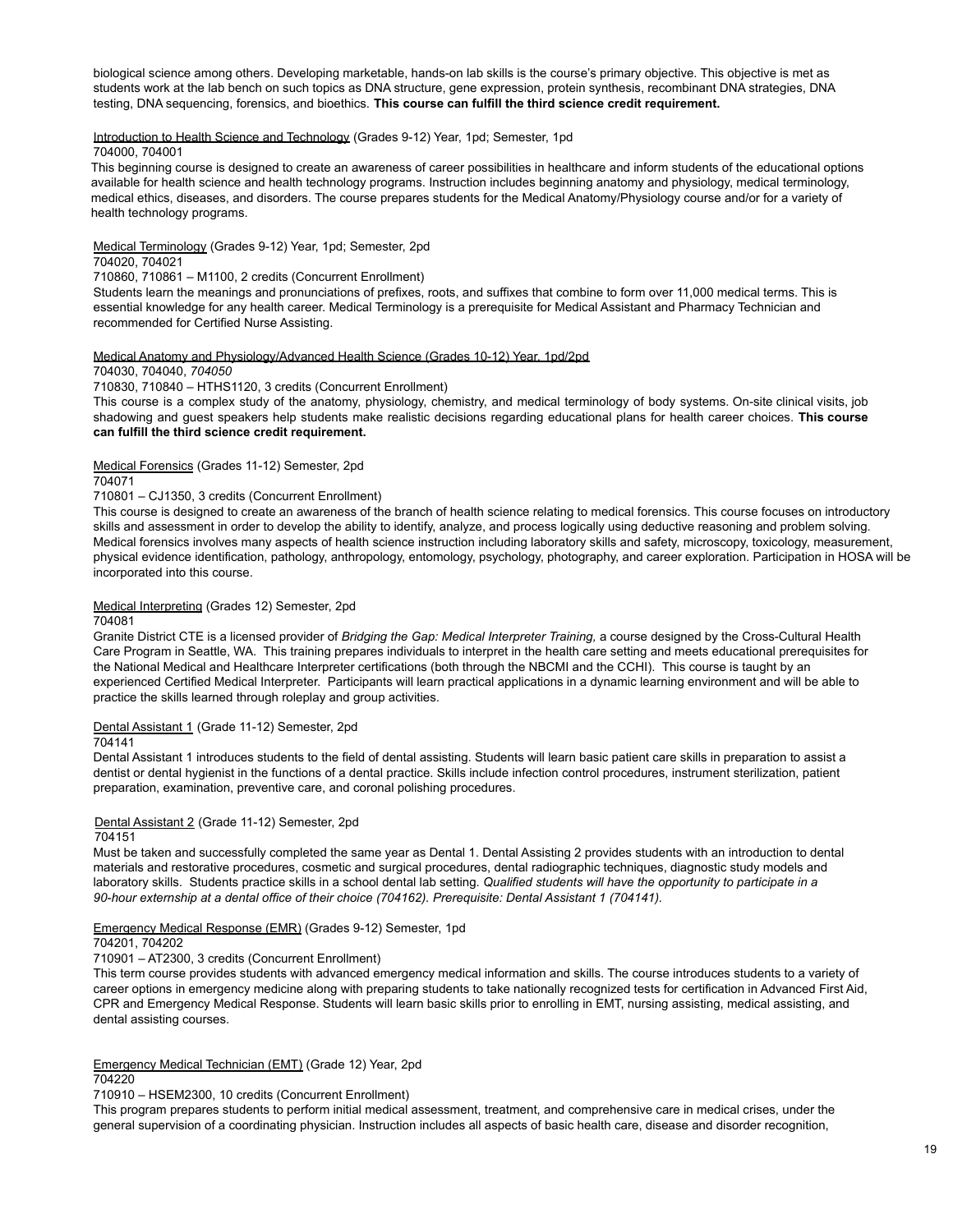biological science among others. Developing marketable, hands-on lab skills is the course's primary objective. This objective is met as students work at the lab bench on such topics as DNA structure, gene expression, protein synthesis, recombinant DNA strategies, DNA testing, DNA sequencing, forensics, and bioethics. **This course can fulfill the third science credit requirement.**

### Introduction to Health Science and Technology (Grades 9-12) Year, 1pd; Semester, 1pd

### 704000, 704001

This beginning course is designed to create an awareness of career possibilities in healthcare and inform students of the educational options available for health science and health technology programs. Instruction includes beginning anatomy and physiology, medical terminology, medical ethics, diseases, and disorders. The course prepares students for the Medical Anatomy/Physiology course and/or for a variety of health technology programs.

Medical Terminology (Grades 9-12) Year, 1pd; Semester, 2pd

## 704020, 704021

710860, 710861 – M1100, 2 credits (Concurrent Enrollment)

Students learn the meanings and pronunciations of prefixes, roots, and suffixes that combine to form over 11,000 medical terms. This is essential knowledge for any health career. Medical Terminology is a prerequisite for Medical Assistant and Pharmacy Technician and recommended for Certified Nurse Assisting.

### Medical Anatomy and Physiology/Advanced Health Science (Grades 10-12) Year, 1pd/2pd

704030, 704040, *704050*

710830, 710840 – HTHS1120, 3 credits (Concurrent Enrollment)

This course is a complex study of the anatomy, physiology, chemistry, and medical terminology of body systems. On-site clinical visits, job shadowing and guest speakers help students make realistic decisions regarding educational plans for health career choices. **This course can fulfill the third science credit requirement.**

Medical Forensics (Grades 11-12) Semester, 2pd

704071

### 710801 – CJ1350, 3 credits (Concurrent Enrollment)

This course is designed to create an awareness of the branch of health science relating to medical forensics. This course focuses on introductory skills and assessment in order to develop the ability to identify, analyze, and process logically using deductive reasoning and problem solving. Medical forensics involves many aspects of health science instruction including laboratory skills and safety, microscopy, toxicology, measurement, physical evidence identification, pathology, anthropology, entomology, psychology, photography, and career exploration. Participation in HOSA will be incorporated into this course.

### Medical Interpreting (Grades 12) Semester, 2pd

### 704081

Granite District CTE is a licensed provider of *Bridging the Gap: Medical Interpreter Training,* a course designed by the Cross-Cultural Health Care Program in Seattle, WA. This training prepares individuals to interpret in the health care setting and meets educational prerequisites for the National Medical and Healthcare Interpreter certifications (both through the NBCMI and the CCHI). This course is taught by an experienced Certified Medical Interpreter. Participants will learn practical applications in a dynamic learning environment and will be able to practice the skills learned through roleplay and group activities.

### Dental Assistant 1 (Grade 11-12) Semester, 2pd

### 704141

Dental Assistant 1 introduces students to the field of dental assisting. Students will learn basic patient care skills in preparation to assist a dentist or dental hygienist in the functions of a dental practice. Skills include infection control procedures, instrument sterilization, patient preparation, examination, preventive care, and coronal polishing procedures.

### Dental Assistant 2 (Grade 11-12) Semester, 2pd

### 704151

Must be taken and successfully completed the same year as Dental 1. Dental Assisting 2 provides students with an introduction to dental materials and restorative procedures, cosmetic and surgical procedures, dental radiographic techniques, diagnostic study models and laboratory skills. Students practice skills in a school dental lab setting. *Qualified students will have the opportunity to participate in a 90-hour externship at a dental office of their choice (704162). Prerequisite: Dental Assistant 1 (704141).*

### Emergency Medical Response (EMR) (Grades 9-12) Semester, 1pd

### 704201, 704202

710901 – AT2300, 3 credits (Concurrent Enrollment)

This term course provides students with advanced emergency medical information and skills. The course introduces students to a variety of career options in emergency medicine along with preparing students to take nationally recognized tests for certification in Advanced First Aid, CPR and Emergency Medical Response. Students will learn basic skills prior to enrolling in EMT, nursing assisting, medical assisting, and dental assisting courses.

### Emergency Medical Technician (EMT) (Grade 12) Year, 2pd 704220

710910 – HSEM2300, 10 credits (Concurrent Enrollment)

This program prepares students to perform initial medical assessment, treatment, and comprehensive care in medical crises, under the general supervision of a coordinating physician. Instruction includes all aspects of basic health care, disease and disorder recognition,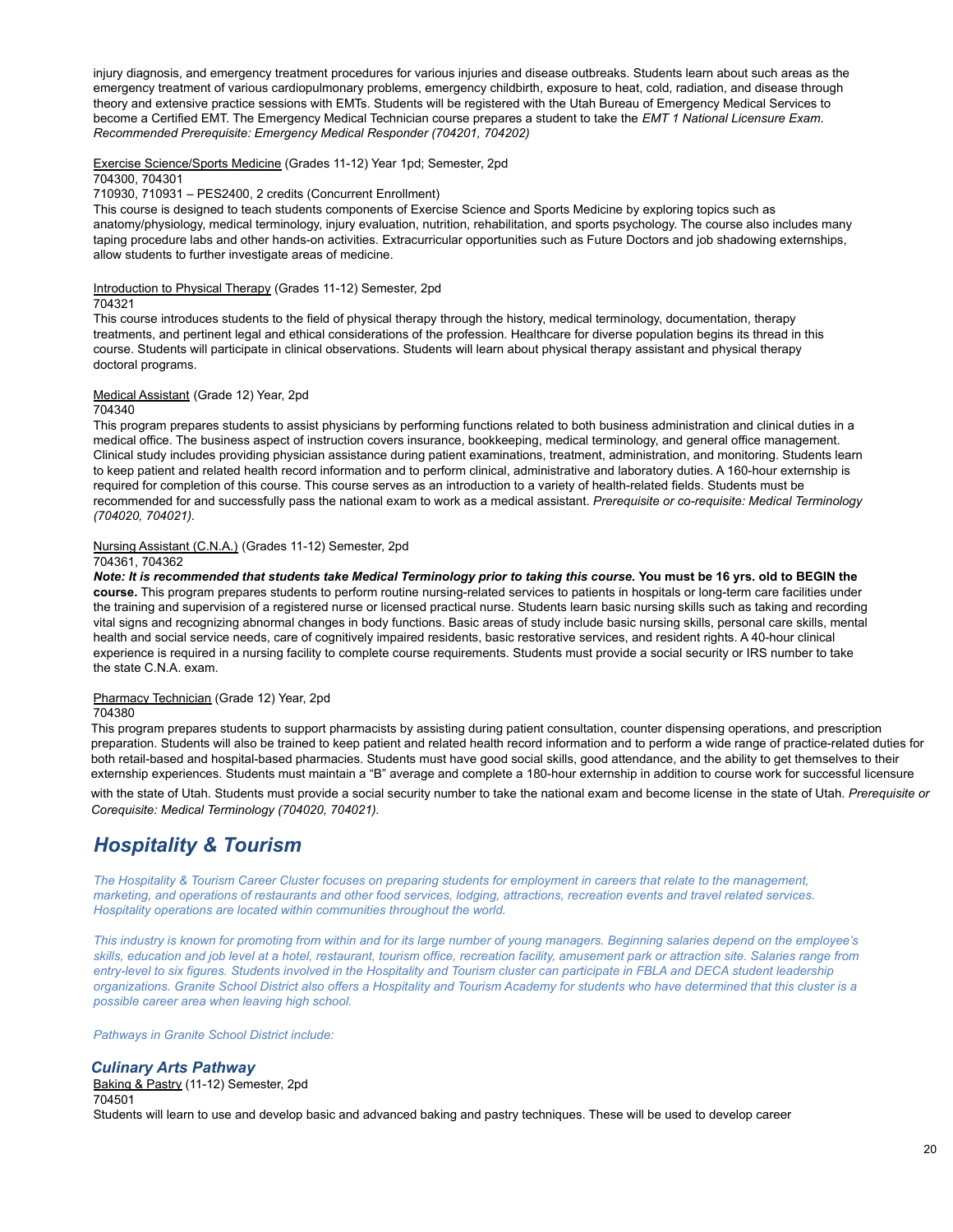injury diagnosis, and emergency treatment procedures for various injuries and disease outbreaks. Students learn about such areas as the emergency treatment of various cardiopulmonary problems, emergency childbirth, exposure to heat, cold, radiation, and disease through theory and extensive practice sessions with EMTs. Students will be registered with the Utah Bureau of Emergency Medical Services to become a Certified EMT. The Emergency Medical Technician course prepares a student to take the *EMT 1 National Licensure Exam*. *Recommended Prerequisite: Emergency Medical Responder (704201, 704202)*

Exercise Science/Sports Medicine (Grades 11-12) Year 1pd; Semester, 2pd

# 704300, 704301

710930, 710931 – PES2400, 2 credits (Concurrent Enrollment)

This course is designed to teach students components of Exercise Science and Sports Medicine by exploring topics such as anatomy/physiology, medical terminology, injury evaluation, nutrition, rehabilitation, and sports psychology. The course also includes many taping procedure labs and other hands-on activities. Extracurricular opportunities such as Future Doctors and job shadowing externships, allow students to further investigate areas of medicine.

Introduction to Physical Therapy (Grades 11-12) Semester, 2pd

### 704321

This course introduces students to the field of physical therapy through the history, medical terminology, documentation, therapy treatments, and pertinent legal and ethical considerations of the profession. Healthcare for diverse population begins its thread in this course. Students will participate in clinical observations. Students will learn about physical therapy assistant and physical therapy doctoral programs.

### Medical Assistant (Grade 12) Year, 2pd

### 704340

This program prepares students to assist physicians by performing functions related to both business administration and clinical duties in a medical office. The business aspect of instruction covers insurance, bookkeeping, medical terminology, and general office management. Clinical study includes providing physician assistance during patient examinations, treatment, administration, and monitoring. Students learn to keep patient and related health record information and to perform clinical, administrative and laboratory duties. A 160-hour externship is required for completion of this course. This course serves as an introduction to a variety of health-related fields. Students must be recommended for and successfully pass the national exam to work as a medical assistant. *Prerequisite or co-requisite: Medical Terminology (704020, 704021).*

Nursing Assistant (C.N.A.) (Grades 11-12) Semester, 2pd

### 704361, 704362

Note: It is recommended that students take Medical Terminology prior to taking this course. You must be 16 yrs. old to BEGIN the **course.** This program prepares students to perform routine nursing-related services to patients in hospitals or long-term care facilities under the training and supervision of a registered nurse or licensed practical nurse. Students learn basic nursing skills such as taking and recording vital signs and recognizing abnormal changes in body functions. Basic areas of study include basic nursing skills, personal care skills, mental health and social service needs, care of cognitively impaired residents, basic restorative services, and resident rights. A 40-hour clinical experience is required in a nursing facility to complete course requirements. Students must provide a social security or IRS number to take the state C.N.A. exam.

### Pharmacy Technician (Grade 12) Year, 2pd

### 704380

This program prepares students to support pharmacists by assisting during patient consultation, counter dispensing operations, and prescription preparation. Students will also be trained to keep patient and related health record information and to perform a wide range of practice-related duties for both retail-based and hospital-based pharmacies. Students must have good social skills, good attendance, and the ability to get themselves to their externship experiences. Students must maintain a "B" average and complete a 180-hour externship in addition to course work for successful licensure

with the state of Utah. Students must provide a social security number to take the national exam and become license in the state of Utah. *Prerequisite or Corequisite: Medical Terminology (704020, 704021).*

# *Hospitality & Tourism*

The Hospitality & Tourism Career Cluster focuses on preparing students for employment in careers that relate to the management, marketing, and operations of restaurants and other food services, lodging, attractions, recreation events and travel related services. *Hospitality operations are located within communities throughout the world.*

This industry is known for promoting from within and for its large number of young managers. Beginning salaries depend on the employee's skills, education and job level at a hotel, restaurant, tourism office, recreation facility, amusement park or attraction site. Salaries range from entry-level to six figures. Students involved in the Hospitality and Tourism cluster can participate in FBLA and DECA student leadership organizations. Granite School District also offers a Hospitality and Tourism Academy for students who have determined that this cluster is a *possible career area when leaving high school.*

### *Pathways in Granite School District include:*

# *Culinary Arts Pathway*

Baking & Pastry (11-12) Semester, 2pd 704501

Students will learn to use and develop basic and advanced baking and pastry techniques. These will be used to develop career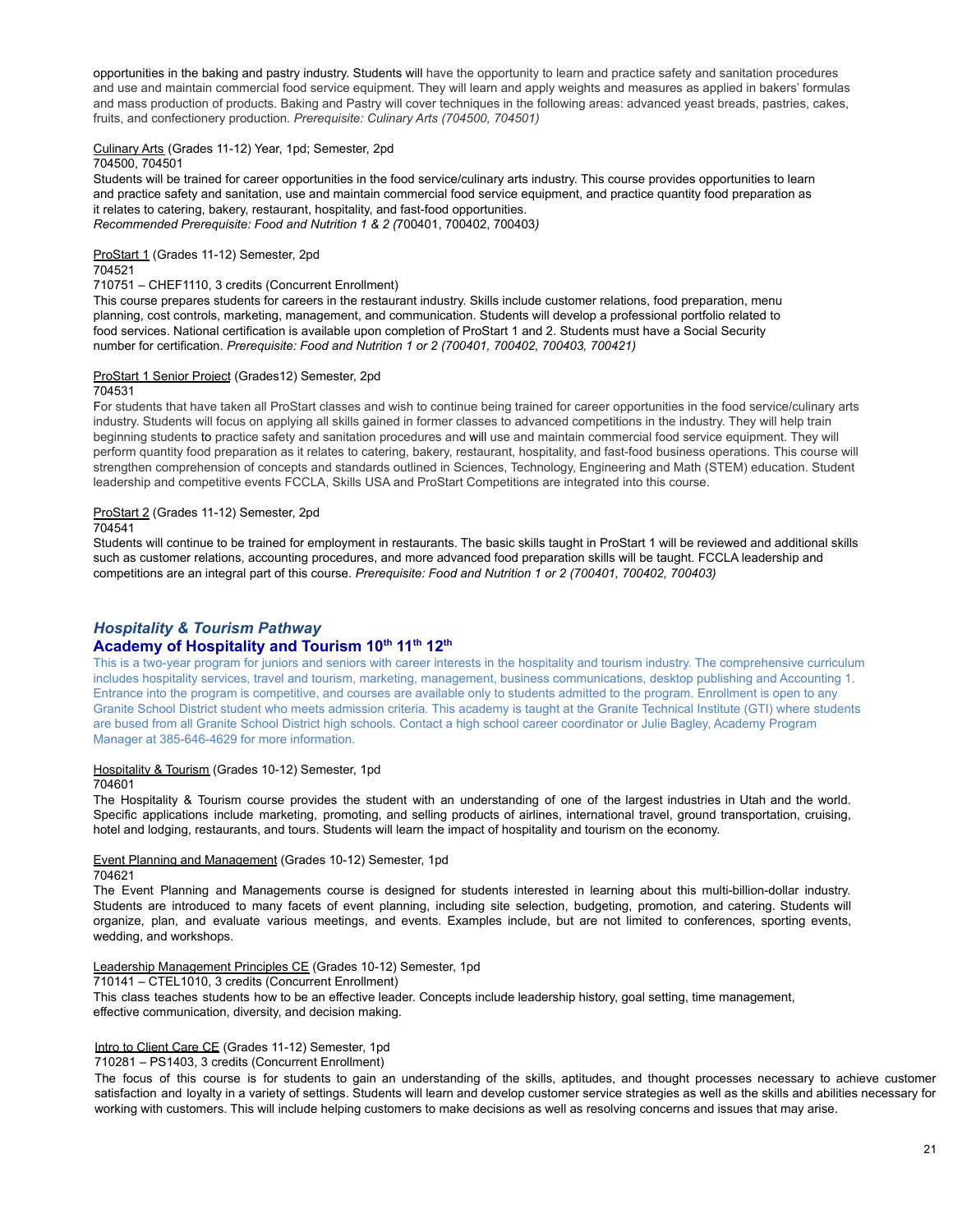opportunities in the baking and pastry industry. Students will have the opportunity to learn and practice safety and sanitation procedures and use and maintain commercial food service equipment. They will learn and apply weights and measures as applied in bakers' formulas and mass production of products. Baking and Pastry will cover techniques in the following areas: advanced yeast breads, pastries, cakes, fruits, and confectionery production. *Prerequisite: Culinary Arts (704500, 704501)*

# Culinary Arts (Grades 11-12) Year, 1pd; Semester, 2pd

704500, 704501

Students will be trained for career opportunities in the food service/culinary arts industry. This course provides opportunities to learn and practice safety and sanitation, use and maintain commercial food service equipment, and practice quantity food preparation as it relates to catering, bakery, restaurant, hospitality, and fast-food opportunities. *Recommended Prerequisite: Food and Nutrition 1 & 2 (*700401, 700402, 700403*)*

# ProStart 1 (Grades 11-12) Semester, 2pd

704521

710751 – CHEF1110, 3 credits (Concurrent Enrollment)

This course prepares students for careers in the restaurant industry. Skills include customer relations, food preparation, menu planning, cost controls, marketing, management, and communication. Students will develop a professional portfolio related to food services. National certification is available upon completion of ProStart 1 and 2. Students must have a Social Security number for certification. *Prerequisite: Food and Nutrition 1 or 2 (700401, 700402, 700403, 700421)*

### ProStart 1 Senior Project (Grades12) Semester, 2pd

### 704531

For students that have taken all ProStart classes and wish to continue being trained for career opportunities in the food service/culinary arts industry. Students will focus on applying all skills gained in former classes to advanced competitions in the industry. They will help train beginning students to practice safety and sanitation procedures and will use and maintain commercial food service equipment. They will perform quantity food preparation as it relates to catering, bakery, restaurant, hospitality, and fast-food business operations. This course will strengthen comprehension of concepts and standards outlined in Sciences, Technology, Engineering and Math (STEM) education. Student leadership and competitive events FCCLA, Skills USA and ProStart Competitions are integrated into this course.

### ProStart 2 (Grades 11-12) Semester, 2pd

704541

Students will continue to be trained for employment in restaurants. The basic skills taught in ProStart 1 will be reviewed and additional skills such as customer relations, accounting procedures, and more advanced food preparation skills will be taught. FCCLA leadership and competitions are an integral part of this course. *Prerequisite: Food and Nutrition 1 or 2 (700401, 700402, 700403)*

# *Hospitality & Tourism Pathway*

## **Academy of Hospitality and Tourism 10 th 11 th 12 th**

This is a two-year program for juniors and seniors with career interests in the hospitality and tourism industry. The comprehensive curriculum includes hospitality services, travel and tourism, marketing, management, business communications, desktop publishing and Accounting 1. Entrance into the program is competitive, and courses are available only to students admitted to the program. Enrollment is open to any Granite School District student who meets admission criteria. This academy is taught at the Granite Technical Institute (GTI) where students are bused from all Granite School District high schools. Contact a high school career coordinator or Julie Bagley, Academy Program Manager at 385-646-4629 for more information.

### Hospitality & Tourism (Grades 10-12) Semester, 1pd

### 704601

The Hospitality & Tourism course provides the student with an understanding of one of the largest industries in Utah and the world. Specific applications include marketing, promoting, and selling products of airlines, international travel, ground transportation, cruising, hotel and lodging, restaurants, and tours. Students will learn the impact of hospitality and tourism on the economy.

### Event Planning and Management (Grades 10-12) Semester, 1pd

704621

The Event Planning and Managements course is designed for students interested in learning about this multi-billion-dollar industry. Students are introduced to many facets of event planning, including site selection, budgeting, promotion, and catering. Students will organize, plan, and evaluate various meetings, and events. Examples include, but are not limited to conferences, sporting events, wedding, and workshops.

### Leadership Management Principles CE (Grades 10-12) Semester, 1pd

710141 – CTEL1010, 3 credits (Concurrent Enrollment)

This class teaches students how to be an effective leader. Concepts include leadership history, goal setting, time management, effective communication, diversity, and decision making.

### Intro to Client Care CE (Grades 11-12) Semester, 1pd

710281 – PS1403, 3 credits (Concurrent Enrollment)

The focus of this course is for students to gain an understanding of the skills, aptitudes, and thought processes necessary to achieve customer satisfaction and loyalty in a variety of settings. Students will learn and develop customer service strategies as well as the skills and abilities necessary for working with customers. This will include helping customers to make decisions as well as resolving concerns and issues that may arise.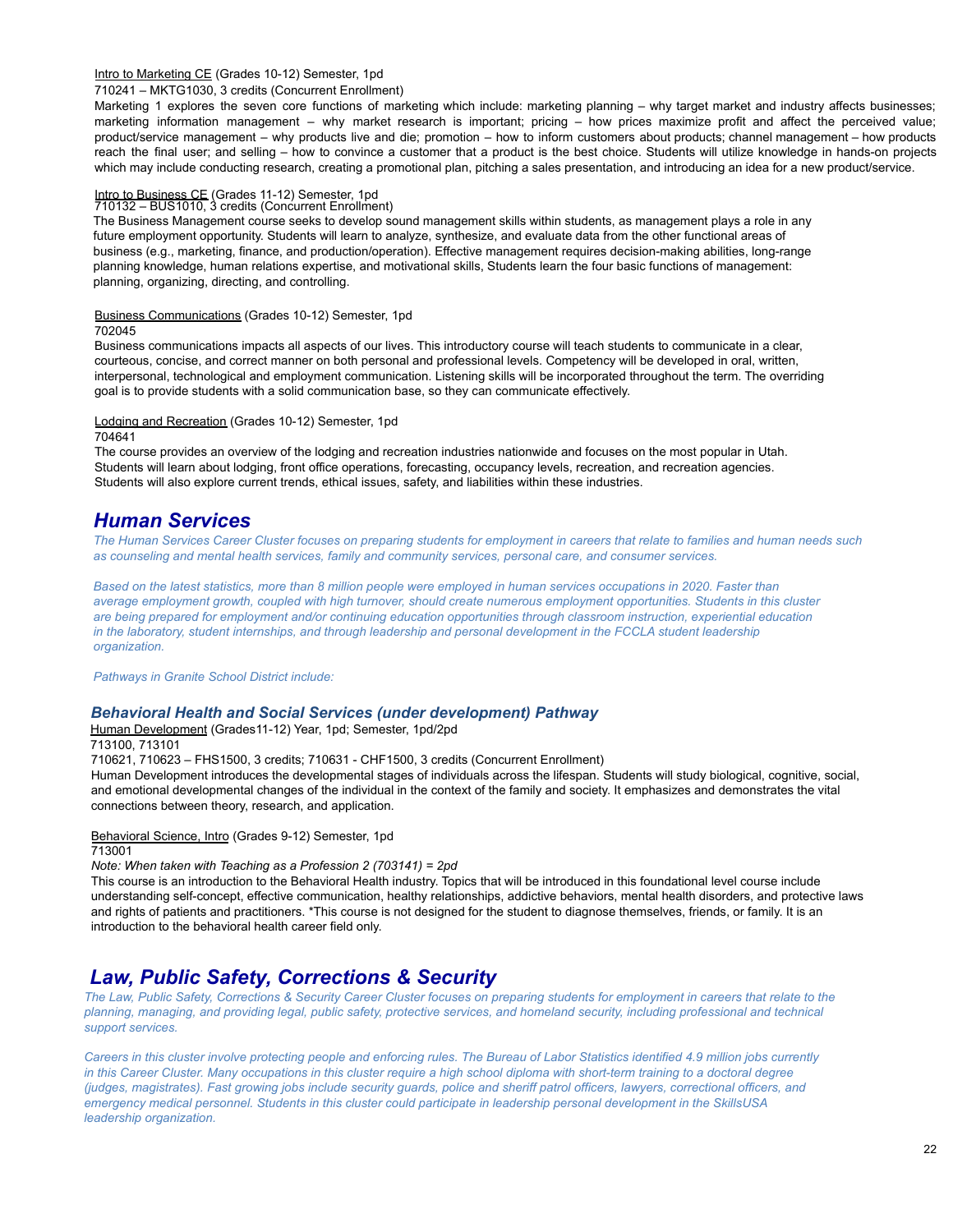### Intro to Marketing CE (Grades 10-12) Semester, 1pd

### 710241 – MKTG1030, 3 credits (Concurrent Enrollment)

Marketing 1 explores the seven core functions of marketing which include: marketing planning – why target market and industry affects businesses; marketing information management – why market research is important; pricing – how prices maximize profit and affect the perceived value; product/service management – why products live and die; promotion – how to inform customers about products; channel management – how products reach the final user; and selling – how to convince a customer that a product is the best choice. Students will utilize knowledge in hands-on projects which may include conducting research, creating a promotional plan, pitching a sales presentation, and introducing an idea for a new product/service.

# Intro to Business CE (Grades 11-12) Semester, 1pd 710132 – BUS1010, 3 credits (Concurrent Enrollment)

The Business Management course seeks to develop sound management skills within students, as management plays a role in any future employment opportunity. Students will learn to analyze, synthesize, and evaluate data from the other functional areas of business (e.g., marketing, finance, and production/operation). Effective management requires decision-making abilities, long-range planning knowledge, human relations expertise, and motivational skills, Students learn the four basic functions of management: planning, organizing, directing, and controlling.

### Business Communications (Grades 10-12) Semester, 1pd

702045

Business communications impacts all aspects of our lives. This introductory course will teach students to communicate in a clear, courteous, concise, and correct manner on both personal and professional levels. Competency will be developed in oral, written, interpersonal, technological and employment communication. Listening skills will be incorporated throughout the term. The overriding goal is to provide students with a solid communication base, so they can communicate effectively.

### Lodging and Recreation (Grades 10-12) Semester, 1pd

### 704641

The course provides an overview of the lodging and recreation industries nationwide and focuses on the most popular in Utah. Students will learn about lodging, front office operations, forecasting, occupancy levels, recreation, and recreation agencies. Students will also explore current trends, ethical issues, safety, and liabilities within these industries.

# *Human Services*

The Human Services Career Cluster focuses on preparing students for employment in careers that relate to families and human needs such *as counseling and mental health services, family and community services, personal care, and consumer services.*

Based on the latest statistics, more than 8 million people were employed in human services occupations in 2020. Faster than average employment growth, coupled with high turnover, should create numerous employment opportunities. Students in this cluster are being prepared for employment and/or continuing education opportunities through classroom instruction, experiential education in the laboratory, student internships, and through leadership and personal development in the FCCLA student leadership *organization.*

*Pathways in Granite School District include:*

### *Behavioral Health and Social Services (under development) Pathway*

Human Development (Grades11-12) Year, 1pd; Semester, 1pd/2pd

713100, 713101

710621, 710623 – FHS1500, 3 credits; 710631 - CHF1500, 3 credits (Concurrent Enrollment)

Human Development introduces the developmental stages of individuals across the lifespan. Students will study biological, cognitive, social, and emotional developmental changes of the individual in the context of the family and society. It emphasizes and demonstrates the vital connections between theory, research, and application.

Behavioral Science, Intro (Grades 9-12) Semester, 1pd 713001

*Note: When taken with Teaching as a Profession 2 (703141) = 2pd*

This course is an introduction to the Behavioral Health industry. Topics that will be introduced in this foundational level course include understanding self-concept, effective communication, healthy relationships, addictive behaviors, mental health disorders, and protective laws and rights of patients and practitioners. \*This course is not designed for the student to diagnose themselves, friends, or family. It is an introduction to the behavioral health career field only.

# *Law, Public Safety, Corrections & Security*

The Law, Public Safety, Corrections & Security Career Cluster focuses on preparing students for employment in careers that relate to the planning, managing, and providing legal, public safety, protective services, and homeland security, including professional and technical *support services.*

Careers in this cluster involve protecting people and enforcing rules. The Bureau of Labor Statistics identified 4.9 million jobs currently in this Career Cluster. Many occupations in this cluster require a high school diploma with short-term training to a doctoral degree (judges, magistrates). Fast growing jobs include security guards, police and sheriff patrol officers, lawyers, correctional officers, and emergency medical personnel. Students in this cluster could participate in leadership personal development in the SkillsUSA *leadership organization.*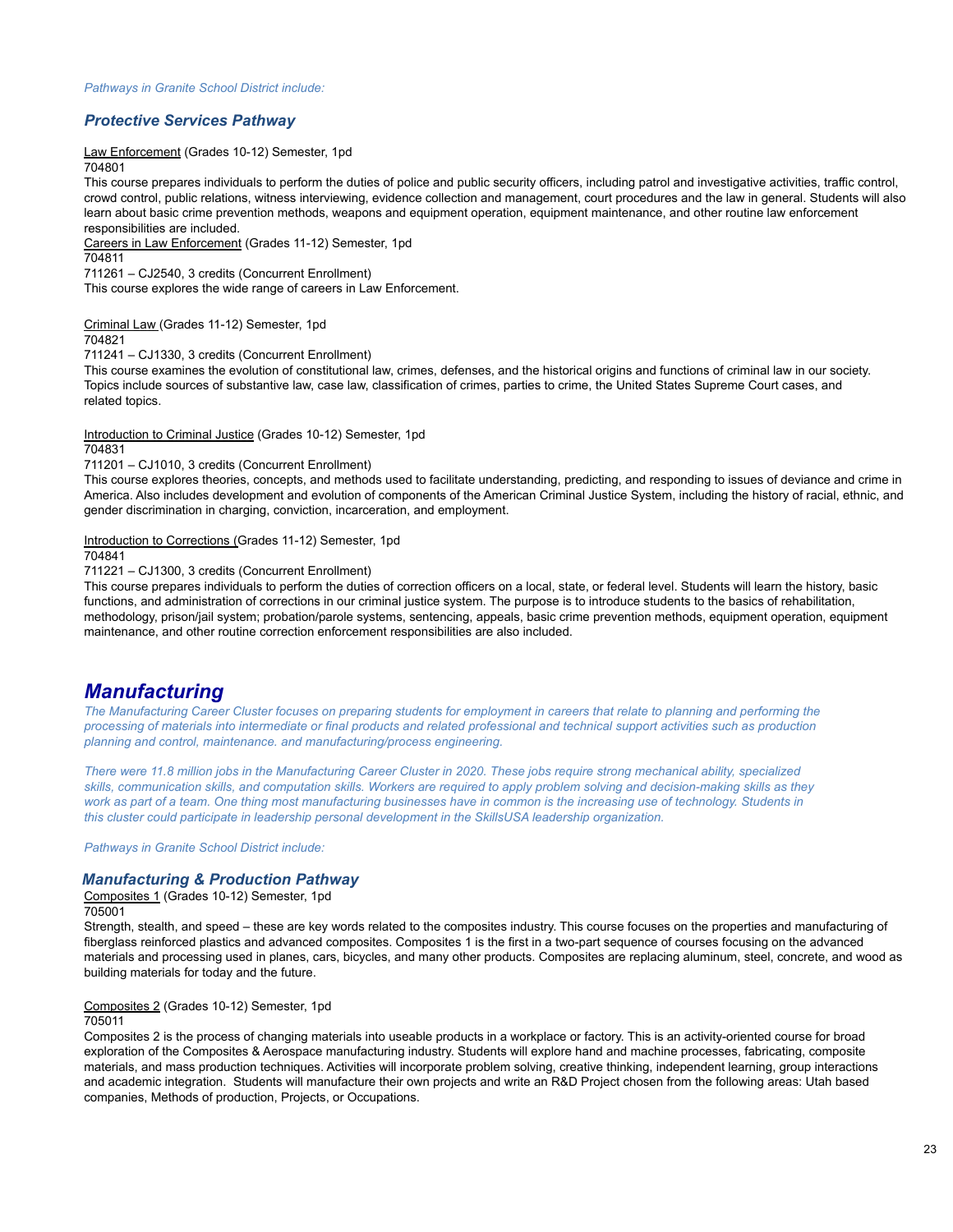# *Protective Services Pathway*

Law Enforcement (Grades 10-12) Semester, 1pd

704801

This course prepares individuals to perform the duties of police and public security officers, including patrol and investigative activities, traffic control, crowd control, public relations, witness interviewing, evidence collection and management, court procedures and the law in general. Students will also learn about basic crime prevention methods, weapons and equipment operation, equipment maintenance, and other routine law enforcement responsibilities are included.

Careers in Law Enforcement (Grades 11-12) Semester, 1pd

704811

711261 – CJ2540, 3 credits (Concurrent Enrollment)

This course explores the wide range of careers in Law Enforcement.

Criminal Law (Grades 11-12) Semester, 1pd 704821

711241 – CJ1330, 3 credits (Concurrent Enrollment)

This course examines the evolution of constitutional law, crimes, defenses, and the historical origins and functions of criminal law in our society. Topics include sources of substantive law, case law, classification of crimes, parties to crime, the United States Supreme Court cases, and related topics.

Introduction to Criminal Justice (Grades 10-12) Semester, 1pd

704831

711201 – CJ1010, 3 credits (Concurrent Enrollment)

This course explores theories, concepts, and methods used to facilitate understanding, predicting, and responding to issues of deviance and crime in America. Also includes development and evolution of components of the American Criminal Justice System, including the history of racial, ethnic, and gender discrimination in charging, conviction, incarceration, and employment.

Introduction to Corrections (Grades 11-12) Semester, 1pd

704841

711221 – CJ1300, 3 credits (Concurrent Enrollment)

This course prepares individuals to perform the duties of correction officers on a local, state, or federal level. Students will learn the history, basic functions, and administration of corrections in our criminal justice system. The purpose is to introduce students to the basics of rehabilitation, methodology, prison/jail system; probation/parole systems, sentencing, appeals, basic crime prevention methods, equipment operation, equipment maintenance, and other routine correction enforcement responsibilities are also included.

# *Manufacturing*

The Manufacturing Career Cluster focuses on preparing students for employment in careers that relate to planning and performing the processing of materials into intermediate or final products and related professional and technical support activities such as production *planning and control, maintenance. and manufacturing/process engineering.*

There were 11.8 million jobs in the Manufacturing Career Cluster in 2020. These jobs require strong mechanical ability, specialized skills, communication skills, and computation skills. Workers are required to apply problem solving and decision-making skills as they work as part of a team. One thing most manufacturing businesses have in common is the increasing use of technology. Students in *this cluster could participate in leadership personal development in the SkillsUSA leadership organization.*

*Pathways in Granite School District include:*

# *Manufacturing & Production Pathway*

Composites 1 (Grades 10-12) Semester, 1pd 705001

Strength, stealth, and speed – these are key words related to the composites industry. This course focuses on the properties and manufacturing of fiberglass reinforced plastics and advanced composites. Composites 1 is the first in a two-part sequence of courses focusing on the advanced materials and processing used in planes, cars, bicycles, and many other products. Composites are replacing aluminum, steel, concrete, and wood as building materials for today and the future.

### Composites 2 (Grades 10-12) Semester, 1pd

705011

Composites 2 is the process of changing materials into useable products in a workplace or factory. This is an activity-oriented course for broad exploration of the Composites & Aerospace manufacturing industry. Students will explore hand and machine processes, fabricating, composite materials, and mass production techniques. Activities will incorporate problem solving, creative thinking, independent learning, group interactions and academic integration. Students will manufacture their own projects and write an R&D Project chosen from the following areas: Utah based companies, Methods of production, Projects, or Occupations.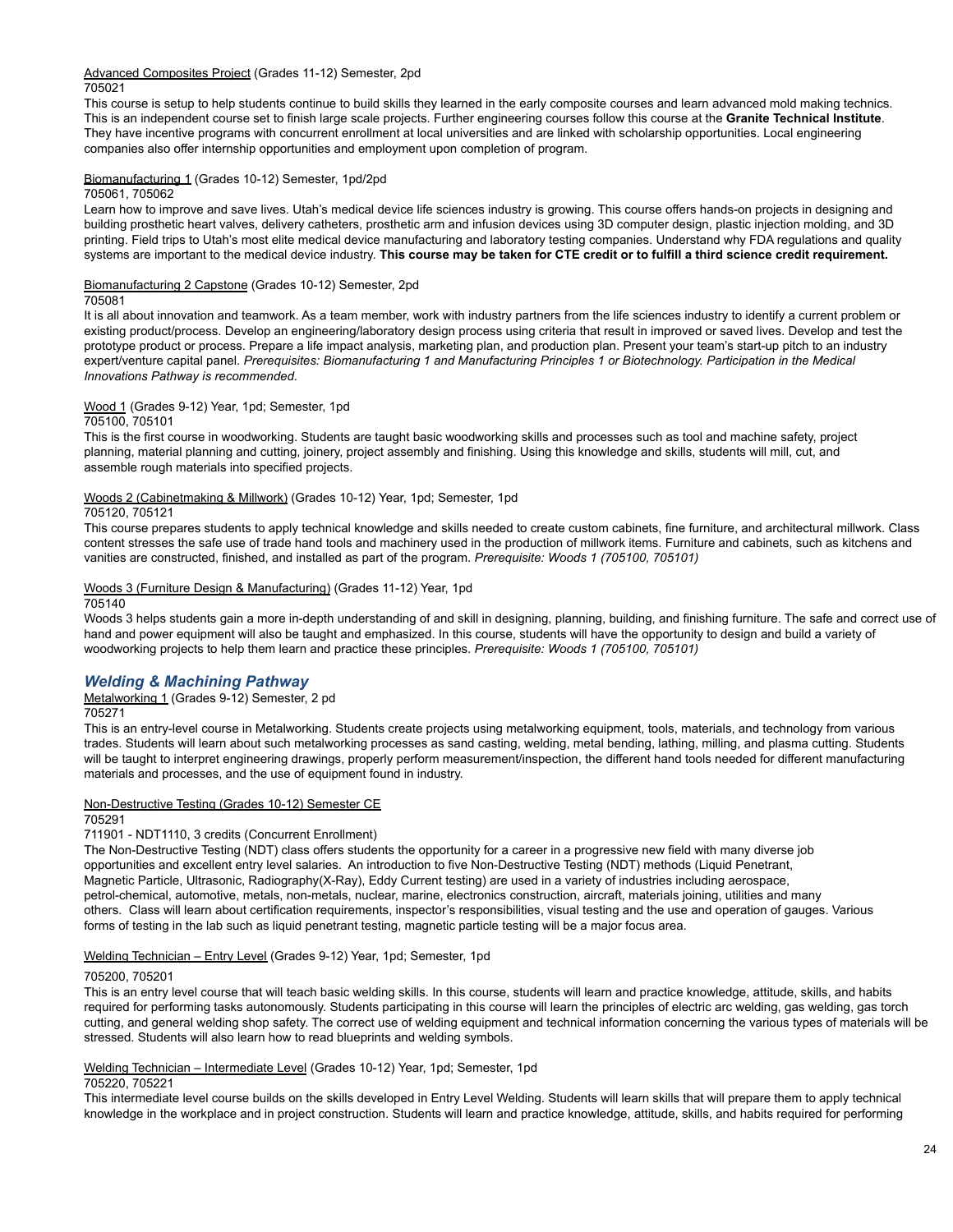Advanced Composites Project (Grades 11-12) Semester, 2pd 705021

This course is setup to help students continue to build skills they learned in the early composite courses and learn advanced mold making technics. This is an independent course set to finish large scale projects. Further engineering courses follow this course at the **Granite Technical Institute**. They have incentive programs with concurrent enrollment at local universities and are linked with scholarship opportunities. Local engineering companies also offer internship opportunities and employment upon completion of program.

### Biomanufacturing 1 (Grades 10-12) Semester, 1pd/2pd

### 705061, 705062

Learn how to improve and save lives. Utah's medical device life sciences industry is growing. This course offers hands-on projects in designing and building prosthetic heart valves, delivery catheters, prosthetic arm and infusion devices using 3D computer design, plastic injection molding, and 3D printing. Field trips to Utah's most elite medical device manufacturing and laboratory testing companies. Understand why FDA regulations and quality systems are important to the medical device industry. This course may be taken for CTE credit or to fulfill a third science credit requirement.

### Biomanufacturing 2 Capstone (Grades 10-12) Semester, 2pd

### 705081

It is all about innovation and teamwork. As a team member, work with industry partners from the life sciences industry to identify a current problem or existing product/process. Develop an engineering/laboratory design process using criteria that result in improved or saved lives. Develop and test the prototype product or process. Prepare a life impact analysis, marketing plan, and production plan. Present your team's start-up pitch to an industry expert/venture capital panel. Prerequisites: Biomanufacturing 1 and Manufacturing Principles 1 or Biotechnology. Participation in the Medical *Innovations Pathway is recommended.*

# Wood 1 (Grades 9-12) Year, 1pd; Semester, 1pd

### 705100, 705101

This is the first course in woodworking. Students are taught basic woodworking skills and processes such as tool and machine safety, project planning, material planning and cutting, joinery, project assembly and finishing. Using this knowledge and skills, students will mill, cut, and assemble rough materials into specified projects.

### Woods 2 (Cabinetmaking & Millwork) (Grades 10-12) Year, 1pd; Semester, 1pd

### 705120, 705121

This course prepares students to apply technical knowledge and skills needed to create custom cabinets, fine furniture, and architectural millwork. Class content stresses the safe use of trade hand tools and machinery used in the production of millwork items. Furniture and cabinets, such as kitchens and vanities are constructed, finished, and installed as part of the program. *Prerequisite: Woods 1 (705100, 705101)*

## Woods 3 (Furniture Design & Manufacturing) (Grades 11-12) Year, 1pd

### 705140

Woods 3 helps students gain a more in-depth understanding of and skill in designing, planning, building, and finishing furniture. The safe and correct use of hand and power equipment will also be taught and emphasized. In this course, students will have the opportunity to design and build a variety of woodworking projects to help them learn and practice these principles. *Prerequisite: Woods 1 (705100, 705101)*

# *Welding & Machining Pathway*

### Metalworking 1 (Grades 9-12) Semester, 2 pd 705271

This is an entry-level course in Metalworking. Students create projects using metalworking equipment, tools, materials, and technology from various trades. Students will learn about such metalworking processes as sand casting, welding, metal bending, lathing, milling, and plasma cutting. Students will be taught to interpret engineering drawings, properly perform measurement/inspection, the different hand tools needed for different manufacturing materials and processes, and the use of equipment found in industry.

### Non-Destructive Testing (Grades 10-12) Semester CE

### 705291

711901 - NDT1110, 3 credits (Concurrent Enrollment)

The Non-Destructive Testing (NDT) class offers students the opportunity for a career in a progressive new field with many diverse job opportunities and excellent entry level salaries. An introduction to five Non-Destructive Testing (NDT) methods (Liquid Penetrant, Magnetic Particle, Ultrasonic, Radiography(X-Ray), Eddy Current testing) are used in a variety of industries including aerospace, petrol-chemical, automotive, metals, non-metals, nuclear, marine, electronics construction, aircraft, materials joining, utilities and many others. Class will learn about certification requirements, inspector's responsibilities, visual testing and the use and operation of gauges. Various forms of testing in the lab such as liquid penetrant testing, magnetic particle testing will be a major focus area.

Welding Technician – Entry Level (Grades 9-12) Year, 1pd; Semester, 1pd

### 705200, 705201

This is an entry level course that will teach basic welding skills. In this course, students will learn and practice knowledge, attitude, skills, and habits required for performing tasks autonomously. Students participating in this course will learn the principles of electric arc welding, gas welding, gas torch cutting, and general welding shop safety. The correct use of welding equipment and technical information concerning the various types of materials will be stressed. Students will also learn how to read blueprints and welding symbols.

### Welding Technician – Intermediate Level (Grades 10-12) Year, 1pd; Semester, 1pd

### 705220, 705221

This intermediate level course builds on the skills developed in Entry Level Welding. Students will learn skills that will prepare them to apply technical knowledge in the workplace and in project construction. Students will learn and practice knowledge, attitude, skills, and habits required for performing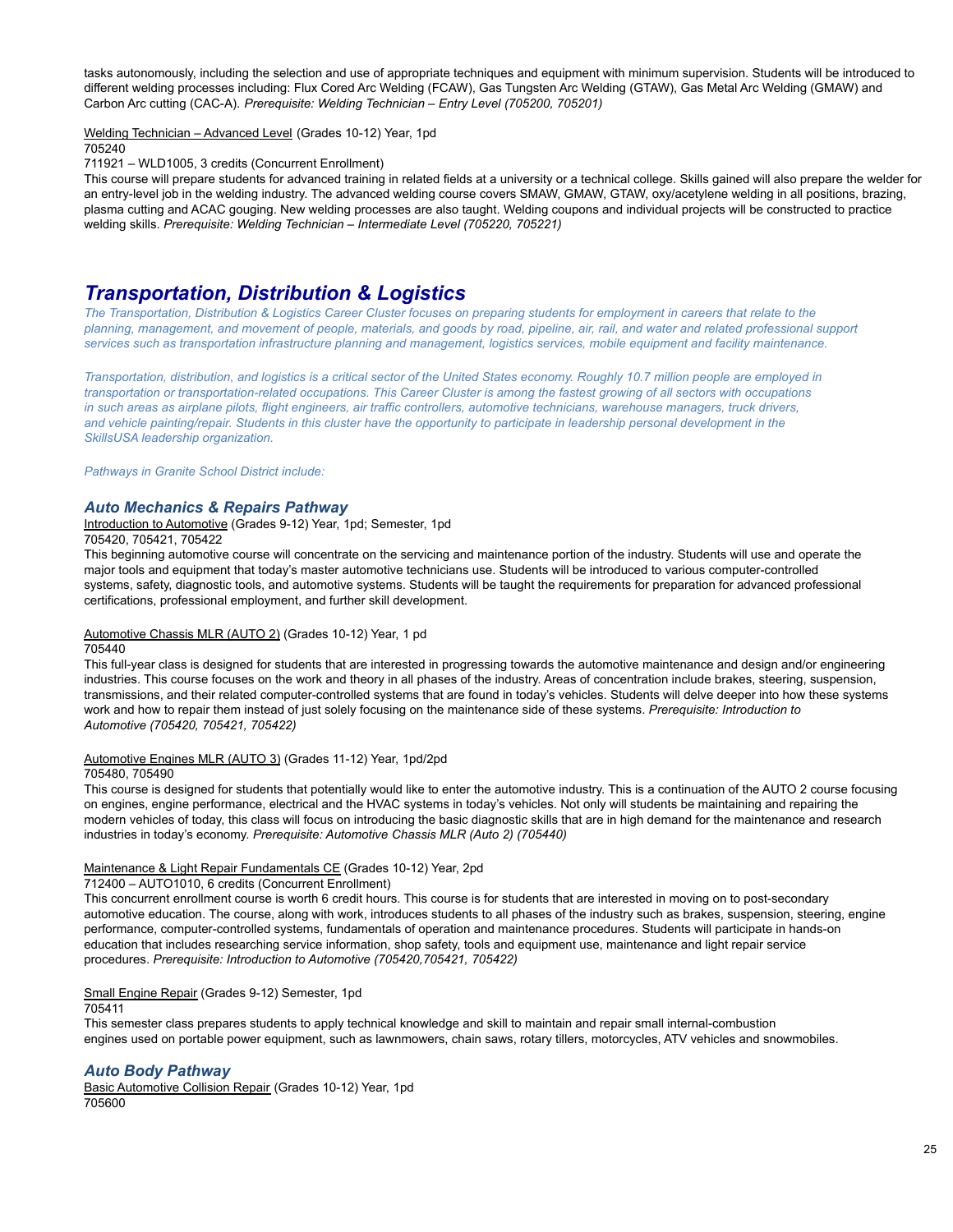tasks autonomously, including the selection and use of appropriate techniques and equipment with minimum supervision. Students will be introduced to different welding processes including: Flux Cored Arc Welding (FCAW), Gas Tungsten Arc Welding (GTAW), Gas Metal Arc Welding (GMAW) and Carbon Arc cutting (CAC-A). *Prerequisite: Welding Technician – Entry Level (705200, 705201)*

Welding Technician – Advanced Level (Grades 10-12) Year, 1pd

705240

711921 – WLD1005, 3 credits (Concurrent Enrollment)

This course will prepare students for advanced training in related fields at a university or a technical college. Skills gained will also prepare the welder for an entry-level job in the welding industry. The advanced welding course covers SMAW, GMAW, GTAW, oxy/acetylene welding in all positions, brazing, plasma cutting and ACAC gouging. New welding processes are also taught. Welding coupons and individual projects will be constructed to practice welding skills. *Prerequisite: Welding Technician – Intermediate Level (705220, 705221)*

# *Transportation, Distribution & Logistics*

The Transportation, Distribution & Logistics Career Cluster focuses on preparing students for employment in careers that relate to the planning, management, and movement of people, materials, and goods by road, pipeline, air, rail, and water and related professional support services such as transportation infrastructure planning and management, logistics services, mobile equipment and facility maintenance.

Transportation, distribution, and logistics is a critical sector of the United States economy. Roughly 10.7 million people are employed in transportation or transportation-related occupations. This Career Cluster is among the fastest growing of all sectors with occupations in such areas as airplane pilots, flight engineers, air traffic controllers, automotive technicians, warehouse managers, truck drivers, and vehicle painting/repair. Students in this cluster have the opportunity to participate in leadership personal development in the *SkillsUSA leadership organization.*

*Pathways in Granite School District include:*

### *Auto Mechanics & Repairs Pathway*

Introduction to Automotive (Grades 9-12) Year, 1pd; Semester, 1pd

705420, 705421, 705422

This beginning automotive course will concentrate on the servicing and maintenance portion of the industry. Students will use and operate the major tools and equipment that today's master automotive technicians use. Students will be introduced to various computer-controlled systems, safety, diagnostic tools, and automotive systems. Students will be taught the requirements for preparation for advanced professional certifications, professional employment, and further skill development.

### Automotive Chassis MLR (AUTO 2) (Grades 10-12) Year, 1 pd 705440

This full-year class is designed for students that are interested in progressing towards the automotive maintenance and design and/or engineering industries. This course focuses on the work and theory in all phases of the industry. Areas of concentration include brakes, steering, suspension, transmissions, and their related computer-controlled systems that are found in today's vehicles. Students will delve deeper into how these systems work and how to repair them instead of just solely focusing on the maintenance side of these systems. *Prerequisite: Introduction to Automotive (705420, 705421, 705422)*

### Automotive Engines MLR (AUTO 3) (Grades 11-12) Year, 1pd/2pd

705480, 705490

This course is designed for students that potentially would like to enter the automotive industry. This is a continuation of the AUTO 2 course focusing on engines, engine performance, electrical and the HVAC systems in today's vehicles. Not only will students be maintaining and repairing the modern vehicles of today, this class will focus on introducing the basic diagnostic skills that are in high demand for the maintenance and research industries in today's economy. *Prerequisite: Automotive Chassis MLR (Auto 2) (705440)*

### Maintenance & Light Repair Fundamentals CE (Grades 10-12) Year, 2pd

712400 – AUTO1010, 6 credits (Concurrent Enrollment)

This concurrent enrollment course is worth 6 credit hours. This course is for students that are interested in moving on to post-secondary automotive education. The course, along with work, introduces students to all phases of the industry such as brakes, suspension, steering, engine performance, computer-controlled systems, fundamentals of operation and maintenance procedures. Students will participate in hands-on education that includes researching service information, shop safety, tools and equipment use, maintenance and light repair service procedures. *Prerequisite: Introduction to Automotive (705420,705421, 705422)*

# Small Engine Repair (Grades 9-12) Semester, 1pd

705411

This semester class prepares students to apply technical knowledge and skill to maintain and repair small internal-combustion engines used on portable power equipment, such as lawnmowers, chain saws, rotary tillers, motorcycles, ATV vehicles and snowmobiles.

# *Auto Body Pathway*

Basic Automotive Collision Repair (Grades 10-12) Year, 1pd 705600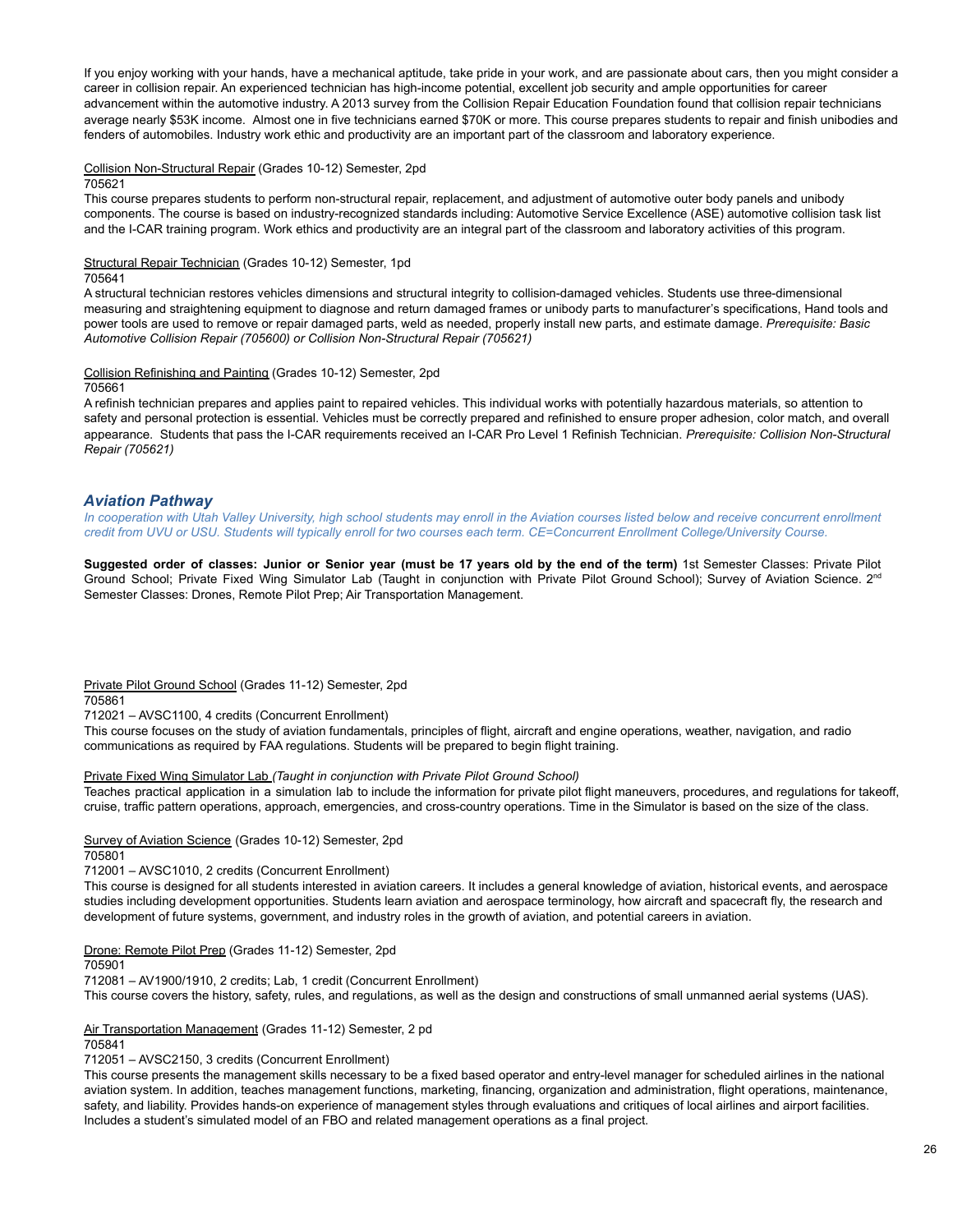If you enjoy working with your hands, have a mechanical aptitude, take pride in your work, and are passionate about cars, then you might consider a career in collision repair. An experienced technician has high-income potential, excellent job security and ample opportunities for career advancement within the automotive industry. A 2013 survey from the Collision Repair Education Foundation found that collision repair technicians average nearly \$53K income. Almost one in five technicians earned \$70K or more. This course prepares students to repair and finish unibodies and fenders of automobiles. Industry work ethic and productivity are an important part of the classroom and laboratory experience.

Collision Non-Structural Repair (Grades 10-12) Semester, 2pd

705621

This course prepares students to perform non-structural repair, replacement, and adjustment of automotive outer body panels and unibody components. The course is based on industry-recognized standards including: Automotive Service Excellence (ASE) automotive collision task list and the I-CAR training program. Work ethics and productivity are an integral part of the classroom and laboratory activities of this program.

Structural Repair Technician (Grades 10-12) Semester, 1pd

705641

A structural technician restores vehicles dimensions and structural integrity to collision-damaged vehicles. Students use three-dimensional measuring and straightening equipment to diagnose and return damaged frames or unibody parts to manufacturer's specifications, Hand tools and power tools are used to remove or repair damaged parts, weld as needed, properly install new parts, and estimate damage. *Prerequisite: Basic Automotive Collision Repair (705600) or Collision Non-Structural Repair (705621)*

Collision Refinishing and Painting (Grades 10-12) Semester, 2pd

705661

A refinish technician prepares and applies paint to repaired vehicles. This individual works with potentially hazardous materials, so attention to safety and personal protection is essential. Vehicles must be correctly prepared and refinished to ensure proper adhesion, color match, and overall appearance. Students that pass the I-CAR requirements received an I-CAR Pro Level 1 Refinish Technician. *Prerequisite: Collision Non-Structural Repair (705621)*

# *Aviation Pathway*

In cooperation with Utah Valley University, high school students may enroll in the Aviation courses listed below and receive concurrent enrollment credit from UVU or USU. Students will typically enroll for two courses each term. CE=Concurrent Enrollment College/University Course.

Suggested order of classes: Junior or Senior year (must be 17 years old by the end of the term) 1st Semester Classes: Private Pilot Ground School; Private Fixed Wing Simulator Lab (Taught in conjunction with Private Pilot Ground School); Survey of Aviation Science. 2<sup>nd</sup> Semester Classes: Drones, Remote Pilot Prep; Air Transportation Management.

Private Pilot Ground School (Grades 11-12) Semester, 2pd 705861

712021 – AVSC1100, 4 credits (Concurrent Enrollment)

This course focuses on the study of aviation fundamentals, principles of flight, aircraft and engine operations, weather, navigation, and radio communications as required by FAA regulations. Students will be prepared to begin flight training.

### Private Fixed Wing Simulator Lab *(Taught in conjunction with Private Pilot Ground School)*

Teaches practical application in a simulation lab to include the information for private pilot flight maneuvers, procedures, and regulations for takeoff, cruise, traffic pattern operations, approach, emergencies, and cross-country operations. Time in the Simulator is based on the size of the class.

Survey of Aviation Science (Grades 10-12) Semester, 2pd 705801

712001 – AVSC1010, 2 credits (Concurrent Enrollment)

This course is designed for all students interested in aviation careers. It includes a general knowledge of aviation, historical events, and aerospace studies including development opportunities. Students learn aviation and aerospace terminology, how aircraft and spacecraft fly, the research and development of future systems, government, and industry roles in the growth of aviation, and potential careers in aviation.

Drone: Remote Pilot Prep (Grades 11-12) Semester, 2pd

705901

712081 – AV1900/1910, 2 credits; Lab, 1 credit (Concurrent Enrollment) This course covers the history, safety, rules, and regulations, as well as the design and constructions of small unmanned aerial systems (UAS).

Air Transportation Management (Grades 11-12) Semester, 2 pd

705841

712051 – AVSC2150, 3 credits (Concurrent Enrollment)

This course presents the management skills necessary to be a fixed based operator and entry-level manager for scheduled airlines in the national aviation system. In addition, teaches management functions, marketing, financing, organization and administration, flight operations, maintenance, safety, and liability. Provides hands-on experience of management styles through evaluations and critiques of local airlines and airport facilities. Includes a student's simulated model of an FBO and related management operations as a final project.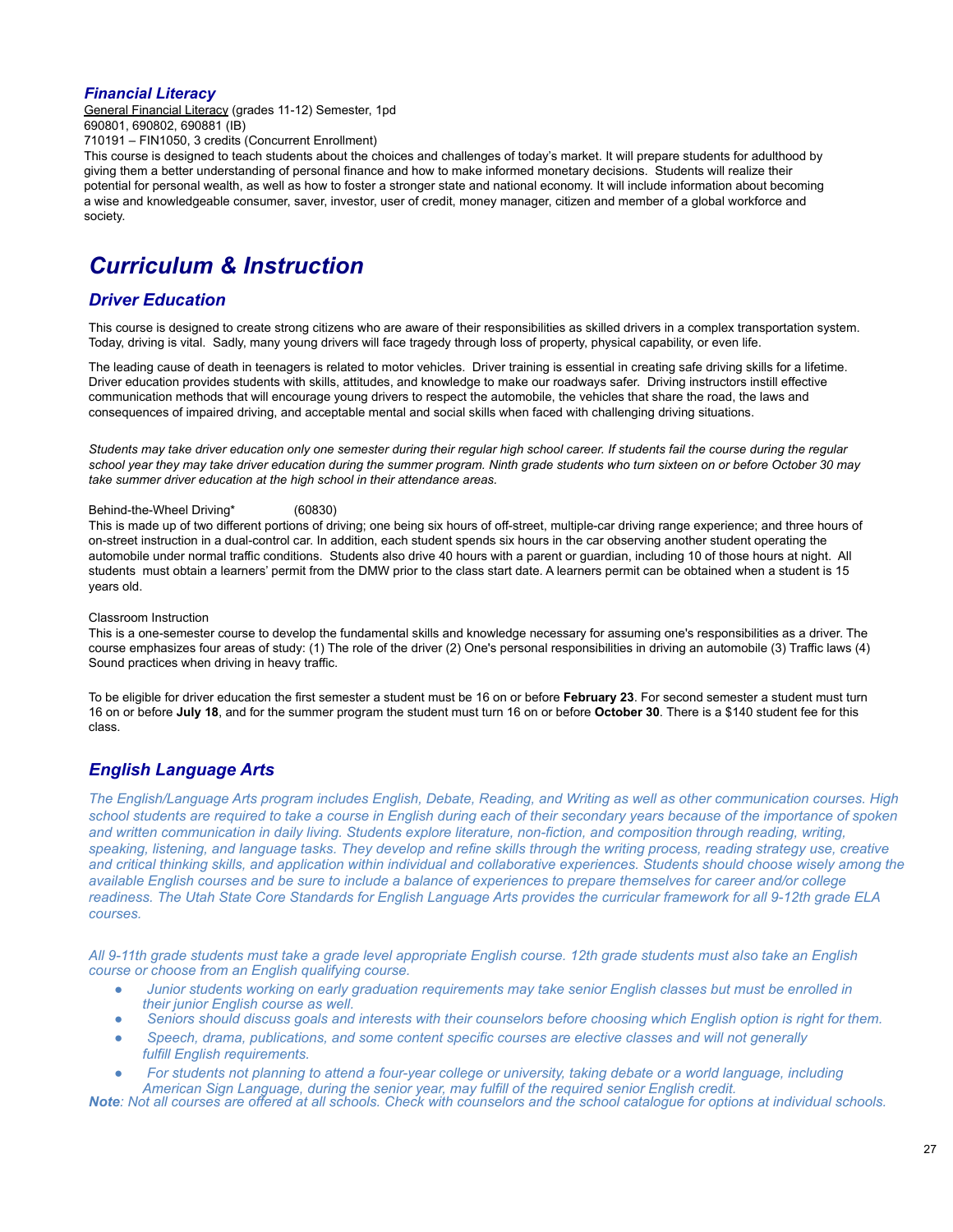# *Financial Literacy*

General Financial Literacy (grades 11-12) Semester, 1pd 690801, 690802, 690881 (IB)

710191 – FIN1050, 3 credits (Concurrent Enrollment)

This course is designed to teach students about the choices and challenges of today's market. It will prepare students for adulthood by giving them a better understanding of personal finance and how to make informed monetary decisions. Students will realize their potential for personal wealth, as well as how to foster a stronger state and national economy. It will include information about becoming a wise and knowledgeable consumer, saver, investor, user of credit, money manager, citizen and member of a global workforce and society.

# *Curriculum & Instruction*

# <span id="page-26-0"></span>*Driver Education*

This course is designed to create strong citizens who are aware of their responsibilities as skilled drivers in a complex transportation system. Today, driving is vital. Sadly, many young drivers will face tragedy through loss of property, physical capability, or even life.

The leading cause of death in teenagers is related to motor vehicles. Driver training is essential in creating safe driving skills for a lifetime. Driver education provides students with skills, attitudes, and knowledge to make our roadways safer. Driving instructors instill effective communication methods that will encourage young drivers to respect the automobile, the vehicles that share the road, the laws and consequences of impaired driving, and acceptable mental and social skills when faced with challenging driving situations.

Students may take driver education only one semester during their regular high school career. If students fail the course during the regular school year they may take driver education during the summer program. Ninth grade students who turn sixteen on or before October 30 may *take summer driver education at the high school in their attendance areas.*

### Behind-the-Wheel Driving\* (60830)

This is made up of two different portions of driving; one being six hours of off-street, multiple-car driving range experience; and three hours of on-street instruction in a dual-control car. In addition, each student spends six hours in the car observing another student operating the automobile under normal traffic conditions. Students also drive 40 hours with a parent or guardian, including 10 of those hours at night. All students must obtain a learners' permit from the DMW prior to the class start date. A learners permit can be obtained when a student is 15 years old.

### Classroom Instruction

This is a one-semester course to develop the fundamental skills and knowledge necessary for assuming one's responsibilities as a driver. The course emphasizes four areas of study: (1) The role of the driver (2) One's personal responsibilities in driving an automobile (3) Traffic laws (4) Sound practices when driving in heavy traffic.

To be eligible for driver education the first semester a student must be 16 on or before **February 23**. For second semester a student must turn 16 on or before **July 18**, and for the summer program the student must turn 16 on or before **October 30**. There is a \$140 student fee for this class.

# <span id="page-26-1"></span>*English Language Arts*

*The English/Language Arts program includes English, Debate, Reading, and Writing as well as other communication courses. High school students are required to take a course in English during each of their secondary years because of the importance of spoken and written communication in daily living. Students explore literature, non-fiction, and composition through reading, writing, speaking, listening, and language tasks. They develop and refine skills through the writing process, reading strategy use, creative and critical thinking skills, and application within individual and collaborative experiences. Students should choose wisely among the available English courses and be sure to include a balance of experiences to prepare themselves for career and/or college readiness. The Utah State Core Standards for English Language Arts provides the curricular framework for all 9-12th grade ELA courses.*

*All 9-11th grade students must take a grade level appropriate English course. 12th grade students must also take an English course or choose from an English qualifying course.*

- *● Junior students working on early graduation requirements may take senior English classes but must be enrolled in their junior English course as well.*
- *● Seniors should discuss goals and interests with their counselors before choosing which English option is right for them.*
- *● Speech, drama, publications, and some content specific courses are elective classes and will not generally fulfill English requirements.*
- *● For students not planning to attend a four-year college or university, taking debate or a world language, including American Sign Language, during the senior year, may fulfill of the required senior English credit.*

<span id="page-26-2"></span>*Note: Not all courses are offered at all schools. Check with counselors and the school catalogue for options at individual schools.*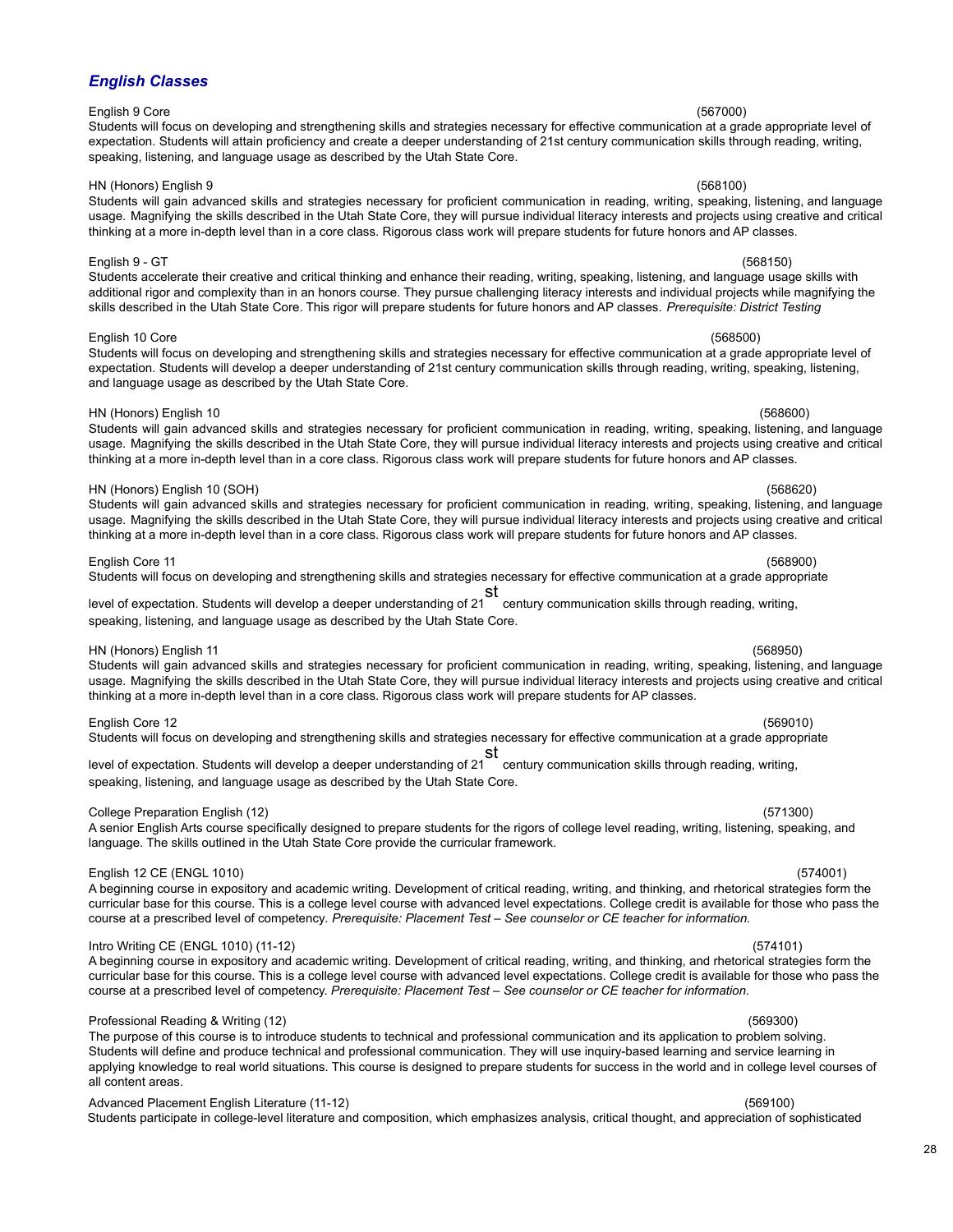# *English Classes*

# English 9 Core (567000)

Students will focus on developing and strengthening skills and strategies necessary for effective communication at a grade appropriate level of expectation. Students will attain proficiency and create a deeper understanding of 21st century communication skills through reading, writing, speaking, listening, and language usage as described by the Utah State Core.

### HN (Honors) English 9 (568100)

Students will gain advanced skills and strategies necessary for proficient communication in reading, writing, speaking, listening, and language usage. Magnifying the skills described in the Utah State Core, they will pursue individual literacy interests and projects using creative and critical thinking at a more in-depth level than in a core class. Rigorous class work will prepare students for future honors and AP classes.

### English 9 - GT (568150)

Students accelerate their creative and critical thinking and enhance their reading, writing, speaking, listening, and language usage skills with additional rigor and complexity than in an honors course. They pursue challenging literacy interests and individual projects while magnifying the skills described in the Utah State Core. This rigor will prepare students for future honors and AP classes. *Prerequisite: District Testing*

### English 10 Core (568500)

Students will focus on developing and strengthening skills and strategies necessary for effective communication at a grade appropriate level of expectation. Students will develop a deeper understanding of 21st century communication skills through reading, writing, speaking, listening, and language usage as described by the Utah State Core.

### HN (Honors) English 10 (568600)

Students will gain advanced skills and strategies necessary for proficient communication in reading, writing, speaking, listening, and language usage. Magnifying the skills described in the Utah State Core, they will pursue individual literacy interests and projects using creative and critical thinking at a more in-depth level than in a core class. Rigorous class work will prepare students for future honors and AP classes.

### HN (Honors) English 10 (SOH) (568620)

Students will gain advanced skills and strategies necessary for proficient communication in reading, writing, speaking, listening, and language usage. Magnifying the skills described in the Utah State Core, they will pursue individual literacy interests and projects using creative and critical thinking at a more in-depth level than in a core class. Rigorous class work will prepare students for future honors and AP classes.

# English Core 11 (568900)

Students will focus on developing and strengthening skills and strategies necessary for effective communication at a grade appropriate

level of expectation. Students will develop a deeper understanding of 21 st century communication skills through reading, writing, speaking, listening, and language usage as described by the Utah State Core.

### HN (Honors) English 11 (568950)

Students will gain advanced skills and strategies necessary for proficient communication in reading, writing, speaking, listening, and language usage. Magnifying the skills described in the Utah State Core, they will pursue individual literacy interests and projects using creative and critical thinking at a more in-depth level than in a core class. Rigorous class work will prepare students for AP classes.

### English Core 12 (569010)

Students will focus on developing and strengthening skills and strategies necessary for effective communication at a grade appropriate

level of expectation. Students will develop a deeper understanding of 21 st century communication skills through reading, writing, speaking, listening, and language usage as described by the Utah State Core.

# College Preparation English (12) (571300)

### A senior English Arts course specifically designed to prepare students for the rigors of college level reading, writing, listening, speaking, and language. The skills outlined in the Utah State Core provide the curricular framework.

# English 12 CE (ENGL 1010) (574001)

# A beginning course in expository and academic writing. Development of critical reading, writing, and thinking, and rhetorical strategies form the curricular base for this course. This is a college level course with advanced level expectations. College credit is available for those who pass the course at a prescribed level of competency*. Prerequisite: Placement Test – See counselor or CE teacher for information.*

Intro Writing CE (ENGL 1010) (11-12) (574101) A beginning course in expository and academic writing. Development of critical reading, writing, and thinking, and rhetorical strategies form the curricular base for this course. This is a college level course with advanced level expectations. College credit is available for those who pass the course at a prescribed level of competency. *Prerequisite: Placement Test – See counselor or CE teacher for information.*

# Professional Reading & Writing (12) (569300)

The purpose of this course is to introduce students to technical and professional communication and its application to problem solving. Students will define and produce technical and professional communication. They will use inquiry-based learning and service learning in applying knowledge to real world situations. This course is designed to prepare students for success in the world and in college level courses of all content areas.

# Advanced Placement English Literature (11-12) (569100)

Students participate in college-level literature and composition, which emphasizes analysis, critical thought, and appreciation of sophisticated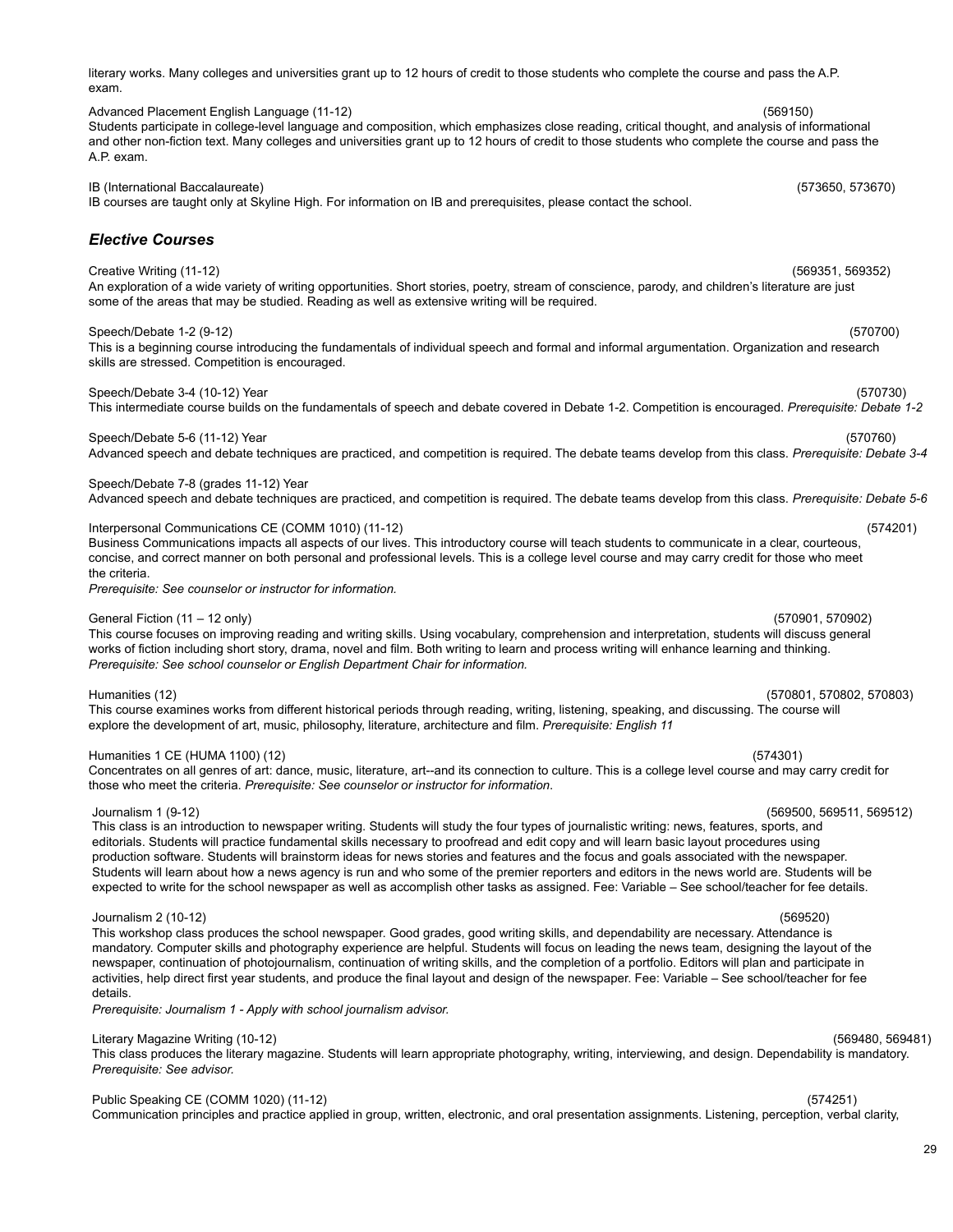literary works. Many colleges and universities grant up to 12 hours of credit to those students who complete the course and pass the A.P. exam.

Advanced Placement English Language (11-12) (569150) Students participate in college-level language and composition, which emphasizes close reading, critical thought, and analysis of informational and other non-fiction text. Many colleges and universities grant up to 12 hours of credit to those students who complete the course and pass the A.P. exam.

IB (International Baccalaureate) (573650, 573670) IB courses are taught only at Skyline High. For information on IB and prerequisites, please contact the school.

# *Elective Courses*

Creative Writing (11-12) (569351, 569352) An exploration of a wide variety of writing opportunities. Short stories, poetry, stream of conscience, parody, and children's literature are just some of the areas that may be studied. Reading as well as extensive writing will be required.

# Speech/Debate 1-2 (9-12) (570700)

This is a beginning course introducing the fundamentals of individual speech and formal and informal argumentation. Organization and research skills are stressed. Competition is encouraged.

Speech/Debate 3-4 (10-12) Year (570730) This intermediate course builds on the fundamentals of speech and debate covered in Debate 1-2. Competition is encouraged. *Prerequisite: Debate 1-2*

Speech/Debate 5-6 (11-12) Year (570760) (570760) Advanced speech and debate techniques are practiced, and competition is required. The debate teams develop from this class. *Prerequisite: Debate 3-4*

Speech/Debate 7-8 (grades 11-12) Year

Advanced speech and debate techniques are practiced, and competition is required. The debate teams develop from this class. *Prerequisite: Debate 5-6*

Interpersonal Communications CE (COMM 1010) (11-12) (574201)

Business Communications impacts all aspects of our lives. This introductory course will teach students to communicate in a clear, courteous, concise, and correct manner on both personal and professional levels. This is a college level course and may carry credit for those who meet the criteria.

*Prerequisite: See counselor or instructor for information.*

## General Fiction (11 – 12 only) (570901, 570902)

This course focuses on improving reading and writing skills. Using vocabulary, comprehension and interpretation, students will discuss general works of fiction including short story, drama, novel and film. Both writing to learn and process writing will enhance learning and thinking. *Prerequisite: See school counselor or English Department Chair for information.*

Humanities (12) (570801, 570802, 570803)

This course examines works from different historical periods through reading, writing, listening, speaking, and discussing. The course will explore the development of art, music, philosophy, literature, architecture and film. *Prerequisite: English 11*

# Humanities 1 CE (HUMA 1100) (12) (574301)

Concentrates on all genres of art: dance, music, literature, art--and its connection to culture. This is a college level course and may carry credit for those who meet the criteria. *Prerequisite: See counselor or instructor for information*.

# Journalism 1 (9-12) (569500, 569511, 569512)

This class is an introduction to newspaper writing. Students will study the four types of journalistic writing: news, features, sports, and editorials. Students will practice fundamental skills necessary to proofread and edit copy and will learn basic layout procedures using production software. Students will brainstorm ideas for news stories and features and the focus and goals associated with the newspaper. Students will learn about how a news agency is run and who some of the premier reporters and editors in the news world are. Students will be expected to write for the school newspaper as well as accomplish other tasks as assigned. Fee: Variable – See school/teacher for fee details.

### Journalism 2 (10-12) (569520)

This workshop class produces the school newspaper. Good grades, good writing skills, and dependability are necessary. Attendance is mandatory. Computer skills and photography experience are helpful. Students will focus on leading the news team, designing the layout of the newspaper, continuation of photojournalism, continuation of writing skills, and the completion of a portfolio. Editors will plan and participate in activities, help direct first year students, and produce the final layout and design of the newspaper. Fee: Variable – See school/teacher for fee details.

*Prerequisite: Journalism 1 - Apply with school journalism advisor.*

# Literary Magazine Writing (10-12) (569480, 569481)

This class produces the literary magazine. Students will learn appropriate photography, writing, interviewing, and design. Dependability is mandatory. *Prerequisite: See advisor.*

# Public Speaking CE (COMM 1020) (11-12) (574251)

Communication principles and practice applied in group, written, electronic, and oral presentation assignments. Listening, perception, verbal clarity,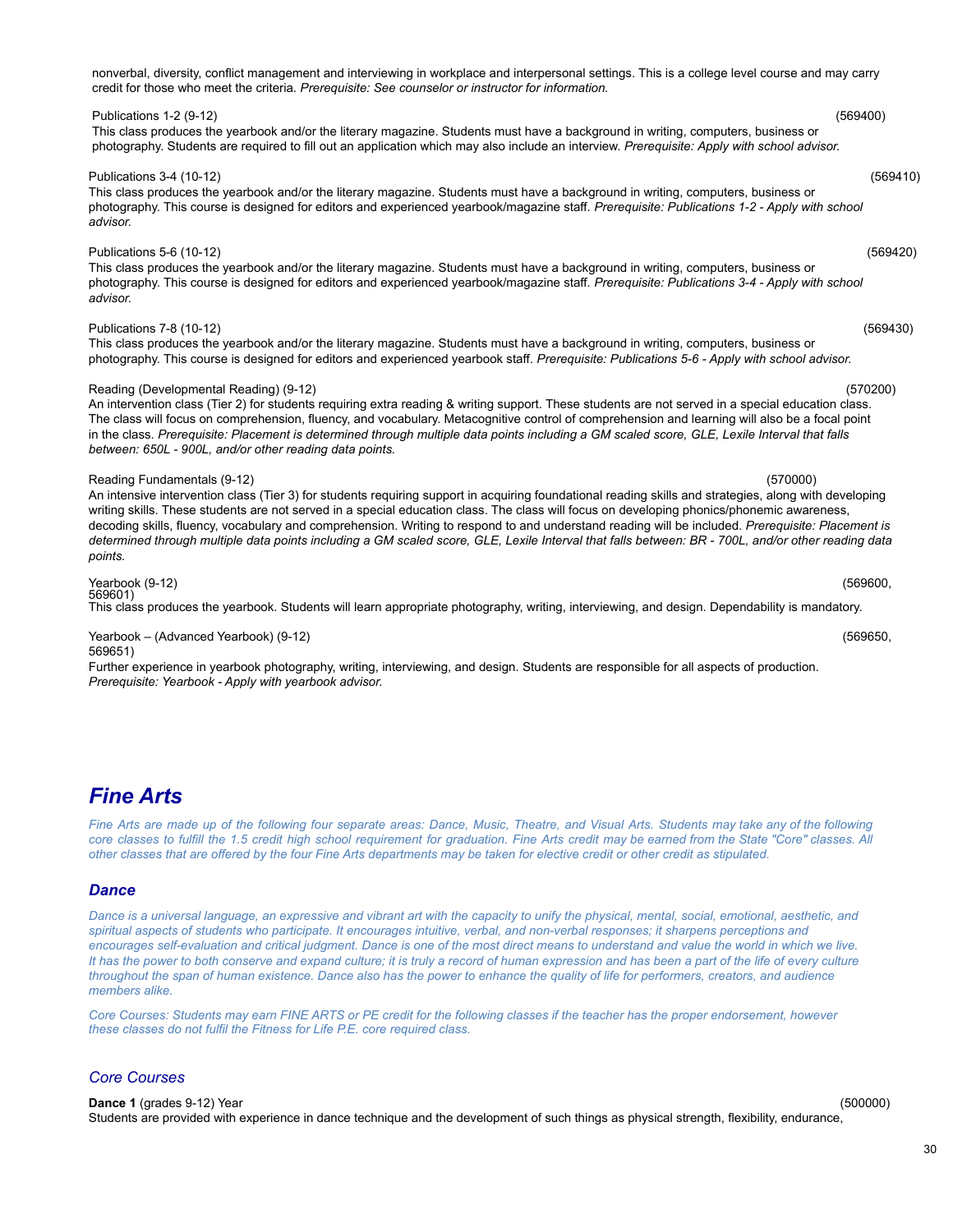<span id="page-29-0"></span>*Fine Arts*

Fine Arts are made up of the following four separate areas: Dance, Music, Theatre, and Visual Arts. Students may take any of the following core classes to fulfill the 1.5 credit high school requirement for graduation. Fine Arts credit may be earned from the State "Core" classes. All other classes that are offered by the four Fine Arts departments may be taken for elective credit or other credit as stipulated.

# <span id="page-29-1"></span>*Dance*

Dance is a universal language, an expressive and vibrant art with the capacity to unify the physical, mental, social, emotional, aesthetic, and spiritual aspects of students who participate. It encourages intuitive, verbal, and non-verbal responses; it sharpens perceptions and encourages self-evaluation and critical judgment. Dance is one of the most direct means to understand and value the world in which we live. It has the power to both conserve and expand culture; it is truly a record of human expression and has been a part of the life of every culture throughout the span of human existence. Dance also has the power to enhance the quality of life for performers, creators, and audience *members alike.*

Core Courses: Students may earn FINE ARTS or PE credit for the following classes if the teacher has the proper endorsement, however *these classes do not fulfil the Fitness for Life P.E. core required class.*

# *Core Courses*

**Dance 1** (grades 9-12) Year (500000) Students are provided with experience in dance technique and the development of such things as physical strength, flexibility, endurance,

Publications 1-2 (9-12) (569400)

### This class produces the yearbook and/or the literary magazine. Students must have a background in writing, computers, business or photography. Students are required to fill out an application which may also include an interview. *Prerequisite: Apply with school advisor.*

credit for those who meet the criteria*. Prerequisite: See counselor or instructor for information.*

Publications 3-4 (10-12) (569410)

This class produces the yearbook and/or the literary magazine. Students must have a background in writing, computers, business or photography. This course is designed for editors and experienced yearbook/magazine staff*. Prerequisite: Publications 1-2 - Apply with school advisor.*

nonverbal, diversity, conflict management and interviewing in workplace and interpersonal settings. This is a college level course and may carry

## Publications 5-6 (10-12) (569420)

This class produces the yearbook and/or the literary magazine. Students must have a background in writing, computers, business or photography. This course is designed for editors and experienced yearbook/magazine staff*. Prerequisite: Publications 3-4 - Apply with school advisor.*

### Publications 7-8 (10-12) (569430)

This class produces the yearbook and/or the literary magazine. Students must have a background in writing, computers, business or photography. This course is designed for editors and experienced yearbook staff. *Prerequisite: Publications 5-6 - Apply with school advisor.*

### Reading (Developmental Reading) (9-12) (570200)

An intervention class (Tier 2) for students requiring extra reading & writing support. These students are not served in a special education class. The class will focus on comprehension, fluency, and vocabulary. Metacognitive control of comprehension and learning will also be a focal point in the class. Prerequisite: Placement is determined through multiple data points including a GM scaled score, GLE, Lexile Interval that falls *between: 650L - 900L, and/or other reading data points.*

### Reading Fundamentals (9-12) (570000)

An intensive intervention class (Tier 3) for students requiring support in acquiring foundational reading skills and strategies, along with developing writing skills. These students are not served in a special education class. The class will focus on developing phonics/phonemic awareness, decoding skills, fluency, vocabulary and comprehension. Writing to respond to and understand reading will be included. *Prerequisite: Placement is* determined through multiple data points including a GM scaled score, GLE, Lexile Interval that falls between: BR - 700L, and/or other reading data *points.*

Yearbook (9-12) (569600, 569601) This class produces the yearbook. Students will learn appropriate photography, writing, interviewing, and design. Dependability is mandatory.

Yearbook – (Advanced Yearbook) (9-12) (569650, 569651)

Further experience in yearbook photography, writing, interviewing, and design. Students are responsible for all aspects of production. *Prerequisite: Yearbook - Apply with yearbook advisor.*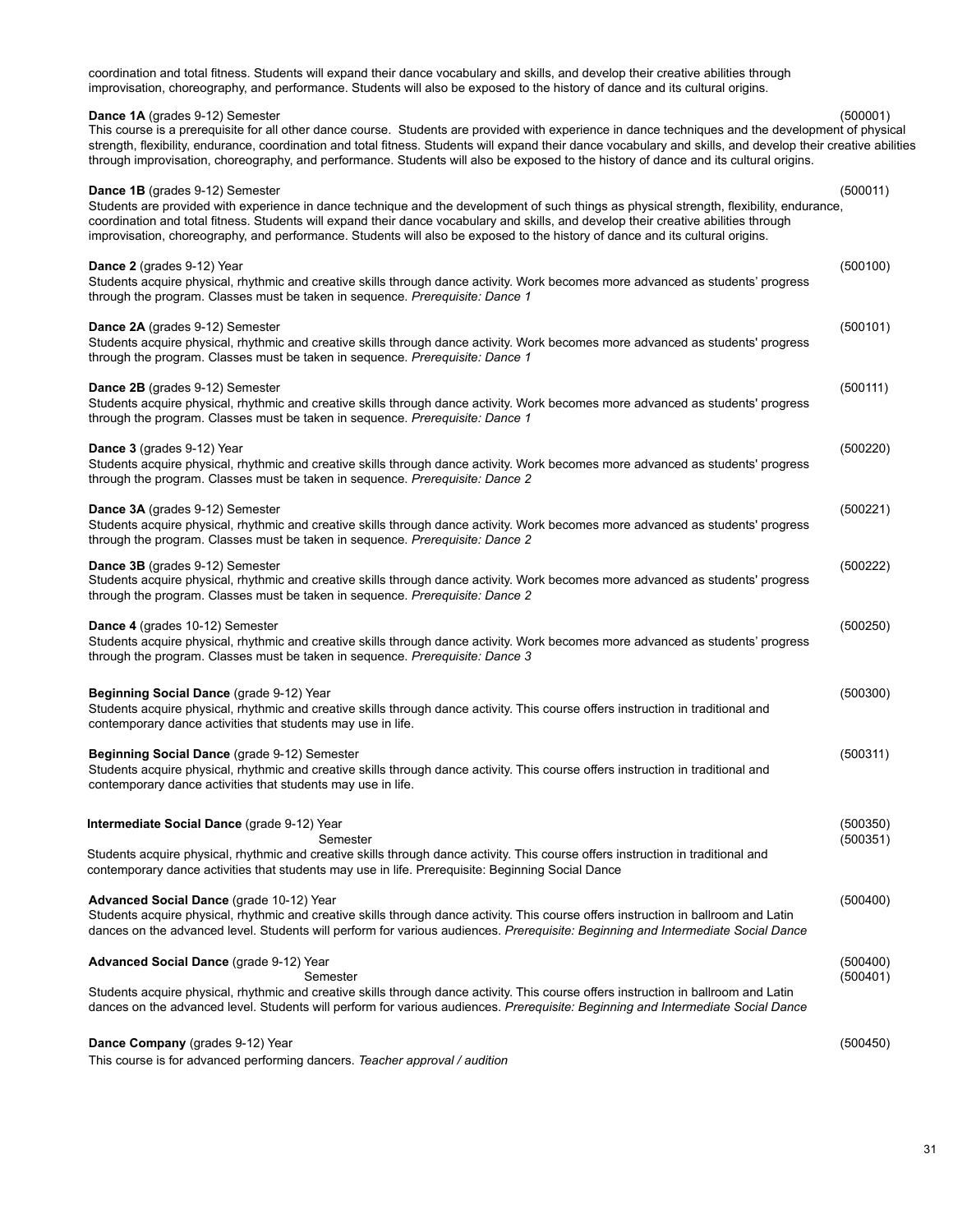| coordination and total fitness. Students will expand their dance vocabulary and skills, and develop their creative abilities through<br>improvisation, choreography, and performance. Students will also be exposed to the history of dance and its cultural origins.                                                                                                                                                                                                                                    |                      |
|----------------------------------------------------------------------------------------------------------------------------------------------------------------------------------------------------------------------------------------------------------------------------------------------------------------------------------------------------------------------------------------------------------------------------------------------------------------------------------------------------------|----------------------|
| <b>Dance 1A</b> (grades 9-12) Semester<br>This course is a prerequisite for all other dance course. Students are provided with experience in dance techniques and the development of physical<br>strength, flexibility, endurance, coordination and total fitness. Students will expand their dance vocabulary and skills, and develop their creative abilities<br>through improvisation, choreography, and performance. Students will also be exposed to the history of dance and its cultural origins. | (500001)             |
| Dance 1B (grades 9-12) Semester<br>Students are provided with experience in dance technique and the development of such things as physical strength, flexibility, endurance,<br>coordination and total fitness. Students will expand their dance vocabulary and skills, and develop their creative abilities through<br>improvisation, choreography, and performance. Students will also be exposed to the history of dance and its cultural origins.                                                    | (500011)             |
| Dance 2 (grades 9-12) Year<br>Students acquire physical, rhythmic and creative skills through dance activity. Work becomes more advanced as students' progress<br>through the program. Classes must be taken in sequence. Prerequisite: Dance 1                                                                                                                                                                                                                                                          | (500100)             |
| Dance 2A (grades 9-12) Semester<br>Students acquire physical, rhythmic and creative skills through dance activity. Work becomes more advanced as students' progress<br>through the program. Classes must be taken in sequence. Prerequisite: Dance 1                                                                                                                                                                                                                                                     | (500101)             |
| Dance 2B (grades 9-12) Semester<br>Students acquire physical, rhythmic and creative skills through dance activity. Work becomes more advanced as students' progress<br>through the program. Classes must be taken in sequence. Prerequisite: Dance 1                                                                                                                                                                                                                                                     | (500111)             |
| Dance 3 (grades 9-12) Year<br>Students acquire physical, rhythmic and creative skills through dance activity. Work becomes more advanced as students' progress<br>through the program. Classes must be taken in sequence. Prerequisite: Dance 2                                                                                                                                                                                                                                                          | (500220)             |
| Dance 3A (grades 9-12) Semester<br>Students acquire physical, rhythmic and creative skills through dance activity. Work becomes more advanced as students' progress<br>through the program. Classes must be taken in sequence. Prerequisite: Dance 2                                                                                                                                                                                                                                                     | (500221)             |
| <b>Dance 3B</b> (grades 9-12) Semester<br>Students acquire physical, rhythmic and creative skills through dance activity. Work becomes more advanced as students' progress<br>through the program. Classes must be taken in sequence. Prerequisite: Dance 2                                                                                                                                                                                                                                              | (500222)             |
| Dance 4 (grades 10-12) Semester<br>Students acquire physical, rhythmic and creative skills through dance activity. Work becomes more advanced as students' progress<br>through the program. Classes must be taken in sequence. Prerequisite: Dance 3                                                                                                                                                                                                                                                     | (500250)             |
| Beginning Social Dance (grade 9-12) Year<br>Students acquire physical, rhythmic and creative skills through dance activity. This course offers instruction in traditional and<br>contemporary dance activities that students may use in life.                                                                                                                                                                                                                                                            | (500300)             |
| Beginning Social Dance (grade 9-12) Semester<br>Students acquire physical, rhythmic and creative skills through dance activity. This course offers instruction in traditional and<br>contemporary dance activities that students may use in life.                                                                                                                                                                                                                                                        | (500311)             |
| Intermediate Social Dance (grade 9-12) Year<br>Semester<br>Students acquire physical, rhythmic and creative skills through dance activity. This course offers instruction in traditional and<br>contemporary dance activities that students may use in life. Prerequisite: Beginning Social Dance                                                                                                                                                                                                        | (500350)<br>(500351) |
| Advanced Social Dance (grade 10-12) Year<br>Students acquire physical, rhythmic and creative skills through dance activity. This course offers instruction in ballroom and Latin<br>dances on the advanced level. Students will perform for various audiences. Prerequisite: Beginning and Intermediate Social Dance                                                                                                                                                                                     | (500400)             |
| Advanced Social Dance (grade 9-12) Year<br>Semester                                                                                                                                                                                                                                                                                                                                                                                                                                                      | (500400)<br>(500401) |
| Students acquire physical, rhythmic and creative skills through dance activity. This course offers instruction in ballroom and Latin<br>dances on the advanced level. Students will perform for various audiences. Prerequisite: Beginning and Intermediate Social Dance                                                                                                                                                                                                                                 |                      |
| Dance Company (grades 9-12) Year                                                                                                                                                                                                                                                                                                                                                                                                                                                                         | (500450)             |

This course is for advanced performing dancers. *Teacher approval / audition*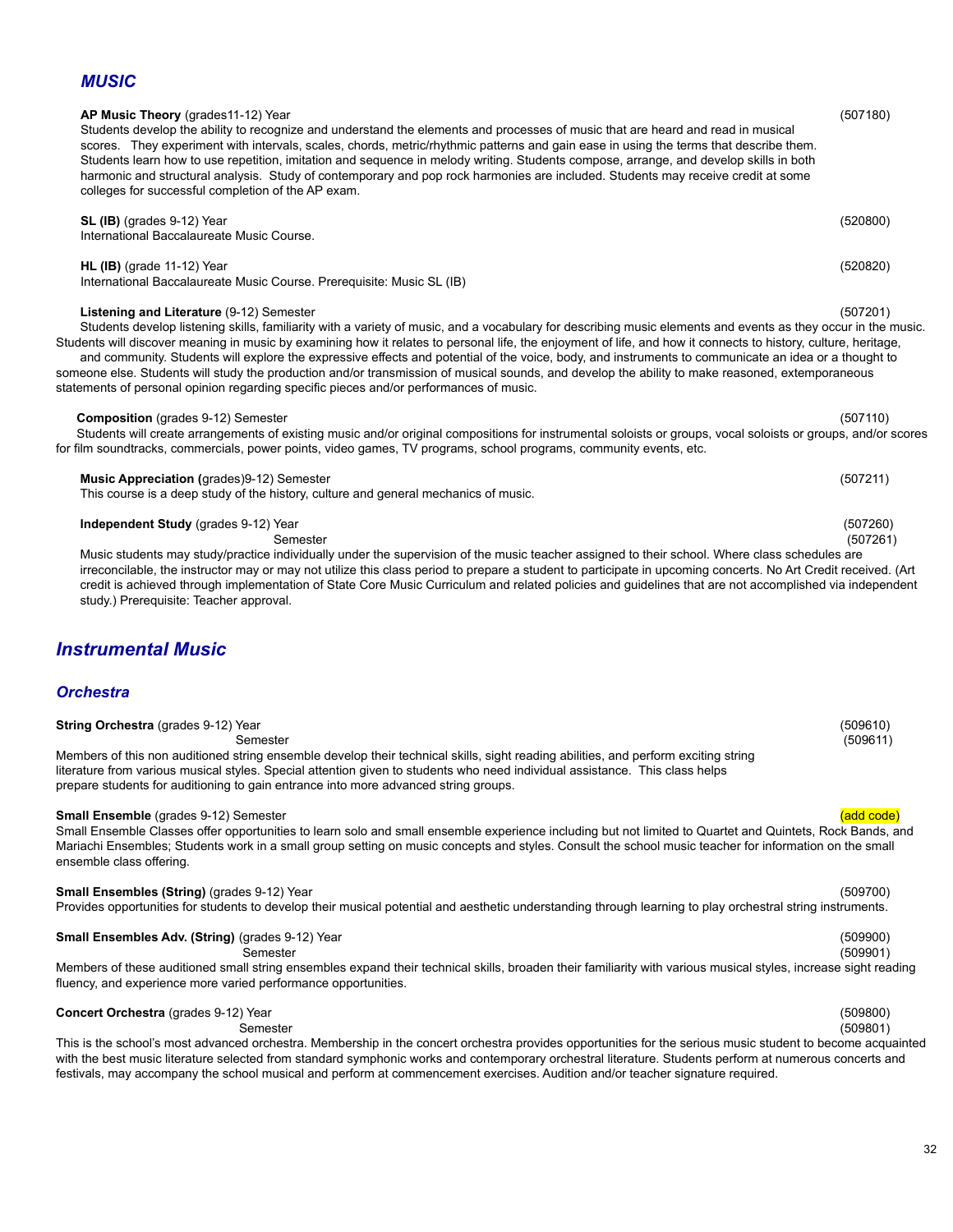# *MUSIC*

# **AP Music Theory** (grades11-12) Year (507180)

Students develop the ability to recognize and understand the elements and processes of music that are heard and read in musical scores. They experiment with intervals, scales, chords, metric/rhythmic patterns and gain ease in using the terms that describe them. Students learn how to use repetition, imitation and sequence in melody writing. Students compose, arrange, and develop skills in both harmonic and structural analysis. Study of contemporary and pop rock harmonies are included. Students may receive credit at some colleges for successful completion of the AP exam.

# **SL (IB)** (grades 9-12) Year (520800) International Baccalaureate Music Course. **HL (IB)** (grade 11-12) Year (520820)

International Baccalaureate Music Course. Prerequisite: Music SL (IB)

# **Listening and Literature** (9-12) Semester (507201)

Students develop listening skills, familiarity with a variety of music, and a vocabulary for describing music elements and events as they occur in the music. Students will discover meaning in music by examining how it relates to personal life, the enjoyment of life, and how it connects to history, culture, heritage, and community. Students will explore the expressive effects and potential of the voice, body, and instruments to communicate an idea or a thought to someone else. Students will study the production and/or transmission of musical sounds, and develop the ability to make reasoned, extemporaneous statements of personal opinion regarding specific pieces and/or performances of music.

# **Composition** (grades 9-12) Semester (507110)

Students will create arrangements of existing music and/or original compositions for instrumental soloists or groups, vocal soloists or groups, and/or scores for film soundtracks, commercials, power points, video games, TV programs, school programs, community events, etc.

### **Music Appreciation** (grades)9-12) Semester (507211)

This course is a deep study of the history, culture and general mechanics of music.

### **Independent Study** (grades 9-12) Year (507260)

Semester (507261) Music students may study/practice individually under the supervision of the music teacher assigned to their school. Where class schedules are irreconcilable, the instructor may or may not utilize this class period to prepare a student to participate in upcoming concerts. No Art Credit received. (Art credit is achieved through implementation of State Core Music Curriculum and related policies and guidelines that are not accomplished via independent study.) Prerequisite: Teacher approval.

# *Instrumental Music*

# *Orchestra*

| <b>String Orchestra</b> (grades 9-12) Year                                                                                          | (509610) |
|-------------------------------------------------------------------------------------------------------------------------------------|----------|
| Semester                                                                                                                            | (509611) |
| Members of this non auditioned string ensemble develop their technical skills, sight reading abilities, and perform exciting string |          |
| literature from various musical styles. Special attention given to students who need individual assistance. This class helps        |          |
| prepare students for auditioning to gain entrance into more advanced string groups.                                                 |          |

### **Small Ensemble** (grades 9-12) Semester (and code) and code (add code) and code (and code) and code (add code)

Small Ensemble Classes offer opportunities to learn solo and small ensemble experience including but not limited to Quartet and Quintets, Rock Bands, and Mariachi Ensembles; Students work in a small group setting on music concepts and styles. Consult the school music teacher for information on the small ensemble class offering.

# **Small Ensembles (String)** (grades 9-12) Year (509700)

# Provides opportunities for students to develop their musical potential and aesthetic understanding through learning to play orchestral string instruments.

# **Small Ensembles Adv. (String)** (grades 9-12) Year (509900)

Semester (509901)

Members of these auditioned small string ensembles expand their technical skills, broaden their familiarity with various musical styles, increase sight reading fluency, and experience more varied performance opportunities.

**Concert Orchestra** (grades 9-12) Year (509800)<br>
Semester (509801) Semester (509801) This is the school's most advanced orchestra. Membership in the concert orchestra provides opportunities for the serious music student to become acquainted with the best music literature selected from standard symphonic works and contemporary orchestral literature. Students perform at numerous concerts and festivals, may accompany the school musical and perform at commencement exercises. Audition and/or teacher signature required.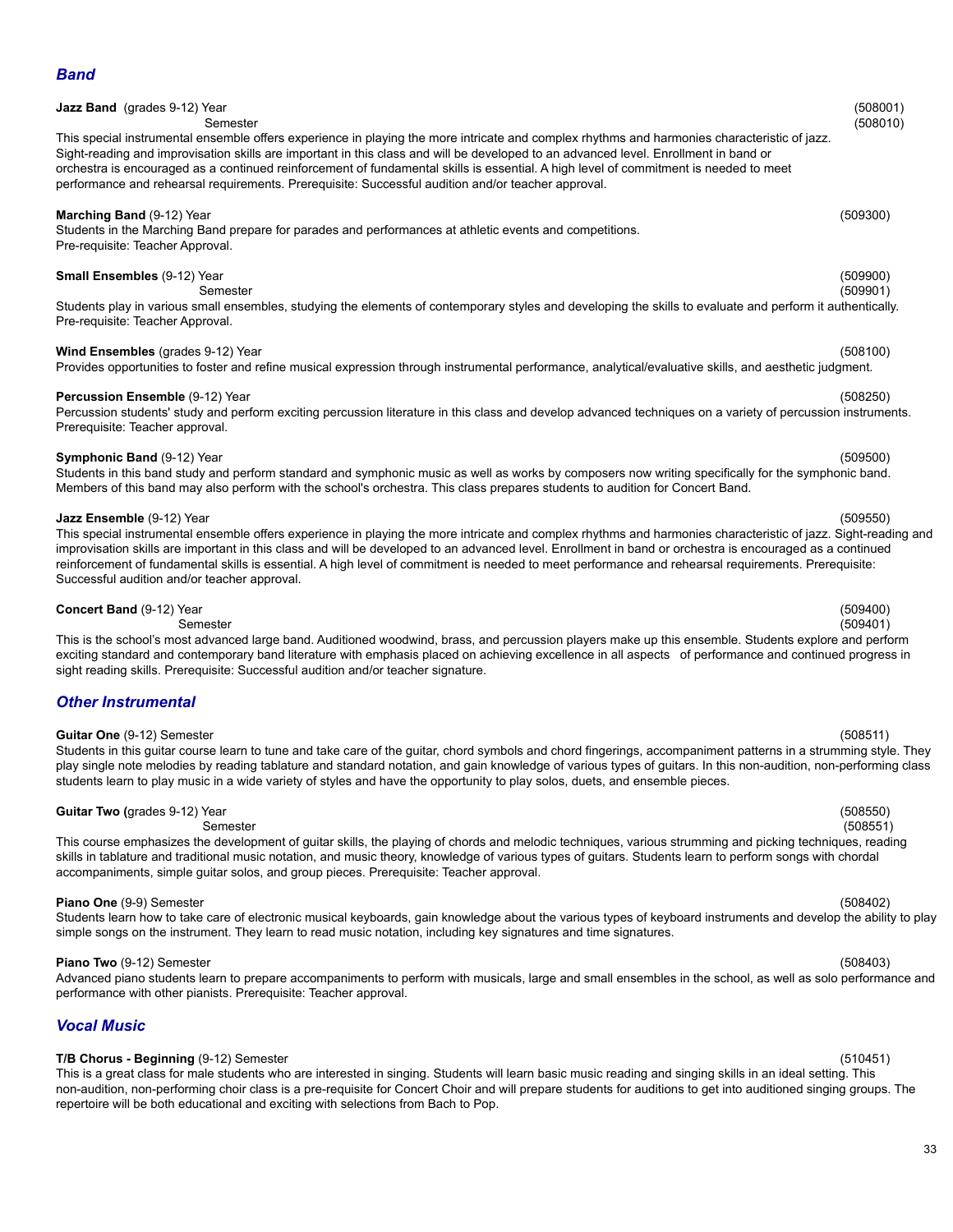# **Jazz Band** (grades 9-12) Year (508001) Semester (508010) This special instrumental ensemble offers experience in playing the more intricate and complex rhythms and harmonies characteristic of jazz. Sight-reading and improvisation skills are important in this class and will be developed to an advanced level. Enrollment in band or orchestra is encouraged as a continued reinforcement of fundamental skills is essential. A high level of commitment is needed to meet performance and rehearsal requirements. Prerequisite: Successful audition and/or teacher approval. **Marching Band** (9-12) Year (509300) Students in the Marching Band prepare for parades and performances at athletic events and competitions. Pre-requisite: Teacher Approval. **Small Ensembles** (9-12) Year (509900) Semester (509901) Students play in various small ensembles, studying the elements of contemporary styles and developing the skills to evaluate and perform it authentically. Pre-requisite: Teacher Approval. **Wind Ensembles** (grades 9-12) Year (508100) Provides opportunities to foster and refine musical expression through instrumental performance, analytical/evaluative skills, and aesthetic judgment. **Percussion Ensemble** (9-12) Year (508250) Percussion students' study and perform exciting percussion literature in this class and develop advanced techniques on a variety of percussion instruments. Prerequisite: Teacher approval. **Symphonic Band** (9-12) Year (509500) Students in this band study and perform standard and symphonic music as well as works by composers now writing specifically for the symphonic band. Members of this band may also perform with the school's orchestra. This class prepares students to audition for Concert Band. **Jazz Ensemble** (9-12) Year (509550) This special instrumental ensemble offers experience in playing the more intricate and complex rhythms and harmonies characteristic of jazz. Sight-reading and improvisation skills are important in this class and will be developed to an advanced level. Enrollment in band or orchestra is encouraged as a continued reinforcement of fundamental skills is essential. A high level of commitment is needed to meet performance and rehearsal requirements. Prerequisite: Successful audition and/or teacher approval.

### **Concert Band** (9-12) Year (509400)

Semester (509401) This is the school's most advanced large band. Auditioned woodwind, brass, and percussion players make up this ensemble. Students explore and perform exciting standard and contemporary band literature with emphasis placed on achieving excellence in all aspects of performance and continued progress in sight reading skills. Prerequisite: Successful audition and/or teacher signature.

# *Other Instrumental*

### **Guitar One** (9-12) Semester (508511)

Students in this guitar course learn to tune and take care of the guitar, chord symbols and chord fingerings, accompaniment patterns in a strumming style. They play single note melodies by reading tablature and standard notation, and gain knowledge of various types of guitars. In this non-audition, non-performing class students learn to play music in a wide variety of styles and have the opportunity to play solos, duets, and ensemble pieces.

# **Guitar Two (**grades 9-12) Year (508550)

This course emphasizes the development of guitar skills, the playing of chords and melodic techniques, various strumming and picking techniques, reading skills in tablature and traditional music notation, and music theory, knowledge of various types of guitars. Students learn to perform songs with chordal accompaniments, simple guitar solos, and group pieces. Prerequisite: Teacher approval.

### **Piano One** (9-9) Semester (508402)

Students learn how to take care of electronic musical keyboards, gain knowledge about the various types of keyboard instruments and develop the ability to play simple songs on the instrument. They learn to read music notation, including key signatures and time signatures.

### **Piano Two** (9-12) Semester (508403)

Advanced piano students learn to prepare accompaniments to perform with musicals, large and small ensembles in the school, as well as solo performance and performance with other pianists. Prerequisite: Teacher approval.

# *Vocal Music*

# **T/B Chorus - Beginning** (9-12) Semester (510451)

This is a great class for male students who are interested in singing. Students will learn basic music reading and singing skills in an ideal setting. This non-audition, non-performing choir class is a pre-requisite for Concert Choir and will prepare students for auditions to get into auditioned singing groups. The repertoire will be both educational and exciting with selections from Bach to Pop.

# Semester (508551)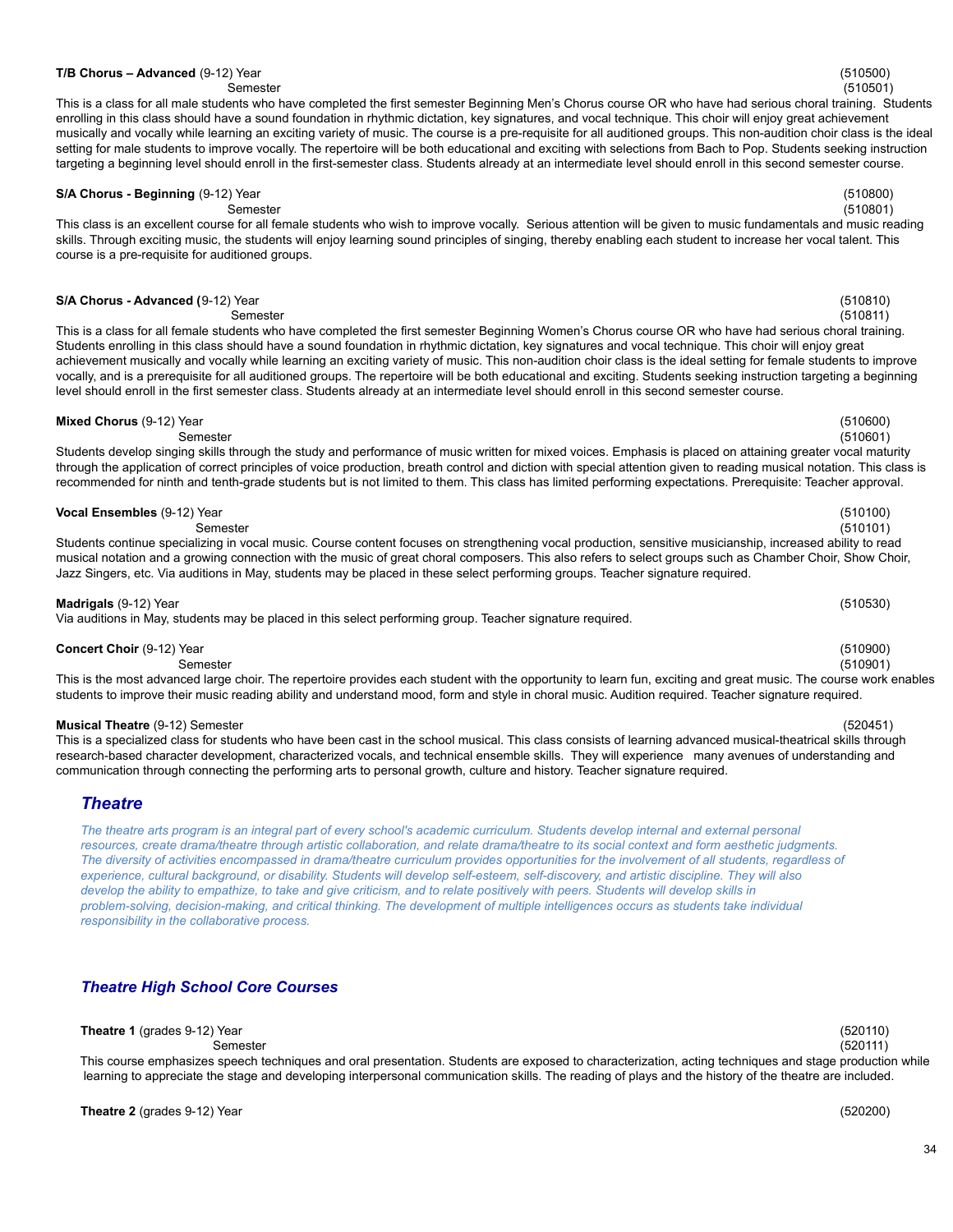**Theatre 1** (grades 9-12) Year (520110)

| (510530) |  |
|----------|--|
|          |  |

# **T/B Chorus – Advanced** (9-12) Year (510500)

Semester (510501) This is a class for all male students who have completed the first semester Beginning Men's Chorus course OR who have had serious choral training. Students enrolling in this class should have a sound foundation in rhythmic dictation, key signatures, and vocal technique. This choir will enjoy great achievement musically and vocally while learning an exciting variety of music. The course is a pre-requisite for all auditioned groups. This non-audition choir class is the ideal setting for male students to improve vocally. The repertoire will be both educational and exciting with selections from Bach to Pop. Students seeking instruction targeting a beginning level should enroll in the first-semester class. Students already at an intermediate level should enroll in this second semester course.

# **S/A Chorus - Beginning** (9-12) Year (510800)

Semester (510801) This class is an excellent course for all female students who wish to improve vocally. Serious attention will be given to music fundamentals and music reading skills. Through exciting music, the students will enjoy learning sound principles of singing, thereby enabling each student to increase her vocal talent. This course is a pre-requisite for auditioned groups.

## **S/A Chorus - Advanced (**9-12) Year (510810)

Semester (510811)

This is a class for all female students who have completed the first semester Beginning Women's Chorus course OR who have had serious choral training. Students enrolling in this class should have a sound foundation in rhythmic dictation, key signatures and vocal technique. This choir will enjoy great achievement musically and vocally while learning an exciting variety of music. This non-audition choir class is the ideal setting for female students to improve vocally, and is a prerequisite for all auditioned groups. The repertoire will be both educational and exciting. Students seeking instruction targeting a beginning level should enroll in the first semester class. Students already at an intermediate level should enroll in this second semester course.

# **Mixed Chorus** (9-12) Year (510600)

Semester (510601) Students develop singing skills through the study and performance of music written for mixed voices. Emphasis is placed on attaining greater vocal maturity through the application of correct principles of voice production, breath control and diction with special attention given to reading musical notation. This class is recommended for ninth and tenth-grade students but is not limited to them. This class has limited performing expectations. Prerequisite: Teacher approval.

| Semester                                                                                                                                                                                                                                                                                   | (510101) |
|--------------------------------------------------------------------------------------------------------------------------------------------------------------------------------------------------------------------------------------------------------------------------------------------|----------|
| Students continue specializing in vocal music. Course content focuses on strengthening vocal production, sensitive musicianship, increased ability to read                                                                                                                                 |          |
| musical notation and a growing connection with the music of great choral composers. This also refers to select groups such as Chamber Choir, Show Choir,<br>Jazz Singers, etc. Via auditions in May, students may be placed in these select performing groups. Teacher signature required. |          |
| <b>Madrigals</b> (9-12) Year                                                                                                                                                                                                                                                               | (510530) |

**Vocal Ensembles** (9-12) Year (510100)

Via auditions in May, students may be placed in this select performing group. Teacher signature required.

# **Concert Choir** (9-12) Year (510900)

Semester (510901) This is the most advanced large choir. The repertoire provides each student with the opportunity to learn fun, exciting and great music. The course work enables students to improve their music reading ability and understand mood, form and style in choral music. Audition required. Teacher signature required.

# **Musical Theatre** (9-12) Semester (520451)

This is a specialized class for students who have been cast in the school musical. This class consists of learning advanced musical-theatrical skills through research-based character development, characterized vocals, and technical ensemble skills. They will experience many avenues of understanding and communication through connecting the performing arts to personal growth, culture and history. Teacher signature required.

# <span id="page-33-0"></span>*Theatre*

The theatre arts program is an integral part of every school's academic curriculum. Students develop internal and external personal resources, create drama/theatre through artistic collaboration, and relate drama/theatre to its social context and form aesthetic judgments. The diversity of activities encompassed in drama/theatre curriculum provides opportunities for the involvement of all students, regardless of experience, cultural background, or disability. Students will develop self-esteem, self-discovery, and artistic discipline. They will also develop the ability to empathize, to take and give criticism, and to relate positively with peers. Students will develop skills in problem-solving, decision-making, and critical thinking. The development of multiple intelligences occurs as students take individual *responsibility in the collaborative process.*

# *Theatre High School Core Courses*

Semester (520111) This course emphasizes speech techniques and oral presentation. Students are exposed to characterization, acting techniques and stage production while learning to appreciate the stage and developing interpersonal communication skills. The reading of plays and the history of the theatre are included.

**Theatre 2** (grades 9-12) Year (520200)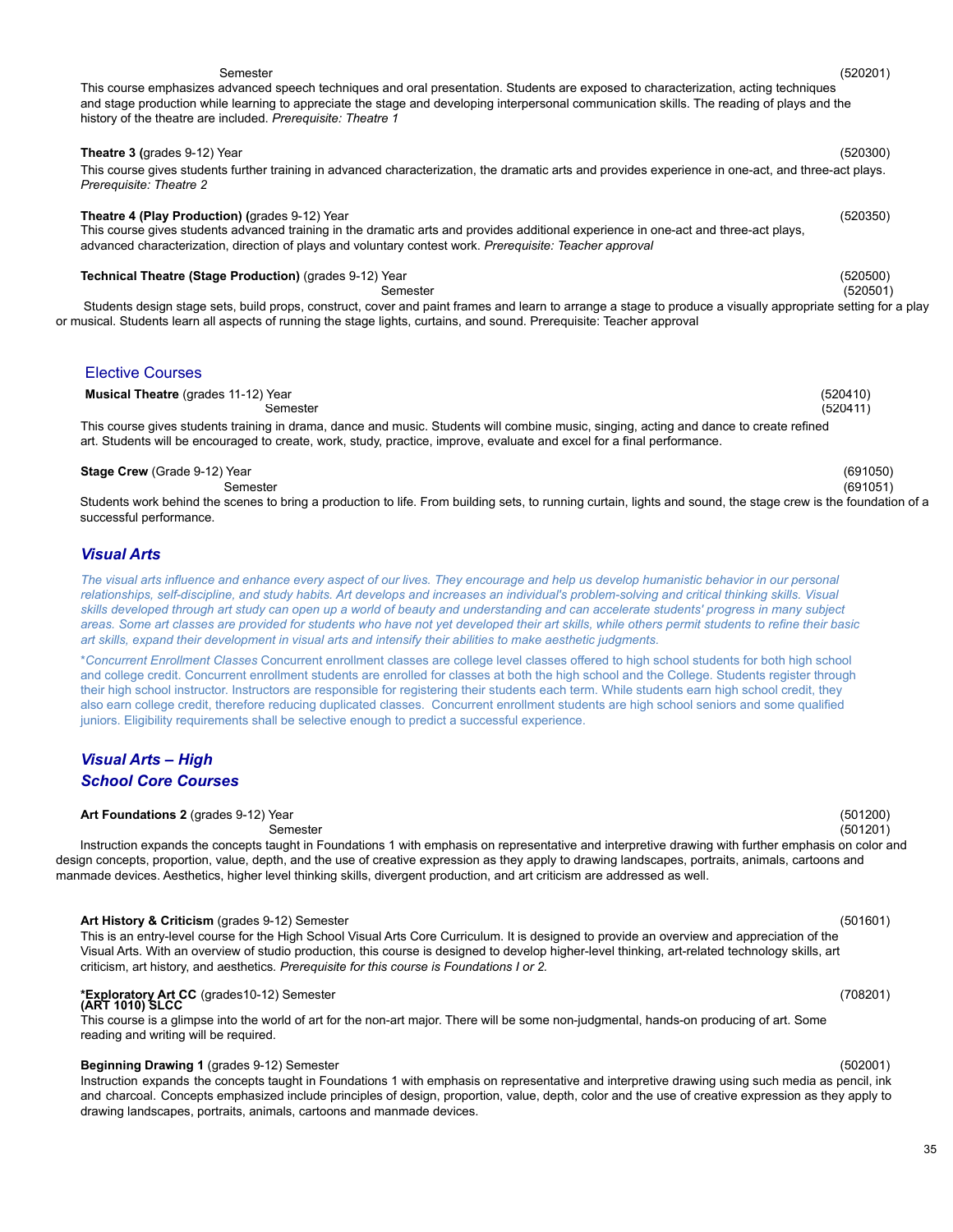### **Theatre 3 (**grades 9-12) Year (520300) This course gives students further training in advanced characterization, the dramatic arts and provides experience in one-act, and three-act plays. *Prerequisite: Theatre 2*

**Theatre 4 (Play Production) (**grades 9-12) Year (520350) This course gives students advanced training in the dramatic arts and provides additional experience in one-act and three-act plays, advanced characterization, direction of plays and voluntary contest work. *Prerequisite: Teacher approval*

This course emphasizes advanced speech techniques and oral presentation. Students are exposed to characterization, acting techniques and stage production while learning to appreciate the stage and developing interpersonal communication skills. The reading of plays and the

# **Technical Theatre (Stage Production)** (grades 9-12) Year (520500)

history of the theatre are included. *Prerequisite: Theatre 1*

Students design stage sets, build props, construct, cover and paint frames and learn to arrange a stage to produce a visually appropriate setting for a play or musical. Students learn all aspects of running the stage lights, curtains, and sound. Prerequisite: Teacher approval

**Musical Theatre** (grades 11-12) Year (520410) Semester (520411) This course gives students training in drama, dance and music. Students will combine music, singing, acting and dance to create refined art. Students will be encouraged to create, work, study, practice, improve, evaluate and excel for a final performance.

# **Stage Crew** (Grade 9-12) Year (691050)

Semester (691051) Students work behind the scenes to bring a production to life. From building sets, to running curtain, lights and sound, the stage crew is the foundation of a successful performance.

# *Visual Arts*

The visual arts influence and enhance every aspect of our lives. They encourage and help us develop humanistic behavior in our personal relationships, self-discipline, and study habits. Art develops and increases an individual's problem-solving and critical thinking skills. Visual skills developed through art study can open up a world of beauty and understanding and can accelerate students' progress in many subject areas. Some art classes are provided for students who have not yet developed their art skills, while others permit students to refine their basic *art skills, expand their development in visual arts and intensify their abilities to make aesthetic judgments.*

\**Concurrent Enrollment Classes* Concurrent enrollment classes are college level classes offered to high school students for both high school and college credit. Concurrent enrollment students are enrolled for classes at both the high school and the College. Students register through their high school instructor. Instructors are responsible for registering their students each term. While students earn high school credit, they also earn college credit, therefore reducing duplicated classes. Concurrent enrollment students are high school seniors and some qualified juniors. Eligibility requirements shall be selective enough to predict a successful experience.

# *Visual Arts – High School Core Courses*

# **Art Foundations 2** (grades 9-12) Year (501200)

Semester (501201) Instruction expands the concepts taught in Foundations 1 with emphasis on representative and interpretive drawing with further emphasis on color and design concepts, proportion, value, depth, and the use of creative expression as they apply to drawing landscapes, portraits, animals, cartoons and manmade devices. Aesthetics, higher level thinking skills, divergent production, and art criticism are addressed as well.

# **Art History & Criticism** (grades 9-12) Semester (501601)

This is an entry-level course for the High School Visual Arts Core Curriculum. It is designed to provide an overview and appreciation of the Visual Arts. With an overview of studio production, this course is designed to develop higher-level thinking, art-related technology skills, art criticism, art history, and aesthetics*. Prerequisite for this course is Foundations I or 2.*

# **\*Exploratory Art CC** (grades10-12) Semester (708201) **(ART 1010) SLCC**

This course is a glimpse into the world of art for the non-art major. There will be some non-judgmental, hands-on producing of art. Some reading and writing will be required.

### **Beginning Drawing 1** (grades 9-12) Semester (502001)

Instruction expands the concepts taught in Foundations 1 with emphasis on representative and interpretive drawing using such media as pencil, ink and charcoal. Concepts emphasized include principles of design, proportion, value, depth, color and the use of creative expression as they apply to drawing landscapes, portraits, animals, cartoons and manmade devices.

## Semester (520201)

Semester (520501)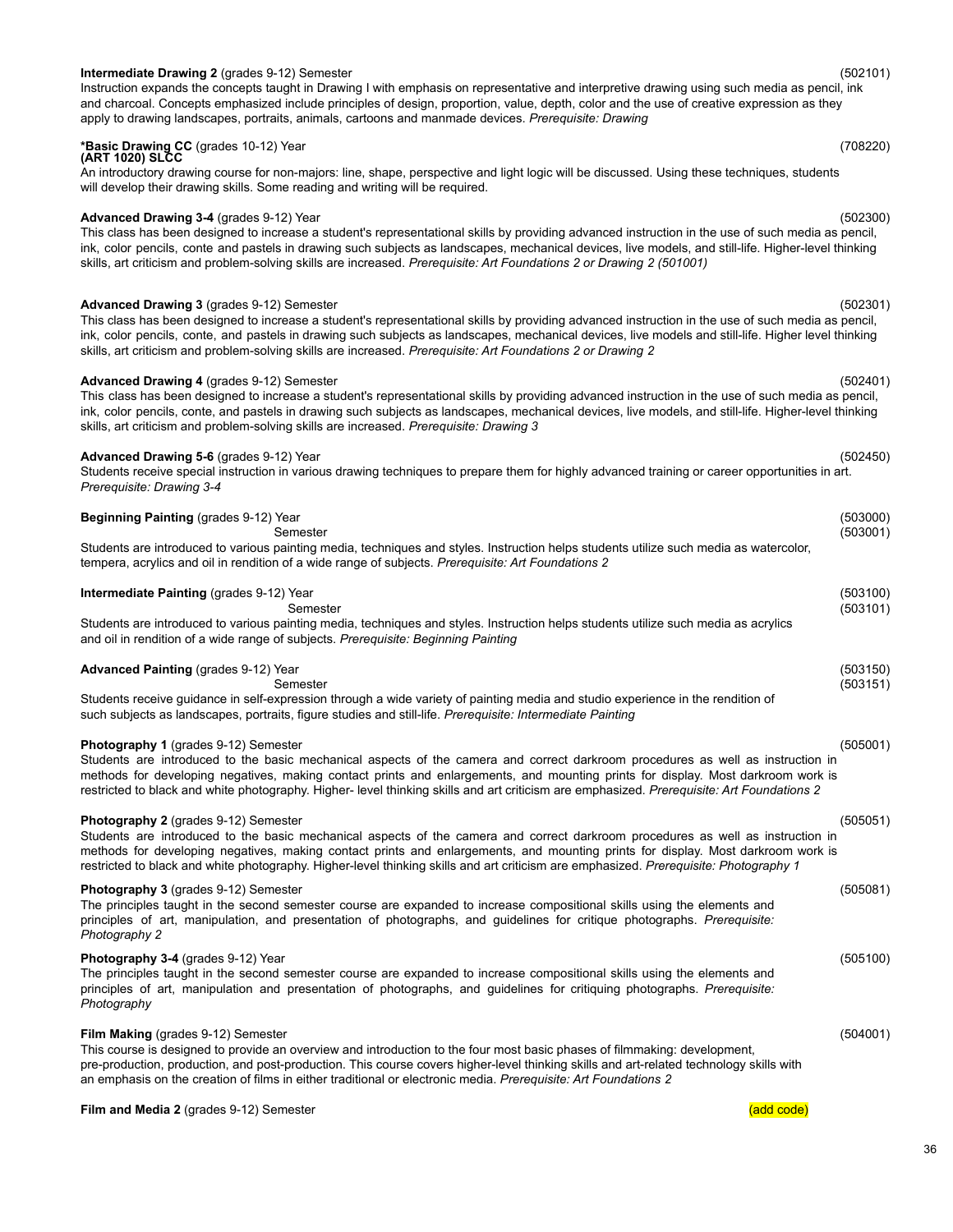# 36

### **Intermediate Drawing 2** (grades 9-12) Semester (502101)

Instruction expands the concepts taught in Drawing I with emphasis on representative and interpretive drawing using such media as pencil, ink and charcoal. Concepts emphasized include principles of design, proportion, value, depth, color and the use of creative expression as they apply to drawing landscapes, portraits, animals, cartoons and manmade devices. *Prerequisite: Drawing*

# **\*Basic Drawing CC** (grades 10-12) Year (708220) **(ART 1020) SLCC**

An introductory drawing course for non-majors: line, shape, perspective and light logic will be discussed. Using these techniques, students will develop their drawing skills. Some reading and writing will be required.

### **Advanced Drawing 3-4** (grades 9-12) Year (502300)

This class has been designed to increase a student's representational skills by providing advanced instruction in the use of such media as pencil, ink, color pencils, conte and pastels in drawing such subjects as landscapes, mechanical devices, live models, and still-life. Higher-level thinking skills, art criticism and problem-solving skills are increased. *Prerequisite: Art Foundations 2 or Drawing 2 (501001)*

### **Advanced Drawing 3** (grades 9-12) Semester (502301)

This class has been designed to increase a student's representational skills by providing advanced instruction in the use of such media as pencil, ink, color pencils, conte, and pastels in drawing such subjects as landscapes, mechanical devices, live models and still-life. Higher level thinking skills, art criticism and problem-solving skills are increased. *Prerequisite: Art Foundations 2 or Drawing 2*

### **Advanced Drawing 4** (grades 9-12) Semester (502401) This class has been designed to increase a student's representational skills by providing advanced instruction in the use of such media as pencil, ink, color pencils, conte, and pastels in drawing such subjects as landscapes, mechanical devices, live models, and still-life. Higher-level thinking skills, art criticism and problem-solving skills are increased. *Prerequisite: Drawing 3*

### **Advanced Drawing 5-6** (grades 9-12) Year (502450)

Students receive special instruction in various drawing techniques to prepare them for highly advanced training or career opportunities in art. *Prerequisite: Drawing 3-4*

| <b>Beginning Painting (grades 9-12) Year</b><br>Semester                                                                                                                                                                                                                                                                                                                                                                                                         | (503000)<br>(503001) |
|------------------------------------------------------------------------------------------------------------------------------------------------------------------------------------------------------------------------------------------------------------------------------------------------------------------------------------------------------------------------------------------------------------------------------------------------------------------|----------------------|
| Students are introduced to various painting media, techniques and styles. Instruction helps students utilize such media as watercolor,<br>tempera, acrylics and oil in rendition of a wide range of subjects. Prerequisite: Art Foundations 2                                                                                                                                                                                                                    |                      |
| <b>Intermediate Painting (grades 9-12) Year</b><br>Semester<br>Students are introduced to various painting media, techniques and styles. Instruction helps students utilize such media as acrylics                                                                                                                                                                                                                                                               | (503100)<br>(503101) |
| and oil in rendition of a wide range of subjects. Prerequisite: Beginning Painting<br><b>Advanced Painting (grades 9-12) Year</b><br>Semester<br>Students receive guidance in self-expression through a wide variety of painting media and studio experience in the rendition of                                                                                                                                                                                 | (503150)<br>(503151) |
| such subjects as landscapes, portraits, figure studies and still-life. Prerequisite: Intermediate Painting                                                                                                                                                                                                                                                                                                                                                       |                      |
| <b>Photography 1 (grades 9-12) Semester</b><br>Students are introduced to the basic mechanical aspects of the camera and correct darkroom procedures as well as instruction in<br>methods for developing negatives, making contact prints and enlargements, and mounting prints for display. Most darkroom work is<br>restricted to black and white photography. Higher- level thinking skills and art criticism are emphasized. Prerequisite: Art Foundations 2 | (505001)             |
| Photography 2 (grades 9-12) Semester<br>Students are introduced to the basic mechanical aspects of the camera and correct darkroom procedures as well as instruction in<br>methods for developing negatives, making contact prints and enlargements, and mounting prints for display. Most darkroom work is<br>restricted to black and white photography. Higher-level thinking skills and art criticism are emphasized. Prerequisite: Photography 1             | (505051)             |
| <b>Photography 3 (grades 9-12) Semester</b><br>The principles taught in the second semester course are expanded to increase compositional skills using the elements and<br>principles of art, manipulation, and presentation of photographs, and quidelines for critique photographs. Prereguisite:<br>Photography 2                                                                                                                                             | (505081)             |
| Photography 3-4 (grades 9-12) Year<br>The principles taught in the second semester course are expanded to increase compositional skills using the elements and<br>principles of art, manipulation and presentation of photographs, and guidelines for critiquing photographs. Prerequisite:<br>Photography                                                                                                                                                       | (505100)             |
| Film Making (grades 9-12) Semester                                                                                                                                                                                                                                                                                                                                                                                                                               | (504001)             |

This course is designed to provide an overview and introduction to the four most basic phases of filmmaking: development, pre-production, production, and post-production. This course covers higher-level thinking skills and art-related technology skills with an emphasis on the creation of films in either traditional or electronic media. *Prerequisite: Art Foundations 2*

### **Film and Media 2** (grades 9-12) Semester (and code) and code (add code) and code (add code)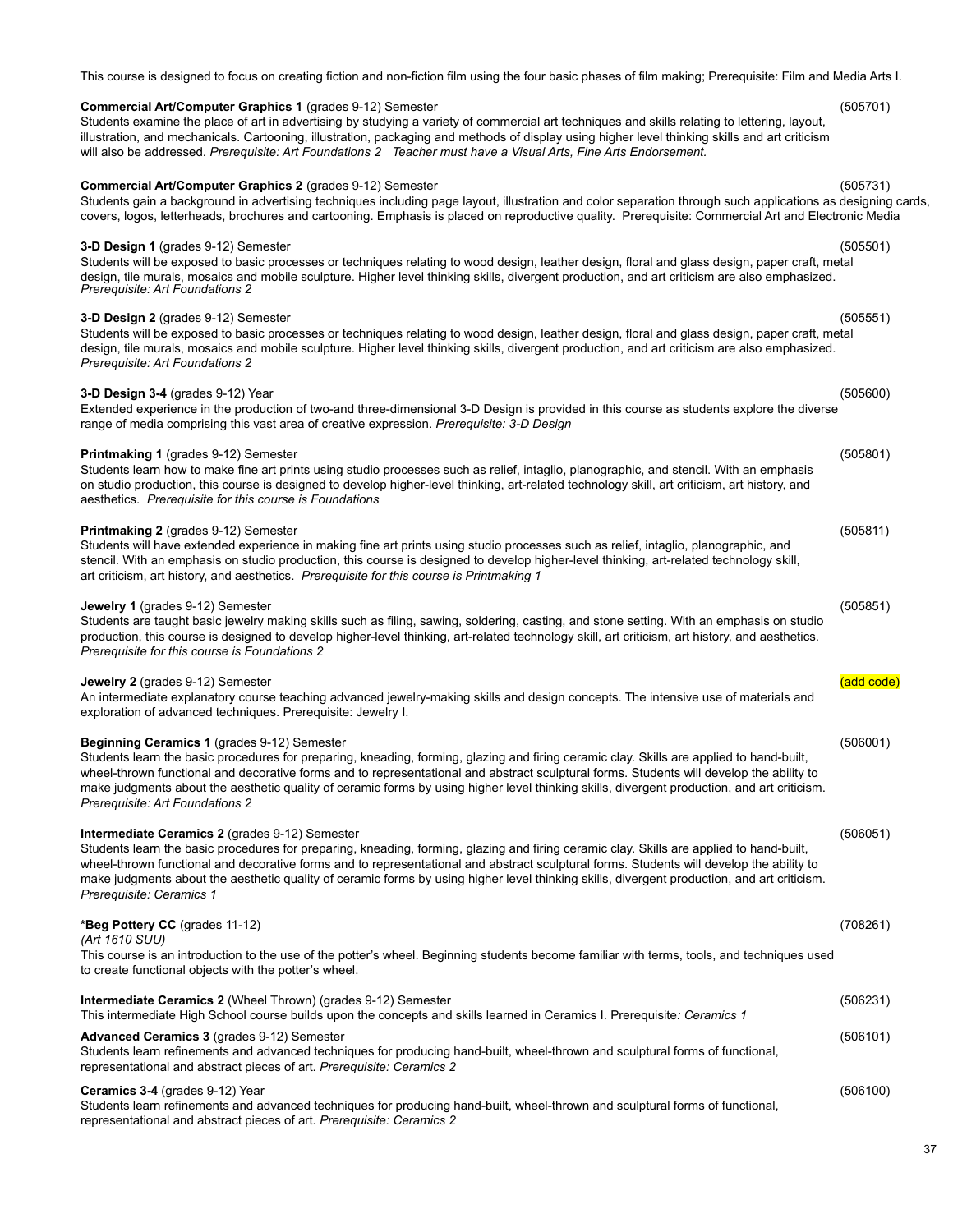### This course is designed to focus on creating fiction and non-fiction film using the four basic phases of film making; Prerequisite: Film and Media Arts I.

**Commercial Art/Computer Graphics 1** (grades 9-12) Semester (505701) Students examine the place of art in advertising by studying a variety of commercial art techniques and skills relating to lettering, layout, illustration, and mechanicals. Cartooning, illustration, packaging and methods of display using higher level thinking skills and art criticism will also be addressed. *Prerequisite: Art Foundations 2 Teacher must have a Visual Arts, Fine Arts Endorsement.*

### **Commercial Art/Computer Graphics 2** (grades 9-12) Semester (505731)

### Students gain a background in advertising techniques including page layout, illustration and color separation through such applications as designing cards, covers, logos, letterheads, brochures and cartooning. Emphasis is placed on reproductive quality. Prerequisite: Commercial Art and Electronic Media

### **3-D Design 1** (grades 9-12) Semester (505501)

Students will be exposed to basic processes or techniques relating to wood design, leather design, floral and glass design, paper craft, metal design, tile murals, mosaics and mobile sculpture. Higher level thinking skills, divergent production, and art criticism are also emphasized. *Prerequisite: Art Foundations 2*

### **3-D Design 2** (grades 9-12) Semester (505551)

Students will be exposed to basic processes or techniques relating to wood design, leather design, floral and glass design, paper craft, metal design, tile murals, mosaics and mobile sculpture. Higher level thinking skills, divergent production, and art criticism are also emphasized. *Prerequisite: Art Foundations 2*

### **3-D Design 3-4** (grades 9-12) Year (505600)

Extended experience in the production of two-and three-dimensional 3-D Design is provided in this course as students explore the diverse range of media comprising this vast area of creative expression. *Prerequisite: 3-D Design*

### **Printmaking 1** (grades 9-12) Semester (505801)

Students learn how to make fine art prints using studio processes such as relief, intaglio, planographic, and stencil. With an emphasis on studio production, this course is designed to develop higher-level thinking, art-related technology skill, art criticism, art history, and aesthetics. *Prerequisite for this course is Foundations*

### **Printmaking 2** (grades 9-12) Semester (505811)

Students will have extended experience in making fine art prints using studio processes such as relief, intaglio, planographic, and stencil. With an emphasis on studio production, this course is designed to develop higher-level thinking, art-related technology skill, art criticism, art history, and aesthetics. *Prerequisite for this course is Printmaking 1*

### **Jewelry 1** (grades 9-12) Semester (505851)

Students are taught basic jewelry making skills such as filing, sawing, soldering, casting, and stone setting. With an emphasis on studio production, this course is designed to develop higher-level thinking, art-related technology skill, art criticism, art history, and aesthetics. *Prerequisite for this course is Foundations 2*

### **Jewelry 2** (grades 9-12) Semester (and code) and contract (add code) and code (add code)

An intermediate explanatory course teaching advanced jewelry-making skills and design concepts. The intensive use of materials and exploration of advanced techniques. Prerequisite: Jewelry I.

### **Beginning Ceramics 1** (grades 9-12) Semester (506001)

Students learn the basic procedures for preparing, kneading, forming, glazing and firing ceramic clay. Skills are applied to hand-built, wheel-thrown functional and decorative forms and to representational and abstract sculptural forms. Students will develop the ability to make judgments about the aesthetic quality of ceramic forms by using higher level thinking skills, divergent production, and art criticism. *Prerequisite: Art Foundations 2*

**Intermediate Ceramics 2** (grades 9-12) Semester (506051) Students learn the basic procedures for preparing, kneading, forming, glazing and firing ceramic clay. Skills are applied to hand-built, wheel-thrown functional and decorative forms and to representational and abstract sculptural forms. Students will develop the ability to make judgments about the aesthetic quality of ceramic forms by using higher level thinking skills, divergent production, and art criticism. *Prerequisite: Ceramics 1*

### **\*Beg Pottery CC** (grades 11-12) (708261)

*(Art 1610 SUU)*

This course is an introduction to the use of the potter's wheel. Beginning students become familiar with terms, tools, and techniques used to create functional objects with the potter's wheel.

# **Intermediate Ceramics 2** (Wheel Thrown) (grades 9-12) Semester (506231) This intermediate High School course builds upon the concepts and skills learned in Ceramics I. Prerequisite*: Ceramics 1*

**Advanced Ceramics 3** (grades 9-12) Semester (506101) Students learn refinements and advanced techniques for producing hand-built, wheel-thrown and sculptural forms of functional, representational and abstract pieces of art. *Prerequisite: Ceramics 2*

### **Ceramics 3-4** (grades 9-12) Year (506100)

Students learn refinements and advanced techniques for producing hand-built, wheel-thrown and sculptural forms of functional, representational and abstract pieces of art. *Prerequisite: Ceramics 2*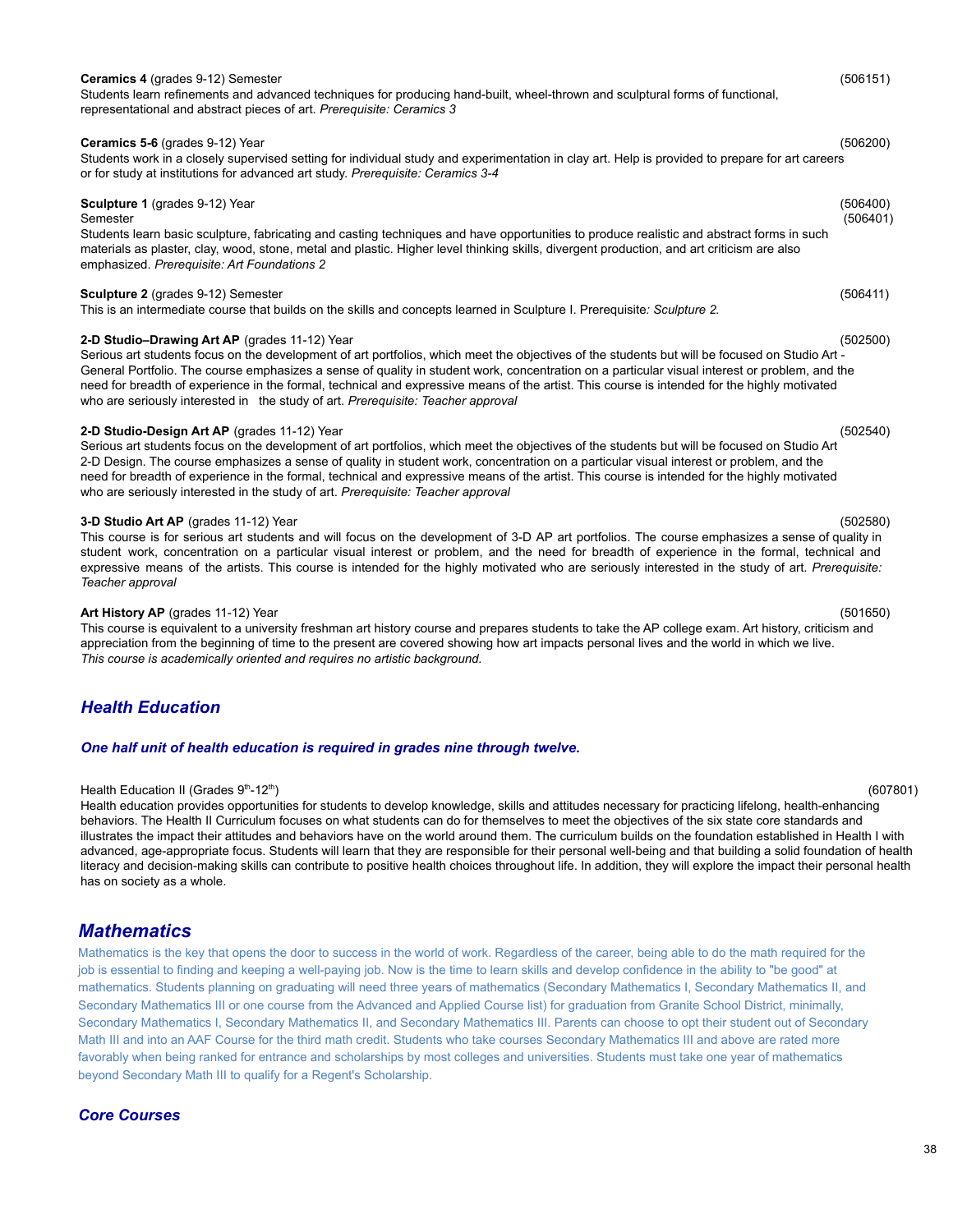# **Ceramics 4** (grades 9-12) Semester (506151)

Students learn refinements and advanced techniques for producing hand-built, wheel-thrown and sculptural forms of functional, representational and abstract pieces of art. *Prerequisite: Ceramics 3*

### **Ceramics 5-6** (grades 9-12) Year (506200)

Students work in a closely supervised setting for individual study and experimentation in clay art. Help is provided to prepare for art careers or for study at institutions for advanced art study. *Prerequisite: Ceramics 3-4*

### **Sculpture 1** (grades 9-12) Year (506400)

### Semester (506401)

Students learn basic sculpture, fabricating and casting techniques and have opportunities to produce realistic and abstract forms in such materials as plaster, clay, wood, stone, metal and plastic. Higher level thinking skills, divergent production, and art criticism are also emphasized. *Prerequisite: Art Foundations 2*

### **Sculpture 2** (grades 9-12) Semester (506411)

This is an intermediate course that builds on the skills and concepts learned in Sculpture I. Prerequisite*: Sculpture 2.*

### **2-D Studio–Drawing Art AP** (grades 11-12) Year (502500)

Serious art students focus on the development of art portfolios, which meet the objectives of the students but will be focused on Studio Art - General Portfolio. The course emphasizes a sense of quality in student work, concentration on a particular visual interest or problem, and the need for breadth of experience in the formal, technical and expressive means of the artist. This course is intended for the highly motivated who are seriously interested in the study of art. *Prerequisite: Teacher approval*

### **2-D Studio-Design Art AP** (grades 11-12) Year (502540)

Serious art students focus on the development of art portfolios, which meet the objectives of the students but will be focused on Studio Art 2-D Design. The course emphasizes a sense of quality in student work, concentration on a particular visual interest or problem, and the need for breadth of experience in the formal, technical and expressive means of the artist. This course is intended for the highly motivated who are seriously interested in the study of art. *Prerequisite: Teacher approval*

### **3-D Studio Art AP** (grades 11-12) Year (502580)

This course is for serious art students and will focus on the development of 3-D AP art portfolios. The course emphasizes a sense of quality in student work, concentration on a particular visual interest or problem, and the need for breadth of experience in the formal, technical and expressive means of the artists. This course is intended for the highly motivated who are seriously interested in the study of art. *Prerequisite: Teacher approval*

### **Art History AP** (grades 11-12) Year (501650)

This course is equivalent to a university freshman art history course and prepares students to take the AP college exam. Art history, criticism and appreciation from the beginning of time to the present are covered showing how art impacts personal lives and the world in which we live. *This course is academically oriented and requires no artistic background.*

# <span id="page-37-0"></span>*Health Education*

### *One half unit of health education is required in grades nine through twelve.*

### Health Education II (Grades 9<sup>th</sup>-12<sup>th</sup>)

) (607801) Health education provides opportunities for students to develop knowledge, skills and attitudes necessary for practicing lifelong, health-enhancing behaviors. The Health II Curriculum focuses on what students can do for themselves to meet the objectives of the six state core standards and illustrates the impact their attitudes and behaviors have on the world around them. The curriculum builds on the foundation established in Health I with advanced, age-appropriate focus. Students will learn that they are responsible for their personal well-being and that building a solid foundation of health literacy and decision-making skills can contribute to positive health choices throughout life. In addition, they will explore the impact their personal health has on society as a whole.

# *Mathematics*

Mathematics is the key that opens the door to success in the world of work. Regardless of the career, being able to do the math required for the job is essential to finding and keeping a well-paying job. Now is the time to learn skills and develop confidence in the ability to "be good" at mathematics. Students planning on graduating will need three years of mathematics (Secondary Mathematics I, Secondary Mathematics II, and Secondary Mathematics III or one course from the Advanced and Applied Course list) for graduation from Granite School District, minimally, Secondary Mathematics I, Secondary Mathematics II, and Secondary Mathematics III. Parents can choose to opt their student out of Secondary Math III and into an AAF Course for the third math credit. Students who take courses Secondary Mathematics III and above are rated more favorably when being ranked for entrance and scholarships by most colleges and universities. Students must take one year of mathematics beyond Secondary Math III to qualify for a Regent's Scholarship.

# *Core Courses*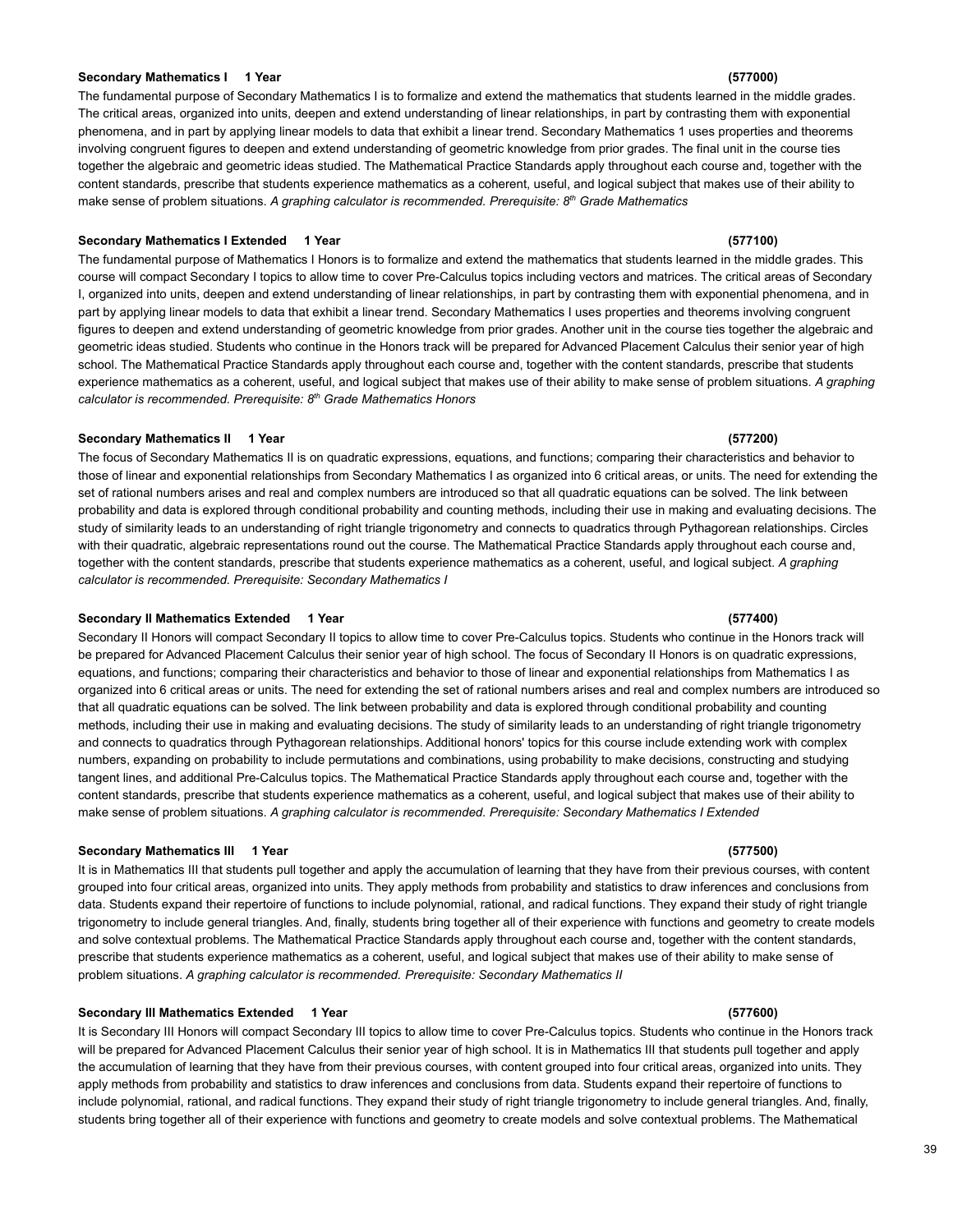### **Secondary Mathematics I 1 Year (577000)**

The fundamental purpose of Secondary Mathematics I is to formalize and extend the mathematics that students learned in the middle grades. The critical areas, organized into units, deepen and extend understanding of linear relationships, in part by contrasting them with exponential phenomena, and in part by applying linear models to data that exhibit a linear trend. Secondary Mathematics 1 uses properties and theorems involving congruent figures to deepen and extend understanding of geometric knowledge from prior grades. The final unit in the course ties together the algebraic and geometric ideas studied. The Mathematical Practice Standards apply throughout each course and, together with the content standards, prescribe that students experience mathematics as a coherent, useful, and logical subject that makes use of their ability to make sense of problem situations. *A graphing calculator is recommended. Prerequisite: 8 th Grade Mathematics*

### **Secondary Mathematics I Extended 1 Year (577100)**

The fundamental purpose of Mathematics I Honors is to formalize and extend the mathematics that students learned in the middle grades. This course will compact Secondary I topics to allow time to cover Pre-Calculus topics including vectors and matrices. The critical areas of Secondary I, organized into units, deepen and extend understanding of linear relationships, in part by contrasting them with exponential phenomena, and in part by applying linear models to data that exhibit a linear trend. Secondary Mathematics I uses properties and theorems involving congruent figures to deepen and extend understanding of geometric knowledge from prior grades. Another unit in the course ties together the algebraic and geometric ideas studied. Students who continue in the Honors track will be prepared for Advanced Placement Calculus their senior year of high school. The Mathematical Practice Standards apply throughout each course and, together with the content standards, prescribe that students experience mathematics as a coherent, useful, and logical subject that makes use of their ability to make sense of problem situations. *A graphing calculator is recommended. Prerequisite: 8 th Grade Mathematics Honors*

### **Secondary Mathematics II 1 Year (577200)**

The focus of Secondary Mathematics II is on quadratic expressions, equations, and functions; comparing their characteristics and behavior to those of linear and exponential relationships from Secondary Mathematics I as organized into 6 critical areas, or units. The need for extending the set of rational numbers arises and real and complex numbers are introduced so that all quadratic equations can be solved. The link between probability and data is explored through conditional probability and counting methods, including their use in making and evaluating decisions. The study of similarity leads to an understanding of right triangle trigonometry and connects to quadratics through Pythagorean relationships. Circles with their quadratic, algebraic representations round out the course. The Mathematical Practice Standards apply throughout each course and, together with the content standards, prescribe that students experience mathematics as a coherent, useful, and logical subject. *A graphing calculator is recommended. Prerequisite: Secondary Mathematics I*

### **Secondary II Mathematics Extended 1 Year (577400)**

Secondary II Honors will compact Secondary II topics to allow time to cover Pre-Calculus topics. Students who continue in the Honors track will be prepared for Advanced Placement Calculus their senior year of high school. The focus of Secondary II Honors is on quadratic expressions, equations, and functions; comparing their characteristics and behavior to those of linear and exponential relationships from Mathematics I as organized into 6 critical areas or units. The need for extending the set of rational numbers arises and real and complex numbers are introduced so that all quadratic equations can be solved. The link between probability and data is explored through conditional probability and counting methods, including their use in making and evaluating decisions. The study of similarity leads to an understanding of right triangle trigonometry and connects to quadratics through Pythagorean relationships. Additional honors' topics for this course include extending work with complex numbers, expanding on probability to include permutations and combinations, using probability to make decisions, constructing and studying tangent lines, and additional Pre-Calculus topics. The Mathematical Practice Standards apply throughout each course and, together with the content standards, prescribe that students experience mathematics as a coherent, useful, and logical subject that makes use of their ability to make sense of problem situations. *A graphing calculator is recommended. Prerequisite: Secondary Mathematics I Extended*

### **Secondary Mathematics III 1 Year (577500)**

It is in Mathematics III that students pull together and apply the accumulation of learning that they have from their previous courses, with content grouped into four critical areas, organized into units. They apply methods from probability and statistics to draw inferences and conclusions from data. Students expand their repertoire of functions to include polynomial, rational, and radical functions. They expand their study of right triangle trigonometry to include general triangles. And, finally, students bring together all of their experience with functions and geometry to create models and solve contextual problems. The Mathematical Practice Standards apply throughout each course and, together with the content standards, prescribe that students experience mathematics as a coherent, useful, and logical subject that makes use of their ability to make sense of problem situations. *A graphing calculator is recommended. Prerequisite: Secondary Mathematics II*

### **Secondary III Mathematics Extended 1 Year (577600)**

It is Secondary III Honors will compact Secondary III topics to allow time to cover Pre-Calculus topics. Students who continue in the Honors track will be prepared for Advanced Placement Calculus their senior year of high school. It is in Mathematics III that students pull together and apply the accumulation of learning that they have from their previous courses, with content grouped into four critical areas, organized into units. They apply methods from probability and statistics to draw inferences and conclusions from data. Students expand their repertoire of functions to include polynomial, rational, and radical functions. They expand their study of right triangle trigonometry to include general triangles. And, finally, students bring together all of their experience with functions and geometry to create models and solve contextual problems. The Mathematical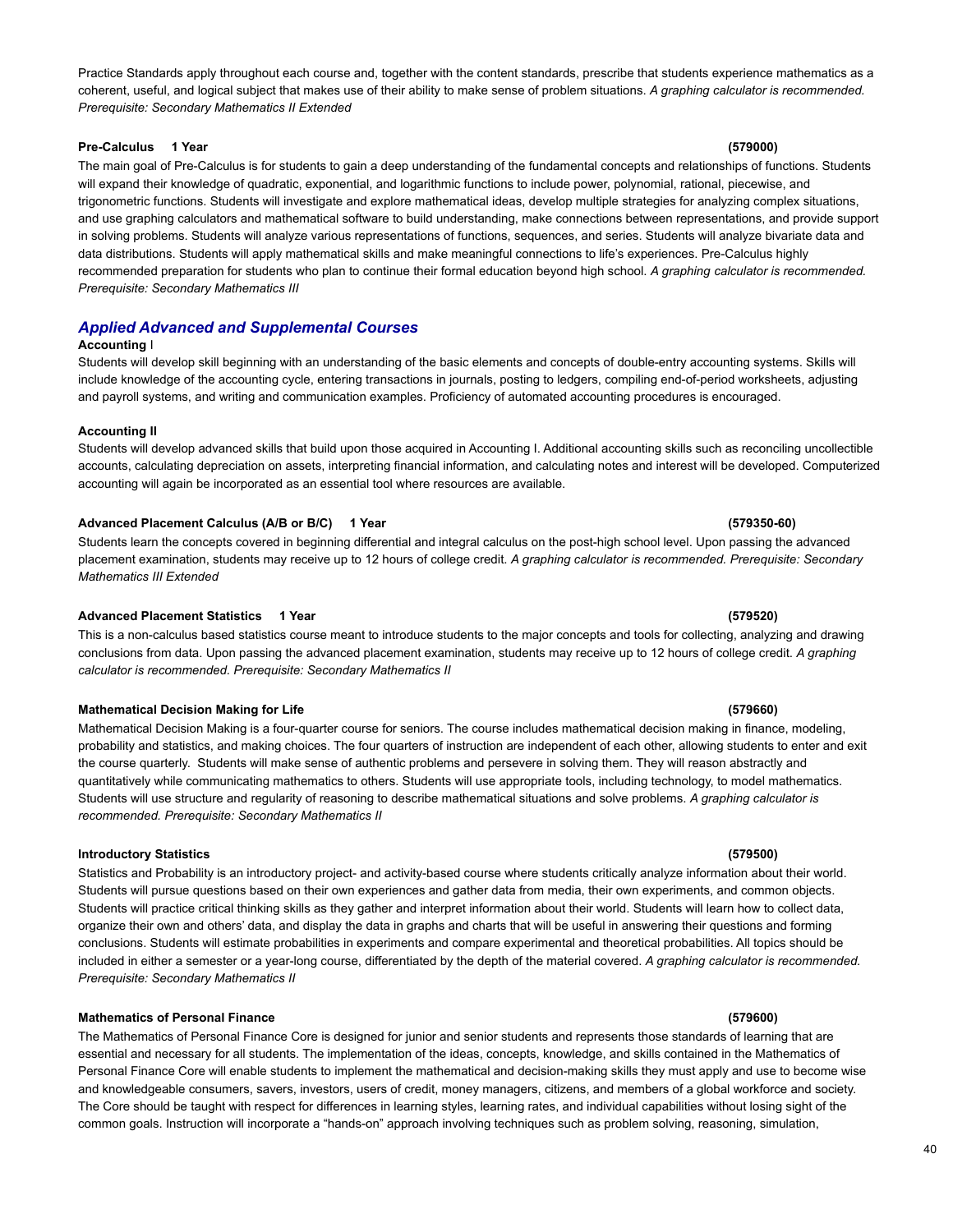Practice Standards apply throughout each course and, together with the content standards, prescribe that students experience mathematics as a coherent, useful, and logical subject that makes use of their ability to make sense of problem situations. *A graphing calculator is recommended. Prerequisite: Secondary Mathematics II Extended*

### **Pre-Calculus 1 Year (579000)**

The main goal of Pre-Calculus is for students to gain a deep understanding of the fundamental concepts and relationships of functions. Students will expand their knowledge of quadratic, exponential, and logarithmic functions to include power, polynomial, rational, piecewise, and trigonometric functions. Students will investigate and explore mathematical ideas, develop multiple strategies for analyzing complex situations, and use graphing calculators and mathematical software to build understanding, make connections between representations, and provide support in solving problems. Students will analyze various representations of functions, sequences, and series. Students will analyze bivariate data and data distributions. Students will apply mathematical skills and make meaningful connections to life's experiences. Pre-Calculus highly recommended preparation for students who plan to continue their formal education beyond high school. *A graphing calculator is recommended. Prerequisite: Secondary Mathematics III*

# *Applied Advanced and Supplemental Courses*

### **Accounting** I

Students will develop skill beginning with an understanding of the basic elements and concepts of double-entry accounting systems. Skills will include knowledge of the accounting cycle, entering transactions in journals, posting to ledgers, compiling end-of-period worksheets, adjusting and payroll systems, and writing and communication examples. Proficiency of automated accounting procedures is encouraged.

### **Accounting II**

Students will develop advanced skills that build upon those acquired in Accounting I. Additional accounting skills such as reconciling uncollectible accounts, calculating depreciation on assets, interpreting financial information, and calculating notes and interest will be developed. Computerized accounting will again be incorporated as an essential tool where resources are available.

### **Advanced Placement Calculus (A/B or B/C) 1 Year (579350-60)**

Students learn the concepts covered in beginning differential and integral calculus on the post-high school level. Upon passing the advanced placement examination, students may receive up to 12 hours of college credit. *A graphing calculator is recommended. Prerequisite: Secondary Mathematics III Extended*

### **Advanced Placement Statistics 1 Year (579520)**

This is a non-calculus based statistics course meant to introduce students to the major concepts and tools for collecting, analyzing and drawing conclusions from data. Upon passing the advanced placement examination, students may receive up to 12 hours of college credit. *A graphing calculator is recommended. Prerequisite: Secondary Mathematics II*

### **Mathematical Decision Making for Life (579660)**

Mathematical Decision Making is a four-quarter course for seniors. The course includes mathematical decision making in finance, modeling, probability and statistics, and making choices. The four quarters of instruction are independent of each other, allowing students to enter and exit the course quarterly. Students will make sense of authentic problems and persevere in solving them. They will reason abstractly and quantitatively while communicating mathematics to others. Students will use appropriate tools, including technology, to model mathematics. Students will use structure and regularity of reasoning to describe mathematical situations and solve problems. *A graphing calculator is recommended. Prerequisite: Secondary Mathematics II*

### **Introductory Statistics (579500)**

Statistics and Probability is an introductory project- and activity-based course where students critically analyze information about their world. Students will pursue questions based on their own experiences and gather data from media, their own experiments, and common objects. Students will practice critical thinking skills as they gather and interpret information about their world. Students will learn how to collect data, organize their own and others' data, and display the data in graphs and charts that will be useful in answering their questions and forming conclusions. Students will estimate probabilities in experiments and compare experimental and theoretical probabilities. All topics should be included in either a semester or a year-long course, differentiated by the depth of the material covered. *A graphing calculator is recommended. Prerequisite: Secondary Mathematics II*

### **Mathematics of Personal Finance (579600)**

The Mathematics of Personal Finance Core is designed for junior and senior students and represents those standards of learning that are essential and necessary for all students. The implementation of the ideas, concepts, knowledge, and skills contained in the Mathematics of Personal Finance Core will enable students to implement the mathematical and decision-making skills they must apply and use to become wise and knowledgeable consumers, savers, investors, users of credit, money managers, citizens, and members of a global workforce and society. The Core should be taught with respect for differences in learning styles, learning rates, and individual capabilities without losing sight of the common goals. Instruction will incorporate a "hands-on" approach involving techniques such as problem solving, reasoning, simulation,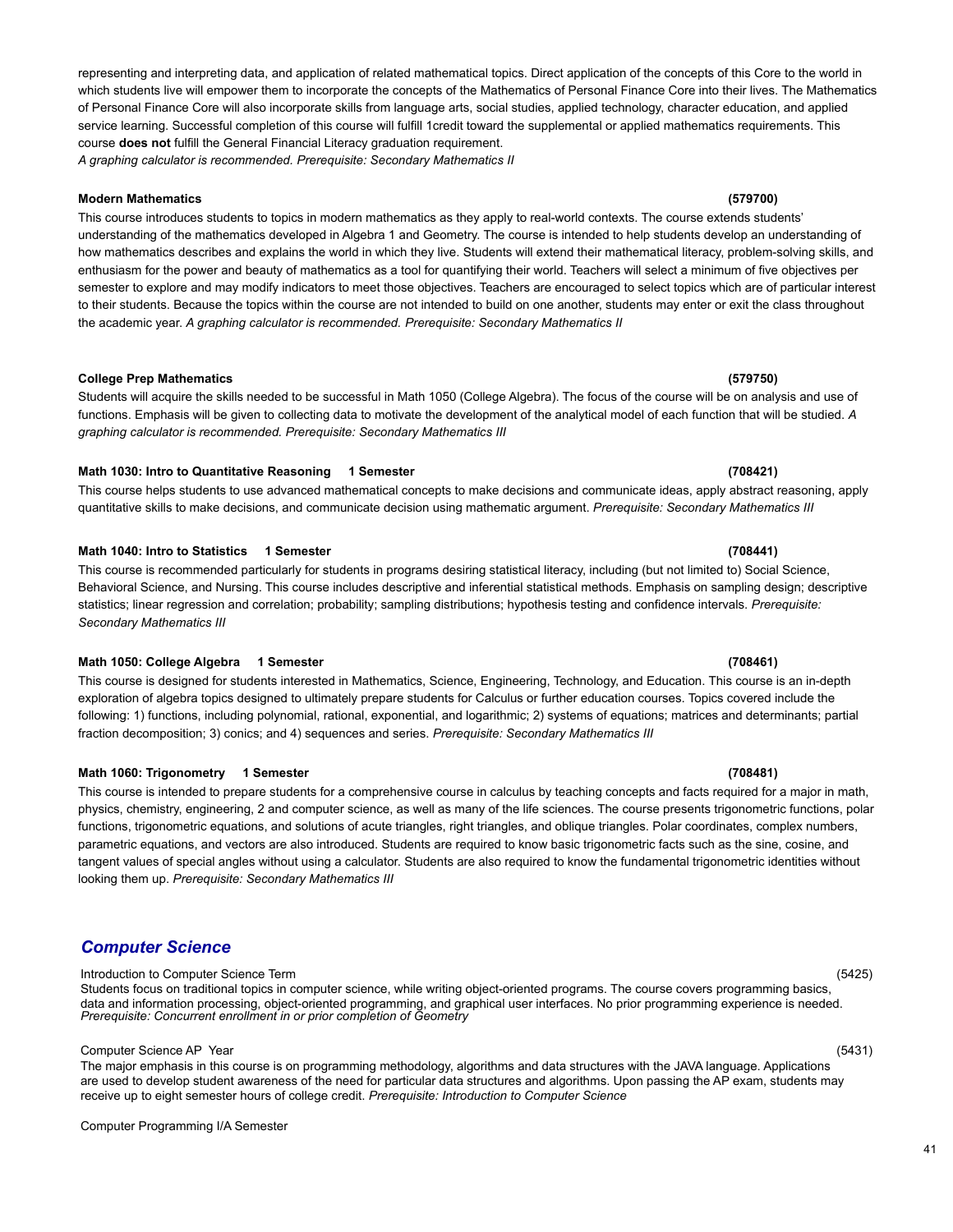# representing and interpreting data, and application of related mathematical topics. Direct application of the concepts of this Core to the world in which students live will empower them to incorporate the concepts of the Mathematics of Personal Finance Core into their lives. The Mathematics of Personal Finance Core will also incorporate skills from language arts, social studies, applied technology, character education, and applied service learning. Successful completion of this course will fulfill 1credit toward the supplemental or applied mathematics requirements. This course **does not** fulfill the General Financial Literacy graduation requirement.

*A graphing calculator is recommended. Prerequisite: Secondary Mathematics II*

### **Modern Mathematics (579700)**

This course introduces students to topics in modern mathematics as they apply to real-world contexts. The course extends students' understanding of the mathematics developed in Algebra 1 and Geometry. The course is intended to help students develop an understanding of how mathematics describes and explains the world in which they live. Students will extend their mathematical literacy, problem-solving skills, and enthusiasm for the power and beauty of mathematics as a tool for quantifying their world. Teachers will select a minimum of five objectives per semester to explore and may modify indicators to meet those objectives. Teachers are encouraged to select topics which are of particular interest to their students. Because the topics within the course are not intended to build on one another, students may enter or exit the class throughout the academic year. *A graphing calculator is recommended. Prerequisite: Secondary Mathematics II*

Students will acquire the skills needed to be successful in Math 1050 (College Algebra). The focus of the course will be on analysis and use of functions. Emphasis will be given to collecting data to motivate the development of the analytical model of each function that will be studied. *A graphing calculator is recommended. Prerequisite: Secondary Mathematics III*

**College Prep Mathematics (579750)**

### **Math 1030: Intro to Quantitative Reasoning 1 Semester (708421)**

This course helps students to use advanced mathematical concepts to make decisions and communicate ideas, apply abstract reasoning, apply quantitative skills to make decisions, and communicate decision using mathematic argument. *Prerequisite: Secondary Mathematics III*

### **Math 1040: Intro to Statistics 1 Semester (708441)**

This course is recommended particularly for students in programs desiring statistical literacy, including (but not limited to) Social Science, Behavioral Science, and Nursing. This course includes descriptive and inferential statistical methods. Emphasis on sampling design; descriptive statistics; linear regression and correlation; probability; sampling distributions; hypothesis testing and confidence intervals. *Prerequisite: Secondary Mathematics III*

### **Math 1050: College Algebra 1 Semester (708461)**

This course is designed for students interested in Mathematics, Science, Engineering, Technology, and Education. This course is an in-depth exploration of algebra topics designed to ultimately prepare students for Calculus or further education courses. Topics covered include the following: 1) functions, including polynomial, rational, exponential, and logarithmic; 2) systems of equations; matrices and determinants; partial fraction decomposition; 3) conics; and 4) sequences and series. *Prerequisite: Secondary Mathematics III*

### **Math 1060: Trigonometry 1 Semester (708481)**

This course is intended to prepare students for a comprehensive course in calculus by teaching concepts and facts required for a major in math, physics, chemistry, engineering, 2 and computer science, as well as many of the life sciences. The course presents trigonometric functions, polar functions, trigonometric equations, and solutions of acute triangles, right triangles, and oblique triangles. Polar coordinates, complex numbers, parametric equations, and vectors are also introduced. Students are required to know basic trigonometric facts such as the sine, cosine, and tangent values of special angles without using a calculator. Students are also required to know the fundamental trigonometric identities without looking them up. *Prerequisite: Secondary Mathematics III*

# <span id="page-40-0"></span>*Computer Science*

### Introduction to Computer Science Term (5425)

Students focus on traditional topics in computer science, while writing object-oriented programs. The course covers programming basics, data and information processing, object-oriented programming, and graphical user interfaces. No prior programming experience is needed. *Prerequisite: Concurrent enrollment in or prior completion of Geometry*

### Computer Science AP Year (5431)

The major emphasis in this course is on programming methodology, algorithms and data structures with the JAVA language. Applications are used to develop student awareness of the need for particular data structures and algorithms. Upon passing the AP exam, students may receive up to eight semester hours of college credit. *Prerequisite: Introduction to Computer Science*

Computer Programming I/A Semester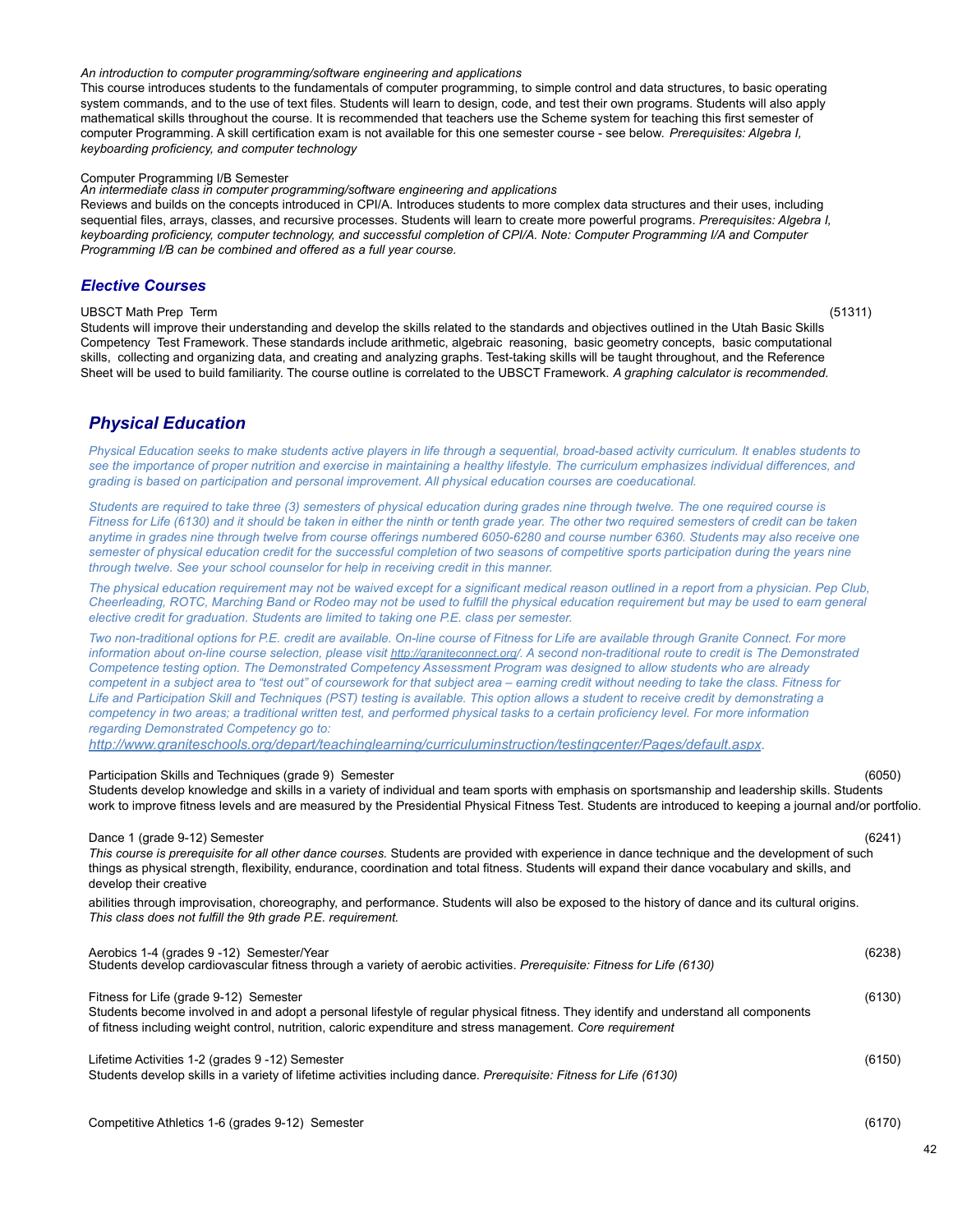### *An introduction to computer programming/software engineering and applications*

This course introduces students to the fundamentals of computer programming, to simple control and data structures, to basic operating system commands, and to the use of text files. Students will learn to design, code, and test their own programs. Students will also apply mathematical skills throughout the course. It is recommended that teachers use the Scheme system for teaching this first semester of computer Programming. A skill certification exam is not available for this one semester course - see below. *Prerequisites: Algebra I, keyboarding proficiency, and computer technology*

### Computer Programming I/B Semester

*An intermediate class in computer programming/software engineering and applications*

Reviews and builds on the concepts introduced in CPI/A. Introduces students to more complex data structures and their uses, including sequential files, arrays, classes, and recursive processes. Students will learn to create more powerful programs. *Prerequisites: Algebra I,* keyboarding proficiency, computer technology, and successful completion of CPI/A. Note: Computer Programming I/A and Computer *Programming I/B can be combined and offered as a full year course.*

## *Elective Courses*

### UBSCT Math Prep Term (51311)

Students will improve their understanding and develop the skills related to the standards and objectives outlined in the Utah Basic Skills Competency Test Framework. These standards include arithmetic, algebraic reasoning, basic geometry concepts, basic computational skills, collecting and organizing data, and creating and analyzing graphs. Test-taking skills will be taught throughout, and the Reference Sheet will be used to build familiarity. The course outline is correlated to the UBSCT Framework. *A graphing calculator is recommended.*

# <span id="page-41-0"></span>*Physical Education*

Physical Education seeks to make students active players in life through a sequential, broad-based activity curriculum. It enables students to see the importance of proper nutrition and exercise in maintaining a healthy lifestyle. The curriculum emphasizes individual differences, and *grading is based on participation and personal improvement. All physical education courses are coeducational.*

Students are required to take three (3) semesters of physical education during grades nine through twelve. The one required course is Fitness for Life (6130) and it should be taken in either the ninth or tenth grade year. The other two required semesters of credit can be taken anytime in grades nine through twelve from course offerings numbered 6050-6280 and course number 6360. Students may also receive one semester of physical education credit for the successful completion of two seasons of competitive sports participation during the years nine *through twelve. See your school counselor for help in receiving credit in this manner.*

The physical education requirement may not be waived except for a significant medical reason outlined in a report from a physician. Pep Club. Cheerleading, ROTC, Marching Band or Rodeo may not be used to fulfill the physical education requirement but may be used to earn general *elective credit for graduation. Students are limited to taking one P.E. class per semester.*

Two non-traditional options for P.E. credit are available. On-line course of Fitness for Life are available through Granite Connect. For more information about on-line course selection, please visit [http://graniteconnect.org/.](http://graniteconnect.org/) A second non-traditional route to credit is The Demonstrated Competence testing option. The Demonstrated Competency Assessment Program was designed to allow students who are already competent in a subject area to "test out" of coursework for that subject area - earning credit without needing to take the class. Fitness for Life and Participation Skill and Techniques (PST) testing is available. This option allows a student to receive credit by demonstrating a competency in two areas; a traditional written test, and performed physical tasks to a certain proficiency level. For more information *regarding Demonstrated Competency go to:*

*[http://www.graniteschools.org/depart/teachinglearning/curriculuminstruction/testingcenter/Pages/default.aspx.](http://www.graniteschools.org/depart/teachinglearning/curriculuminstruction/testingcenter/Pages/default.aspx)*

### Participation Skills and Techniques (grade 9) Semester (6050)

Students develop knowledge and skills in a variety of individual and team sports with emphasis on sportsmanship and leadership skills. Students work to improve fitness levels and are measured by the Presidential Physical Fitness Test. Students are introduced to keeping a journal and/or portfolio.

### Dance 1 (grade 9-12) Semester (6241)

*This course is prerequisite for all other dance courses.* Students are provided with experience in dance technique and the development of such things as physical strength, flexibility, endurance, coordination and total fitness. Students will expand their dance vocabulary and skills, and develop their creative

abilities through improvisation, choreography, and performance. Students will also be exposed to the history of dance and its cultural origins. *This class does not fulfill the 9th grade P.E. requirement.*

| Aerobics 1-4 (grades 9 -12) Semester/Year<br>Students develop cardiovascular fitness through a variety of aerobic activities. Prerequisite: Fitness for Life (6130)                                                                                                                          | (6238) |
|----------------------------------------------------------------------------------------------------------------------------------------------------------------------------------------------------------------------------------------------------------------------------------------------|--------|
| Fitness for Life (grade 9-12) Semester<br>Students become involved in and adopt a personal lifestyle of regular physical fitness. They identify and understand all components<br>of fitness including weight control, nutrition, caloric expenditure and stress management. Core requirement | (6130) |
| Lifetime Activities 1-2 (grades 9 -12) Semester<br>Students develop skills in a variety of lifetime activities including dance. Prerequisite: Fitness for Life (6130)                                                                                                                        | (6150) |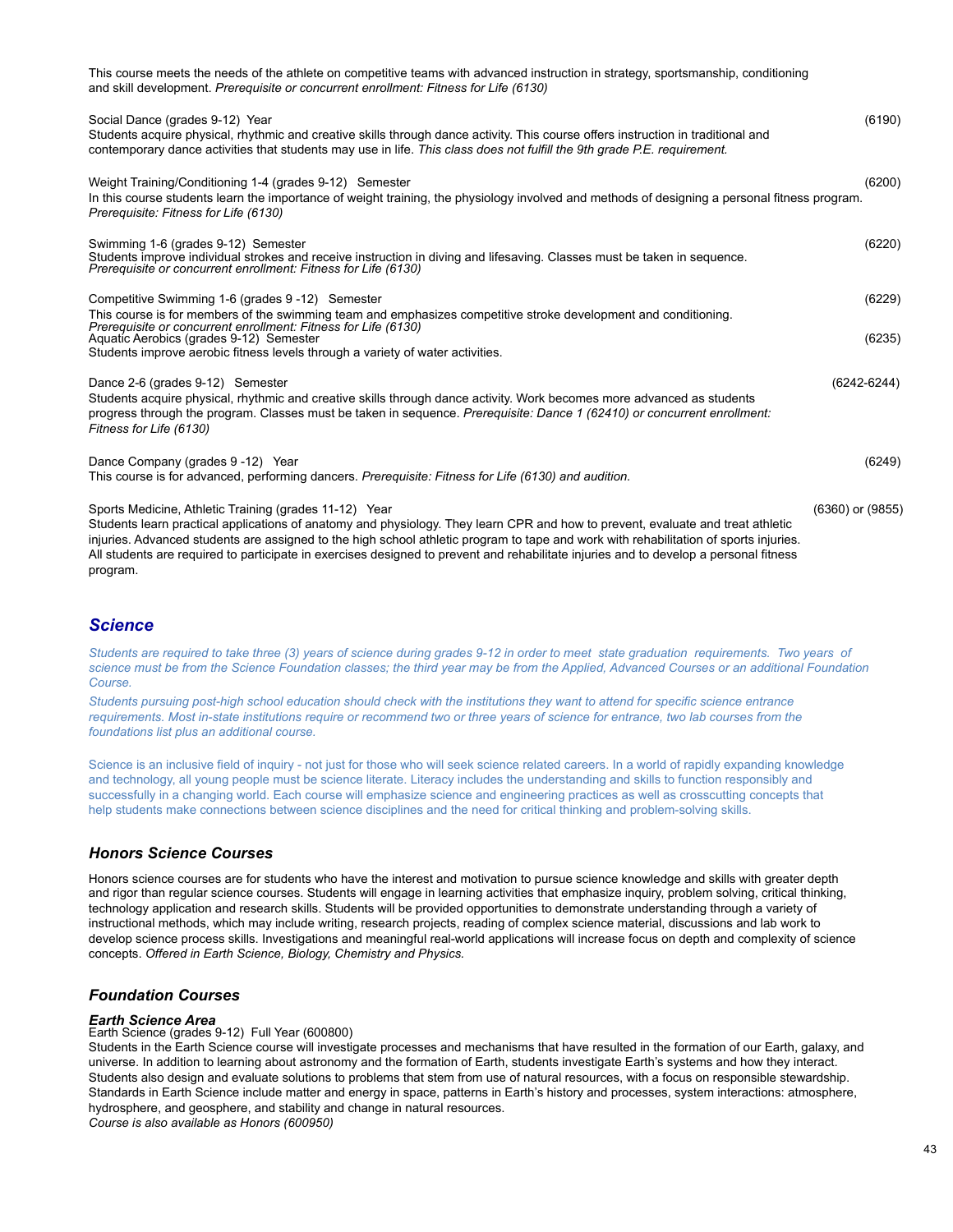| This course meets the needs of the athlete on competitive teams with advanced instruction in strategy, sportsmanship, conditioning<br>and skill development. Prerequisite or concurrent enrollment: Fitness for Life (6130)                                                                                                                                                                                                                                                             |                      |
|-----------------------------------------------------------------------------------------------------------------------------------------------------------------------------------------------------------------------------------------------------------------------------------------------------------------------------------------------------------------------------------------------------------------------------------------------------------------------------------------|----------------------|
| Social Dance (grades 9-12) Year<br>Students acquire physical, rhythmic and creative skills through dance activity. This course offers instruction in traditional and<br>contemporary dance activities that students may use in life. This class does not fulfill the 9th grade P.E. requirement.                                                                                                                                                                                        | (6190)               |
| Weight Training/Conditioning 1-4 (grades 9-12) Semester<br>In this course students learn the importance of weight training, the physiology involved and methods of designing a personal fitness program.<br>Prerequisite: Fitness for Life (6130)                                                                                                                                                                                                                                       | (6200)               |
| Swimming 1-6 (grades 9-12) Semester<br>Students improve individual strokes and receive instruction in diving and lifesaving. Classes must be taken in sequence.<br>Prerequisite or concurrent enrollment: Fitness for Life (6130)                                                                                                                                                                                                                                                       | (6220)               |
| Competitive Swimming 1-6 (grades 9 -12) Semester<br>This course is for members of the swimming team and emphasizes competitive stroke development and conditioning.<br>Prerequisite or concurrent enrollment: Fitness for Life (6130)                                                                                                                                                                                                                                                   | (6229)               |
| Aquatic Aerobics (grades 9-12) Semester<br>Students improve aerobic fitness levels through a variety of water activities.                                                                                                                                                                                                                                                                                                                                                               | (6235)               |
| Dance 2-6 (grades 9-12) Semester<br>Students acquire physical, rhythmic and creative skills through dance activity. Work becomes more advanced as students<br>progress through the program. Classes must be taken in sequence. Prerequisite: Dance 1 (62410) or concurrent enrollment:<br>Fitness for Life (6130)                                                                                                                                                                       | $(6242 - 6244)$      |
| Dance Company (grades 9-12) Year<br>This course is for advanced, performing dancers. Prerequisite: Fitness for Life (6130) and audition.                                                                                                                                                                                                                                                                                                                                                | (6249)               |
| Sports Medicine, Athletic Training (grades 11-12) Year<br>Students learn practical applications of anatomy and physiology. They learn CPR and how to prevent, evaluate and treat athletic<br>injuries. Advanced students are assigned to the high school athletic program to tape and work with rehabilitation of sports injuries.<br>All students are required to participate in exercises designed to prevent and rehabilitate injuries and to develop a personal fitness<br>program. | $(6360)$ or $(9855)$ |

# <span id="page-42-0"></span>*Science*

Students are required to take three (3) years of science during grades 9-12 in order to meet state graduation requirements. Two years of science must be from the Science Foundation classes; the third year may be from the Applied, Advanced Courses or an additional Foundation *Course.*

Students pursuing post-high school education should check with the institutions they want to attend for specific science entrance requirements. Most in-state institutions require or recommend two or three years of science for entrance, two lab courses from the *foundations list plus an additional course.*

Science is an inclusive field of inquiry - not just for those who will seek science related careers. In a world of rapidly expanding knowledge and technology, all young people must be science literate. Literacy includes the understanding and skills to function responsibly and successfully in a changing world. Each course will emphasize science and engineering practices as well as crosscutting concepts that help students make connections between science disciplines and the need for critical thinking and problem-solving skills.

# *Honors Science Courses*

Honors science courses are for students who have the interest and motivation to pursue science knowledge and skills with greater depth and rigor than regular science courses. Students will engage in learning activities that emphasize inquiry, problem solving, critical thinking, technology application and research skills. Students will be provided opportunities to demonstrate understanding through a variety of instructional methods, which may include writing, research projects, reading of complex science material, discussions and lab work to develop science process skills. Investigations and meaningful real-world applications will increase focus on depth and complexity of science concepts. *Offered in Earth Science, Biology, Chemistry and Physics.*

# *Foundation Courses*

### *Earth Science Area*

Earth Science (grades 9-12) Full Year (600800)

Students in the Earth Science course will investigate processes and mechanisms that have resulted in the formation of our Earth, galaxy, and universe. In addition to learning about astronomy and the formation of Earth, students investigate Earth's systems and how they interact. Students also design and evaluate solutions to problems that stem from use of natural resources, with a focus on responsible stewardship. Standards in Earth Science include matter and energy in space, patterns in Earth's history and processes, system interactions: atmosphere, hydrosphere, and geosphere, and stability and change in natural resources. *Course is also available as Honors (600950)*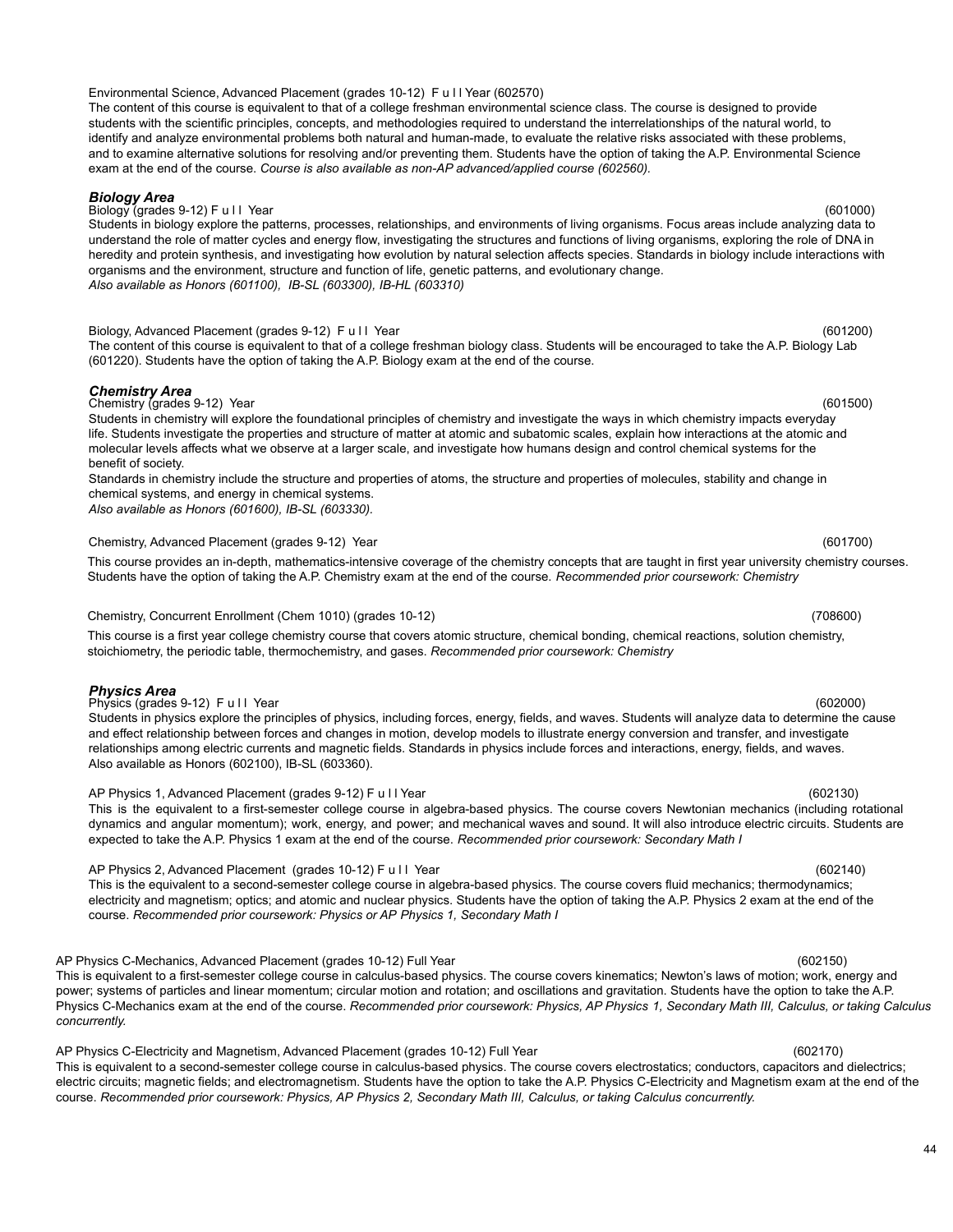# Environmental Science, Advanced Placement (grades 10-12) F u l l Year (602570)

The content of this course is equivalent to that of a college freshman environmental science class. The course is designed to provide students with the scientific principles, concepts, and methodologies required to understand the interrelationships of the natural world, to identify and analyze environmental problems both natural and human-made, to evaluate the relative risks associated with these problems, and to examine alternative solutions for resolving and/or preventing them. Students have the option of taking the A.P. Environmental Science exam at the end of the course. *Course is also available as non-AP advanced/applied course (602560).*

*Biology Area*<br>Biology (grades 9-12) F u I I Year Students in biology explore the patterns, processes, relationships, and environments of living organisms. Focus areas include analyzing data to understand the role of matter cycles and energy flow, investigating the structures and functions of living organisms, exploring the role of DNA in heredity and protein synthesis, and investigating how evolution by natural selection affects species. Standards in biology include interactions with organisms and the environment, structure and function of life, genetic patterns, and evolutionary change. *Also available as Honors (601100), IB-SL (603300), IB-HL (603310)*

### Biology, Advanced Placement (grades 9-12) F u I I Year (601200)

The content of this course is equivalent to that of a college freshman biology class. Students will be encouraged to take the A.P. Biology Lab (601220). Students have the option of taking the A.P. Biology exam at the end of the course.

# *Chemistry Area*

Chemistry (grades 9-12) Year (601500)

Students in chemistry will explore the foundational principles of chemistry and investigate the ways in which chemistry impacts everyday life. Students investigate the properties and structure of matter at atomic and subatomic scales, explain how interactions at the atomic and molecular levels affects what we observe at a larger scale, and investigate how humans design and control chemical systems for the benefit of society.

Standards in chemistry include the structure and properties of atoms, the structure and properties of molecules, stability and change in chemical systems, and energy in chemical systems.

*Also available as Honors (601600), IB-SL (603330).*

### Chemistry, Advanced Placement (grades 9-12) Year (601700)

This course provides an in-depth, mathematics-intensive coverage of the chemistry concepts that are taught in first year university chemistry courses. Students have the option of taking the A.P. Chemistry exam at the end of the course. *Recommended prior coursework: Chemistry*

# Chemistry, Concurrent Enrollment (Chem 1010) (grades 10-12) (708600)

This course is a first year college chemistry course that covers atomic structure, chemical bonding, chemical reactions, solution chemistry, stoichiometry, the periodic table, thermochemistry, and gases. *Recommended prior coursework: Chemistry*

# *Physics Area*

Physics (grades 9-12) F u l l Year (602000)

Students in physics explore the principles of physics, including forces, energy, fields, and waves. Students will analyze data to determine the cause and effect relationship between forces and changes in motion, develop models to illustrate energy conversion and transfer, and investigate relationships among electric currents and magnetic fields. Standards in physics include forces and interactions, energy, fields, and waves. Also available as Honors (602100), IB-SL (603360).

### AP Physics 1, Advanced Placement (grades 9-12) F u I I Year (602130) (602130)

This is the equivalent to a first-semester college course in algebra-based physics. The course covers Newtonian mechanics (including rotational dynamics and angular momentum); work, energy, and power; and mechanical waves and sound. It will also introduce electric circuits. Students are expected to take the A.P. Physics 1 exam at the end of the course. *Recommended prior coursework: Secondary Math I*

### AP Physics 2, Advanced Placement (grades 10-12) F u II Year (602140)

This is the equivalent to a second-semester college course in algebra-based physics. The course covers fluid mechanics; thermodynamics; electricity and magnetism; optics; and atomic and nuclear physics. Students have the option of taking the A.P. Physics 2 exam at the end of the course. *Recommended prior coursework: Physics or AP Physics 1, Secondary Math I*

### AP Physics C-Mechanics, Advanced Placement (grades 10-12) Full Year (602150)

This is equivalent to a first-semester college course in calculus-based physics. The course covers kinematics; Newton's laws of motion; work, energy and power; systems of particles and linear momentum; circular motion and rotation; and oscillations and gravitation. Students have the option to take the A.P. Physics C-Mechanics exam at the end of the course. Recommended prior coursework: Physics, AP Physics 1, Secondary Math III, Calculus, or taking Calculus *concurrently.*

# AP Physics C-Electricity and Magnetism, Advanced Placement (grades 10-12) Full Year (602170)

This is equivalent to a second-semester college course in calculus-based physics. The course covers electrostatics; conductors, capacitors and dielectrics; electric circuits; magnetic fields; and electromagnetism. Students have the option to take the A.P. Physics C-Electricity and Magnetism exam at the end of the course. Recommended prior coursework: Physics, AP Physics 2, Secondary Math III, Calculus, or taking Calculus concurrently.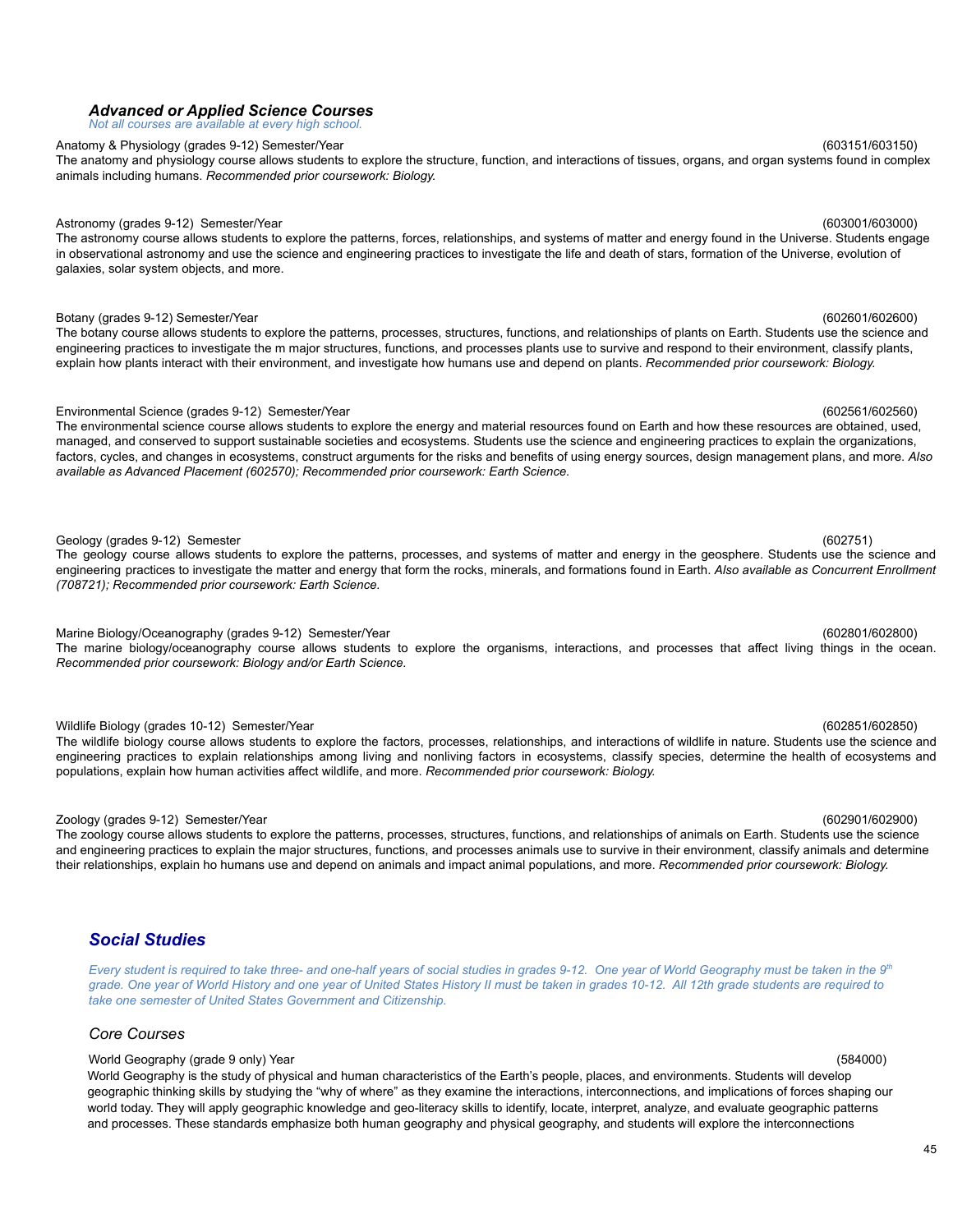### *Advanced or Applied Science Courses Not all courses are available at every high school.*

# Anatomy & Physiology (grades 9-12) Semester/Year (603151/603150) 603151/603150)

The anatomy and physiology course allows students to explore the structure, function, and interactions of tissues, organs, and organ systems found in complex animals including humans. *Recommended prior coursework: Biology.*

# Astronomy (grades 9-12) Semester/Year (603001/603000) and the set of the set of the set of the set of the set of the set of the set of the set of the set of the set of the set of the set of the set of the set of the set of

The astronomy course allows students to explore the patterns, forces, relationships, and systems of matter and energy found in the Universe. Students engage in observational astronomy and use the science and engineering practices to investigate the life and death of stars, formation of the Universe, evolution of galaxies, solar system objects, and more.

# Botany (grades 9-12) Semester/Year (602601/602600)

The botany course allows students to explore the patterns, processes, structures, functions, and relationships of plants on Earth. Students use the science and engineering practices to investigate the m major structures, functions, and processes plants use to survive and respond to their environment, classify plants, explain how plants interact with their environment, and investigate how humans use and depend on plants. *Recommended prior coursework: Biology.*

# Environmental Science (grades 9-12) Semester/Year (602561/602560)

The environmental science course allows students to explore the energy and material resources found on Earth and how these resources are obtained, used, managed, and conserved to support sustainable societies and ecosystems. Students use the science and engineering practices to explain the organizations, factors, cycles, and changes in ecosystems, construct arguments for the risks and benefits of using energy sources, design management plans, and more. *Also available as Advanced Placement (602570); Recommended prior coursework: Earth Science.*

### Geology (grades 9-12) Semester (602751)

The geology course allows students to explore the patterns, processes, and systems of matter and energy in the geosphere. Students use the science and engineering practices to investigate the matter and energy that form the rocks, minerals, and formations found in Earth. *Also available as Concurrent Enrollment (708721); Recommended prior coursework: Earth Science.*

Marine Biology/Oceanography (grades 9-12) Semester/Year (602801/602800) The marine biology/oceanography course allows students to explore the organisms, interactions, and processes that affect living things in the ocean. *Recommended prior coursework: Biology and/or Earth Science.*

# Wildlife Biology (grades 10-12) Semester/Year (602851/602850)

The wildlife biology course allows students to explore the factors, processes, relationships, and interactions of wildlife in nature. Students use the science and engineering practices to explain relationships among living and nonliving factors in ecosystems, classify species, determine the health of ecosystems and populations, explain how human activities affect wildlife, and more. *Recommended prior coursework: Biology.*

### Zoology (grades 9-12) Semester/Year (602901/602900)

The zoology course allows students to explore the patterns, processes, structures, functions, and relationships of animals on Earth. Students use the science and engineering practices to explain the major structures, functions, and processes animals use to survive in their environment, classify animals and determine their relationships, explain ho humans use and depend on animals and impact animal populations, and more. *Recommended prior coursework: Biology.*

# <span id="page-44-0"></span>*Social Studies*

Every student is required to take three- and one-half years of social studies in grades 9-12. One year of World Geography must be taken in the 9th grade. One year of World History and one year of United States History II must be taken in grades 10-12. All 12th grade students are required to *take one semester of United States Government and Citizenship.*

# *Core Courses*

# World Geography (grade 9 only) Year (584000)

World Geography is the study of physical and human characteristics of the Earth's people, places, and environments. Students will develop geographic thinking skills by studying the "why of where" as they examine the interactions, interconnections, and implications of forces shaping our world today. They will apply geographic knowledge and geo-literacy skills to identify, locate, interpret, analyze, and evaluate geographic patterns and processes. These standards emphasize both human geography and physical geography, and students will explore the interconnections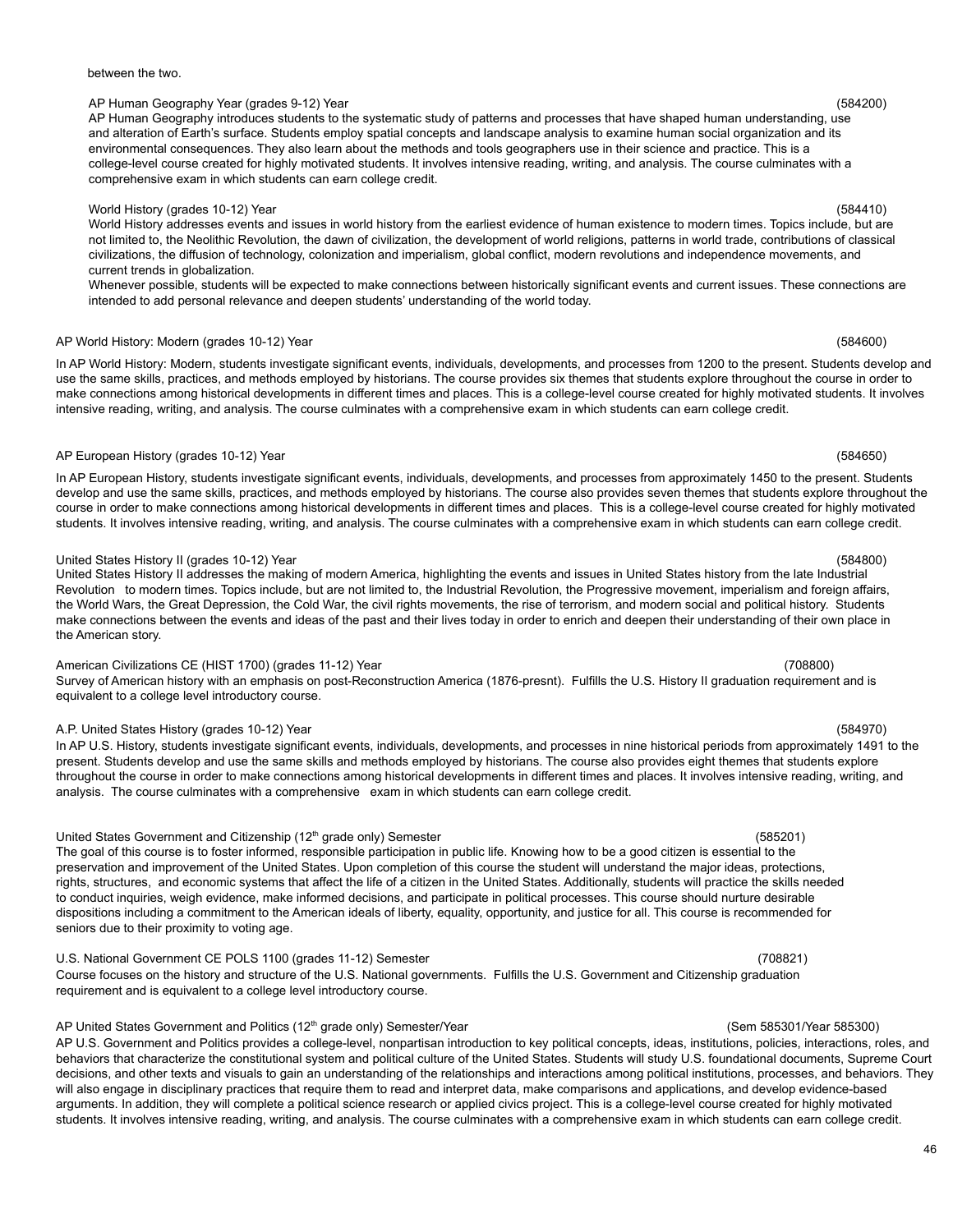## between the two.

# AP Human Geography Year (grades 9-12) Year (584200)

AP Human Geography introduces students to the systematic study of patterns and processes that have shaped human understanding, use and alteration of Earth's surface. Students employ spatial concepts and landscape analysis to examine human social organization and its environmental consequences. They also learn about the methods and tools geographers use in their science and practice. This is a college-level course created for highly motivated students. It involves intensive reading, writing, and analysis. The course culminates with a comprehensive exam in which students can earn college credit.

# World History (grades 10-12) Year (584410)

World History addresses events and issues in world history from the earliest evidence of human existence to modern times. Topics include, but are not limited to, the Neolithic Revolution, the dawn of civilization, the development of world religions, patterns in world trade, contributions of classical civilizations, the diffusion of technology, colonization and imperialism, global conflict, modern revolutions and independence movements, and current trends in globalization.

Whenever possible, students will be expected to make connections between historically significant events and current issues. These connections are intended to add personal relevance and deepen students' understanding of the world today.

# AP World History: Modern (grades 10-12) Year (584600)

In AP World History: Modern, students investigate significant events, individuals, developments, and processes from 1200 to the present. Students develop and use the same skills, practices, and methods employed by historians. The course provides six themes that students explore throughout the course in order to make connections among historical developments in different times and places. This is a college-level course created for highly motivated students. It involves intensive reading, writing, and analysis. The course culminates with a comprehensive exam in which students can earn college credit.

### AP European History (grades 10-12) Year (584650) (584650)

In AP European History, students investigate significant events, individuals, developments, and processes from approximately 1450 to the present. Students develop and use the same skills, practices, and methods employed by historians. The course also provides seven themes that students explore throughout the course in order to make connections among historical developments in different times and places. This is a college-level course created for highly motivated students. It involves intensive reading, writing, and analysis. The course culminates with a comprehensive exam in which students can earn college credit.

### United States History II (grades 10-12) Year (584800)

United States History II addresses the making of modern America, highlighting the events and issues in United States history from the late Industrial Revolution to modern times. Topics include, but are not limited to, the Industrial Revolution, the Progressive movement, imperialism and foreign affairs, the World Wars, the Great Depression, the Cold War, the civil rights movements, the rise of terrorism, and modern social and political history. Students make connections between the events and ideas of the past and their lives today in order to enrich and deepen their understanding of their own place in the American story.

# American Civilizations CE (HIST 1700) (grades 11-12) Year (708800) (708800)

Survey of American history with an emphasis on post-Reconstruction America (1876-presnt). Fulfills the U.S. History II graduation requirement and is equivalent to a college level introductory course.

# A.P. United States History (grades 10-12) Year (584970)

In AP U.S. History, students investigate significant events, individuals, developments, and processes in nine historical periods from approximately 1491 to the present. Students develop and use the same skills and methods employed by historians. The course also provides eight themes that students explore throughout the course in order to make connections among historical developments in different times and places. It involves intensive reading, writing, and analysis. The course culminates with a comprehensive exam in which students can earn college credit.

# United States Government and Citizenship (12<sup>th</sup> grade only) Semester (585201)

The goal of this course is to foster informed, responsible participation in public life. Knowing how to be a good citizen is essential to the preservation and improvement of the United States. Upon completion of this course the student will understand the major ideas, protections, rights, structures, and economic systems that affect the life of a citizen in the United States. Additionally, students will practice the skills needed to conduct inquiries, weigh evidence, make informed decisions, and participate in political processes. This course should nurture desirable dispositions including a commitment to the American ideals of liberty, equality, opportunity, and justice for all. This course is recommended for seniors due to their proximity to voting age.

# U.S. National Government CE POLS 1100 (grades 11-12) Semester (708821)

Course focuses on the history and structure of the U.S. National governments. Fulfills the U.S. Government and Citizenship graduation requirement and is equivalent to a college level introductory course.

# AP United States Government and Politics (12<sup>th</sup> grade only) Semester/Year (Semester and Dollar Sasson) (Sem 585301/Year 585300)

AP U.S. Government and Politics provides a college-level, nonpartisan introduction to key political concepts, ideas, institutions, policies, interactions, roles, and behaviors that characterize the constitutional system and political culture of the United States. Students will study U.S. foundational documents, Supreme Court decisions, and other texts and visuals to gain an understanding of the relationships and interactions among political institutions, processes, and behaviors. They will also engage in disciplinary practices that require them to read and interpret data, make comparisons and applications, and develop evidence-based arguments. In addition, they will complete a political science research or applied civics project. This is a college-level course created for highly motivated students. It involves intensive reading, writing, and analysis. The course culminates with a comprehensive exam in which students can earn college credit.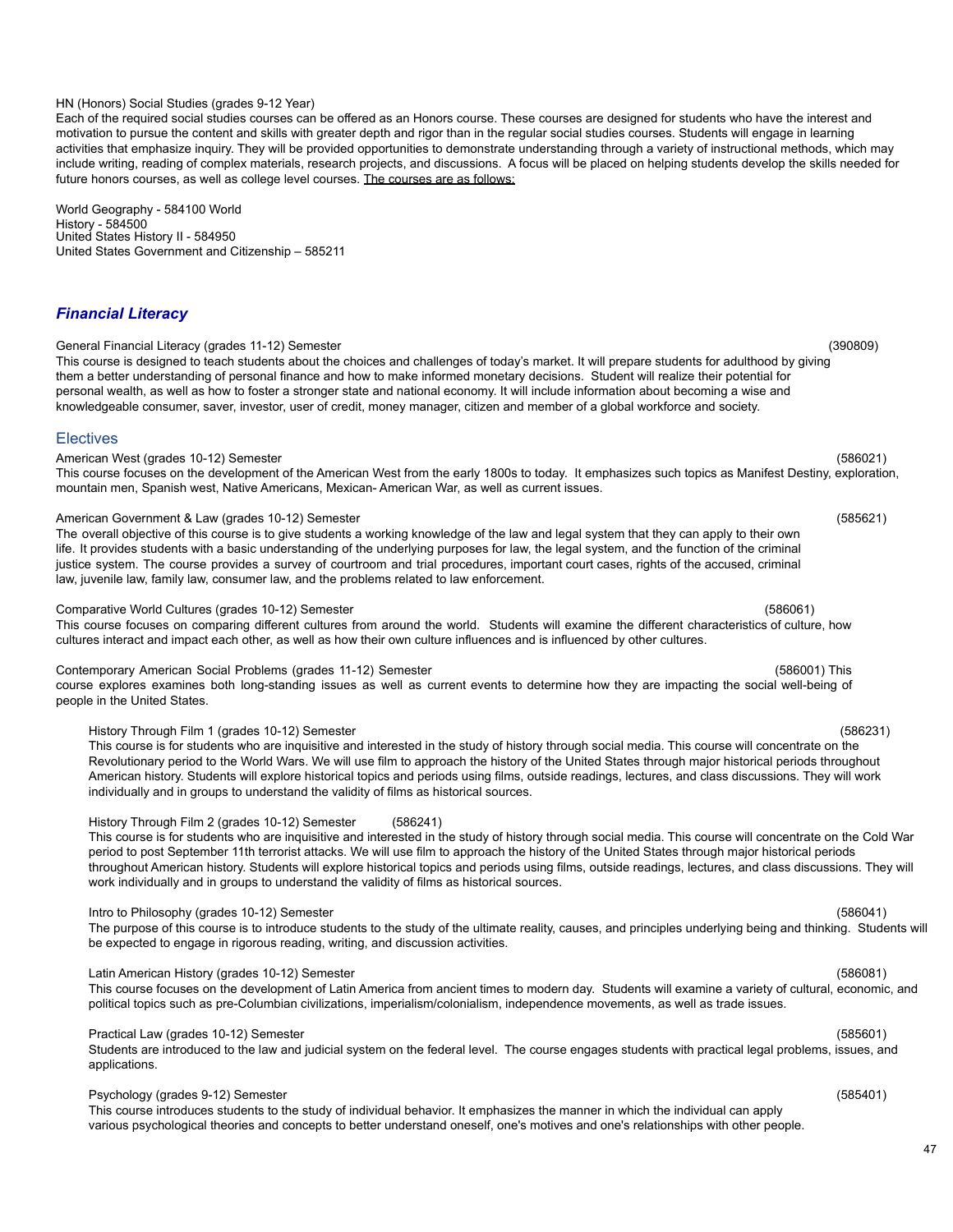# 47

## HN (Honors) Social Studies (grades 9-12 Year)

Each of the required social studies courses can be offered as an Honors course. These courses are designed for students who have the interest and motivation to pursue the content and skills with greater depth and rigor than in the regular social studies courses. Students will engage in learning activities that emphasize inquiry. They will be provided opportunities to demonstrate understanding through a variety of instructional methods, which may include writing, reading of complex materials, research projects, and discussions. A focus will be placed on helping students develop the skills needed for future honors courses, as well as college level courses. The courses are as follows:

World Geography - 584100 World History - 584500 United States History II - 584950 United States Government and Citizenship – 585211

# *Financial Literacy*

### General Financial Literacy (grades 11-12) Semester (390809)

This course is designed to teach students about the choices and challenges of today's market. It will prepare students for adulthood by giving them a better understanding of personal finance and how to make informed monetary decisions. Student will realize their potential for personal wealth, as well as how to foster a stronger state and national economy. It will include information about becoming a wise and knowledgeable consumer, saver, investor, user of credit, money manager, citizen and member of a global workforce and society.

### **Electives**

### American West (grades 10-12) Semester (586021)

# This course focuses on the development of the American West from the early 1800s to today. It emphasizes such topics as Manifest Destiny, exploration, mountain men, Spanish west, Native Americans, Mexican- American War, as well as current issues.

### American Government & Law (grades 10-12) Semester (585621)

The overall objective of this course is to give students a working knowledge of the law and legal system that they can apply to their own life. It provides students with a basic understanding of the underlying purposes for law, the legal system, and the function of the criminal justice system. The course provides a survey of courtroom and trial procedures, important court cases, rights of the accused, criminal law, juvenile law, family law, consumer law, and the problems related to law enforcement.

### Comparative World Cultures (grades 10-12) Semester (586061)

This course focuses on comparing different cultures from around the world. Students will examine the different characteristics of culture, how cultures interact and impact each other, as well as how their own culture influences and is influenced by other cultures.

### Contemporary American Social Problems (grades 11-12) Semester (586001) This

course explores examines both long-standing issues as well as current events to determine how they are impacting the social well-being of people in the United States.

### History Through Film 1 (grades 10-12) Semester (586231)

This course is for students who are inquisitive and interested in the study of history through social media. This course will concentrate on the Revolutionary period to the World Wars. We will use film to approach the history of the United States through major historical periods throughout American history. Students will explore historical topics and periods using films, outside readings, lectures, and class discussions. They will work individually and in groups to understand the validity of films as historical sources.

### History Through Film 2 (grades 10-12) Semester (586241)

This course is for students who are inquisitive and interested in the study of history through social media. This course will concentrate on the Cold War period to post September 11th terrorist attacks. We will use film to approach the history of the United States through major historical periods throughout American history. Students will explore historical topics and periods using films, outside readings, lectures, and class discussions. They will work individually and in groups to understand the validity of films as historical sources.

### Intro to Philosophy (grades 10-12) Semester (586041)

The purpose of this course is to introduce students to the study of the ultimate reality, causes, and principles underlying being and thinking. Students will be expected to engage in rigorous reading, writing, and discussion activities.

### Latin American History (grades 10-12) Semester (586081)

This course focuses on the development of Latin America from ancient times to modern day. Students will examine a variety of cultural, economic, and political topics such as pre-Columbian civilizations, imperialism/colonialism, independence movements, as well as trade issues.

## Practical Law (grades 10-12) Semester (585601)

Students are introduced to the law and judicial system on the federal level. The course engages students with practical legal problems, issues, and applications.

### Psychology (grades 9-12) Semester (585401)

This course introduces students to the study of individual behavior. It emphasizes the manner in which the individual can apply various psychological theories and concepts to better understand oneself, one's motives and one's relationships with other people.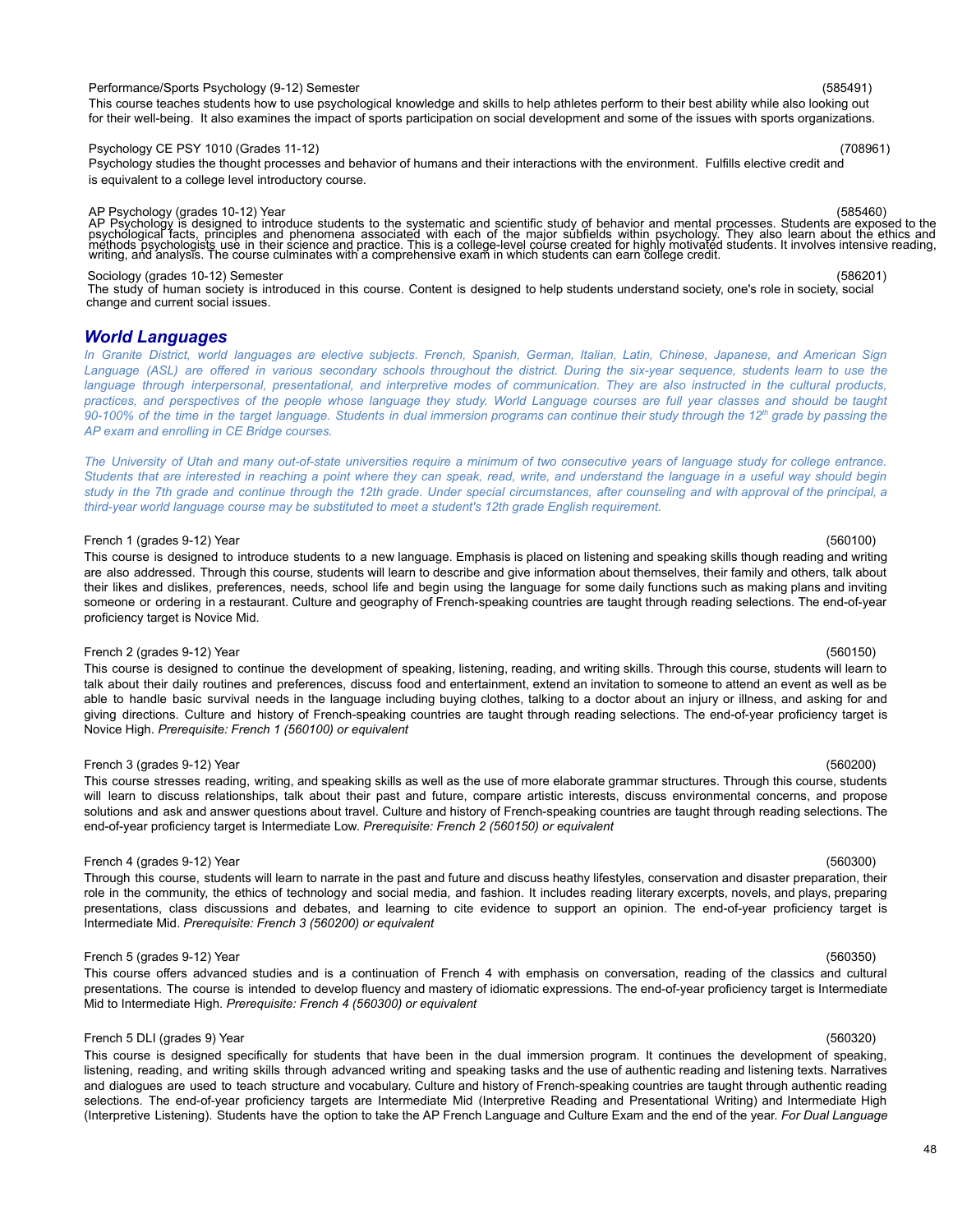### Performance/Sports Psychology (9-12) Semester (585491)

This course teaches students how to use psychological knowledge and skills to help athletes perform to their best ability while also looking out for their well-being. It also examines the impact of sports participation on social development and some of the issues with sports organizations.

### Psychology CE PSY 1010 (Grades 11-12) (708961)

Psychology studies the thought processes and behavior of humans and their interactions with the environment. Fulfills elective credit and is equivalent to a college level introductory course.

AP Psychology (grades 10-12) Year<br>AP Psychology is designed to introduce students to the systematic and scientific study of behavior and mental processes. Students are exposed to the<br>psychological facts, principles and phe

### Sociology (grades 10-12) Semester (586201)

The study of human society is introduced in this course. Content is designed to help students understand society, one's role in society, social change and current social issues.

### *World Languages*

In Granite District, world languages are elective subjects. French, Spanish, German, Italian, Latin, Chinese, Japanese, and American Sign Language (ASL) are offered in various secondary schools throughout the district. During the six-year sequence, students learn to use the language through interpersonal, presentational, and interpretive modes of communication. They are also instructed in the cultural products, practices, and perspectives of the people whose language they study. World Language courses are full year classes and should be taught 90-100% of the time in the target language. Students in dual immersion programs can continue their study through the 12th grade by passing the *AP exam and enrolling in CE Bridge courses.*

The University of Utah and many out-of-state universities require a minimum of two consecutive years of language study for college entrance. Students that are interested in reaching a point where they can speak, read, write, and understand the language in a useful way should begin study in the 7th grade and continue through the 12th grade. Under special circumstances, after counseling and with approval of the principal, a *third-year world language course may be substituted to meet a student's 12th grade English requirement.*

### French 1 (grades 9-12) Year (560100)

This course is designed to introduce students to a new language. Emphasis is placed on listening and speaking skills though reading and writing are also addressed. Through this course, students will learn to describe and give information about themselves, their family and others, talk about their likes and dislikes, preferences, needs, school life and begin using the language for some daily functions such as making plans and inviting someone or ordering in a restaurant. Culture and geography of French-speaking countries are taught through reading selections. The end-of-year proficiency target is Novice Mid.

### French 2 (grades 9-12) Year (560150)

This course is designed to continue the development of speaking, listening, reading, and writing skills. Through this course, students will learn to talk about their daily routines and preferences, discuss food and entertainment, extend an invitation to someone to attend an event as well as be able to handle basic survival needs in the language including buying clothes, talking to a doctor about an injury or illness, and asking for and giving directions. Culture and history of French-speaking countries are taught through reading selections. The end-of-year proficiency target is Novice High. *Prerequisite: French 1 (560100) or equivalent*

### French 3 (grades 9-12) Year (560200)

This course stresses reading, writing, and speaking skills as well as the use of more elaborate grammar structures. Through this course, students will learn to discuss relationships, talk about their past and future, compare artistic interests, discuss environmental concerns, and propose solutions and ask and answer questions about travel. Culture and history of French-speaking countries are taught through reading selections. The end-of-year proficiency target is Intermediate Low. *Prerequisite: French 2 (560150) or equivalent*

### French 4 (grades 9-12) Year (560300)

Through this course, students will learn to narrate in the past and future and discuss heathy lifestyles, conservation and disaster preparation, their role in the community, the ethics of technology and social media, and fashion. It includes reading literary excerpts, novels, and plays, preparing presentations, class discussions and debates, and learning to cite evidence to support an opinion. The end-of-year proficiency target is Intermediate Mid. *Prerequisite: French 3 (560200) or equivalent*

### French 5 (grades 9-12) Year (560350)

This course offers advanced studies and is a continuation of French 4 with emphasis on conversation, reading of the classics and cultural presentations. The course is intended to develop fluency and mastery of idiomatic expressions. The end-of-year proficiency target is Intermediate Mid to Intermediate High. *Prerequisite: French 4 (560300) or equivalent*

### French 5 DLI (grades 9) Year (560320)

This course is designed specifically for students that have been in the dual immersion program. It continues the development of speaking, listening, reading, and writing skills through advanced writing and speaking tasks and the use of authentic reading and listening texts. Narratives and dialogues are used to teach structure and vocabulary. Culture and history of French-speaking countries are taught through authentic reading selections. The end-of-year proficiency targets are Intermediate Mid (Interpretive Reading and Presentational Writing) and Intermediate High (Interpretive Listening). Students have the option to take the AP French Language and Culture Exam and the end of the year. *For Dual Language*

### 48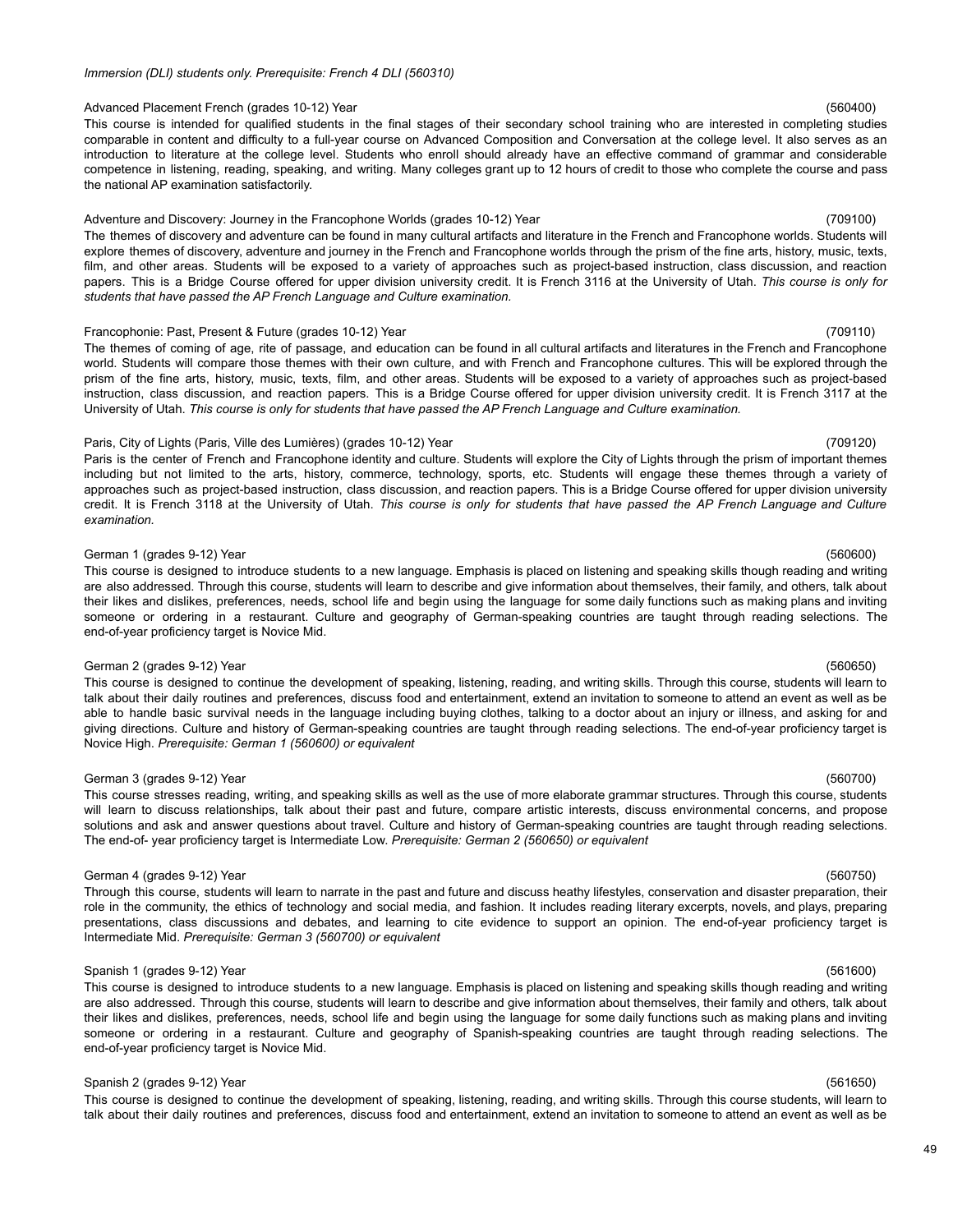### *Immersion (DLI) students only. Prerequisite: French 4 DLI (560310)*

### Advanced Placement French (grades 10-12) Year (560400) (560400)

This course is intended for qualified students in the final stages of their secondary school training who are interested in completing studies comparable in content and difficulty to a full-year course on Advanced Composition and Conversation at the college level. It also serves as an introduction to literature at the college level. Students who enroll should already have an effective command of grammar and considerable competence in listening, reading, speaking, and writing. Many colleges grant up to 12 hours of credit to those who complete the course and pass the national AP examination satisfactorily.

# Adventure and Discovery: Journey in the Francophone Worlds (grades 10-12) Year (709100)

The themes of discovery and adventure can be found in many cultural artifacts and literature in the French and Francophone worlds. Students will explore themes of discovery, adventure and journey in the French and Francophone worlds through the prism of the fine arts, history, music, texts, film, and other areas. Students will be exposed to a variety of approaches such as project-based instruction, class discussion, and reaction papers. This is a Bridge Course offered for upper division university credit. It is French 3116 at the University of Utah. *This course is only for students that have passed the AP French Language and Culture examination.*

# Francophonie: Past, Present & Future (grades 10-12) Year (709110)

The themes of coming of age, rite of passage, and education can be found in all cultural artifacts and literatures in the French and Francophone world. Students will compare those themes with their own culture, and with French and Francophone cultures. This will be explored through the prism of the fine arts, history, music, texts, film, and other areas. Students will be exposed to a variety of approaches such as project-based instruction, class discussion, and reaction papers. This is a Bridge Course offered for upper division university credit. It is French 3117 at the University of Utah. This course is only for students that have passed the AP French Language and Culture examination.

### Paris, City of Lights (Paris, Ville des Lumières) (grades 10-12) Year (709120)

Paris is the center of French and Francophone identity and culture. Students will explore the City of Lights through the prism of important themes including but not limited to the arts, history, commerce, technology, sports, etc. Students will engage these themes through a variety of approaches such as project-based instruction, class discussion, and reaction papers. This is a Bridge Course offered for upper division university credit. It is French 3118 at the University of Utah. This course is only for students that have passed the AP French Language and Culture *examination.*

### German 1 (grades 9-12) Year (560600) (660600)

This course is designed to introduce students to a new language. Emphasis is placed on listening and speaking skills though reading and writing are also addressed. Through this course, students will learn to describe and give information about themselves, their family, and others, talk about their likes and dislikes, preferences, needs, school life and begin using the language for some daily functions such as making plans and inviting someone or ordering in a restaurant. Culture and geography of German-speaking countries are taught through reading selections. The end-of-year proficiency target is Novice Mid.

## German 2 (grades 9-12) Year (560650)

This course is designed to continue the development of speaking, listening, reading, and writing skills. Through this course, students will learn to talk about their daily routines and preferences, discuss food and entertainment, extend an invitation to someone to attend an event as well as be able to handle basic survival needs in the language including buying clothes, talking to a doctor about an injury or illness, and asking for and giving directions. Culture and history of German-speaking countries are taught through reading selections. The end-of-year proficiency target is Novice High. *Prerequisite: German 1 (560600) or equivalent*

### German 3 (grades 9-12) Year (560700) (680700)

This course stresses reading, writing, and speaking skills as well as the use of more elaborate grammar structures. Through this course, students will learn to discuss relationships, talk about their past and future, compare artistic interests, discuss environmental concerns, and propose solutions and ask and answer questions about travel. Culture and history of German-speaking countries are taught through reading selections. The end-of- year proficiency target is Intermediate Low. *Prerequisite: German 2 (560650) or equivalent*

### German 4 (grades 9-12) Year (560750)

Through this course, students will learn to narrate in the past and future and discuss heathy lifestyles, conservation and disaster preparation, their role in the community, the ethics of technology and social media, and fashion. It includes reading literary excerpts, novels, and plays, preparing presentations, class discussions and debates, and learning to cite evidence to support an opinion. The end-of-year proficiency target is Intermediate Mid. *Prerequisite: German 3 (560700) or equivalent*

### Spanish 1 (grades 9-12) Year (561600)

This course is designed to introduce students to a new language. Emphasis is placed on listening and speaking skills though reading and writing are also addressed. Through this course, students will learn to describe and give information about themselves, their family and others, talk about their likes and dislikes, preferences, needs, school life and begin using the language for some daily functions such as making plans and inviting someone or ordering in a restaurant. Culture and geography of Spanish-speaking countries are taught through reading selections. The end-of-year proficiency target is Novice Mid.

### Spanish 2 (grades 9-12) Year (561650)

This course is designed to continue the development of speaking, listening, reading, and writing skills. Through this course students, will learn to talk about their daily routines and preferences, discuss food and entertainment, extend an invitation to someone to attend an event as well as be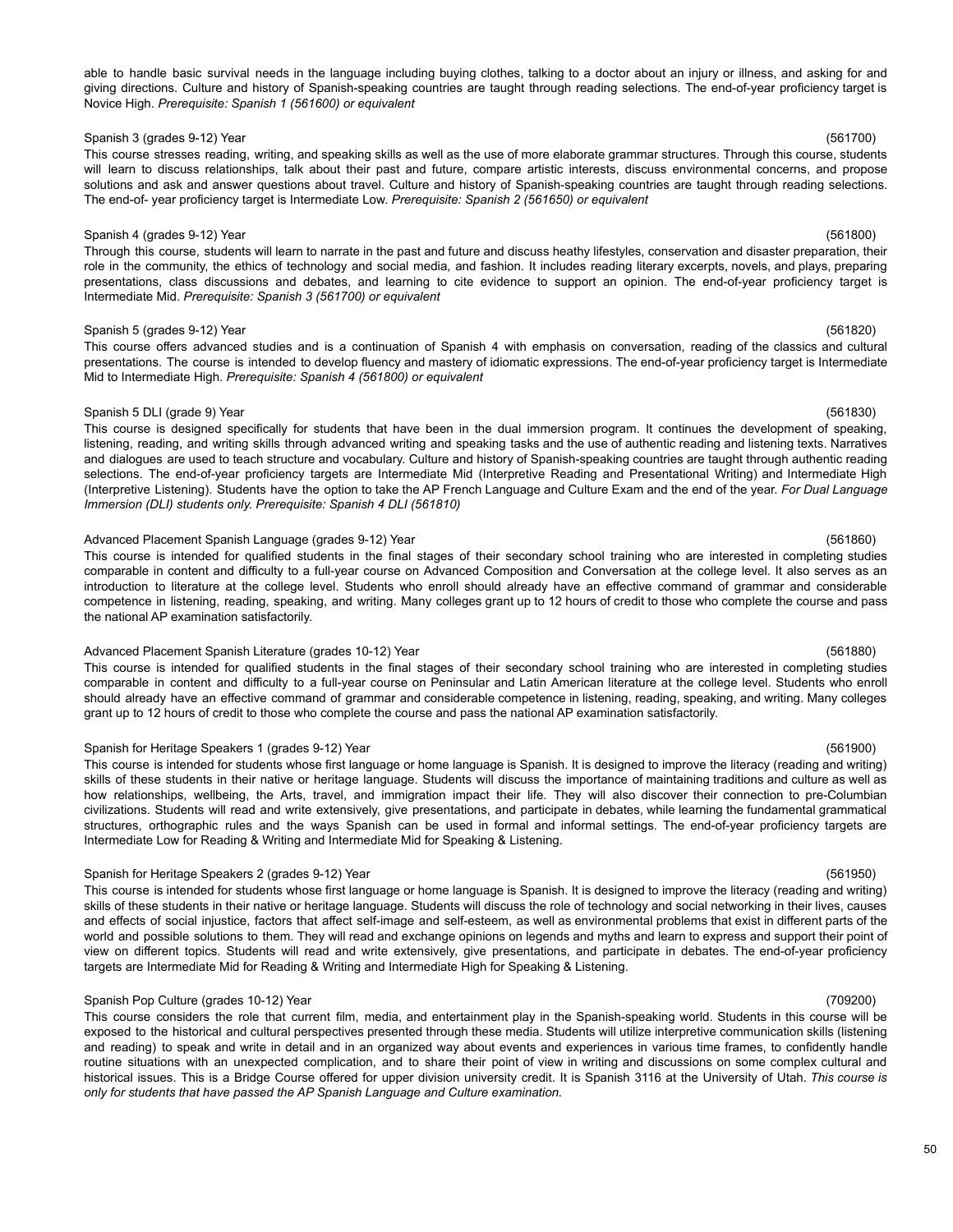### able to handle basic survival needs in the language including buying clothes, talking to a doctor about an injury or illness, and asking for and giving directions. Culture and history of Spanish-speaking countries are taught through reading selections. The end-of-year proficiency target is Novice High. *Prerequisite: Spanish 1 (561600) or equivalent*

Spanish 3 (grades 9-12) Year (561700) This course stresses reading, writing, and speaking skills as well as the use of more elaborate grammar structures. Through this course, students will learn to discuss relationships, talk about their past and future, compare artistic interests, discuss environmental concerns, and propose solutions and ask and answer questions about travel. Culture and history of Spanish-speaking countries are taught through reading selections. The end-of- year proficiency target is Intermediate Low. *Prerequisite: Spanish 2 (561650) or equivalent*

### Spanish 4 (grades 9-12) Year (561800)

Through this course, students will learn to narrate in the past and future and discuss heathy lifestyles, conservation and disaster preparation, their role in the community, the ethics of technology and social media, and fashion. It includes reading literary excerpts, novels, and plays, preparing presentations, class discussions and debates, and learning to cite evidence to support an opinion. The end-of-year proficiency target is Intermediate Mid. *Prerequisite: Spanish 3 (561700) or equivalent*

### Spanish 5 (grades 9-12) Year (561820)

This course offers advanced studies and is a continuation of Spanish 4 with emphasis on conversation, reading of the classics and cultural presentations. The course is intended to develop fluency and mastery of idiomatic expressions. The end-of-year proficiency target is Intermediate Mid to Intermediate High. *Prerequisite: Spanish 4 (561800) or equivalent*

### Spanish 5 DLI (grade 9) Year (561830)

This course is designed specifically for students that have been in the dual immersion program. It continues the development of speaking, listening, reading, and writing skills through advanced writing and speaking tasks and the use of authentic reading and listening texts. Narratives and dialogues are used to teach structure and vocabulary. Culture and history of Spanish-speaking countries are taught through authentic reading selections. The end-of-year proficiency targets are Intermediate Mid (Interpretive Reading and Presentational Writing) and Intermediate High (Interpretive Listening). Students have the option to take the AP French Language and Culture Exam and the end of the year. *For Dual Language Immersion (DLI) students only. Prerequisite: Spanish 4 DLI (561810)*

## Advanced Placement Spanish Language (grades 9-12) Year (561860)

This course is intended for qualified students in the final stages of their secondary school training who are interested in completing studies comparable in content and difficulty to a full-year course on Advanced Composition and Conversation at the college level. It also serves as an introduction to literature at the college level. Students who enroll should already have an effective command of grammar and considerable competence in listening, reading, speaking, and writing. Many colleges grant up to 12 hours of credit to those who complete the course and pass the national AP examination satisfactorily.

### Advanced Placement Spanish Literature (grades 10-12) Year (561880)

This course is intended for qualified students in the final stages of their secondary school training who are interested in completing studies comparable in content and difficulty to a full-year course on Peninsular and Latin American literature at the college level. Students who enroll should already have an effective command of grammar and considerable competence in listening, reading, speaking, and writing. Many colleges grant up to 12 hours of credit to those who complete the course and pass the national AP examination satisfactorily.

### Spanish for Heritage Speakers 1 (grades 9-12) Year (561900)

This course is intended for students whose first language or home language is Spanish. It is designed to improve the literacy (reading and writing) skills of these students in their native or heritage language. Students will discuss the importance of maintaining traditions and culture as well as how relationships, wellbeing, the Arts, travel, and immigration impact their life. They will also discover their connection to pre-Columbian civilizations. Students will read and write extensively, give presentations, and participate in debates, while learning the fundamental grammatical structures, orthographic rules and the ways Spanish can be used in formal and informal settings. The end-of-year proficiency targets are Intermediate Low for Reading & Writing and Intermediate Mid for Speaking & Listening.

### Spanish for Heritage Speakers 2 (grades 9-12) Year (561950)

This course is intended for students whose first language or home language is Spanish. It is designed to improve the literacy (reading and writing) skills of these students in their native or heritage language. Students will discuss the role of technology and social networking in their lives, causes and effects of social injustice, factors that affect self-image and self-esteem, as well as environmental problems that exist in different parts of the world and possible solutions to them. They will read and exchange opinions on legends and myths and learn to express and support their point of view on different topics. Students will read and write extensively, give presentations, and participate in debates. The end-of-year proficiency targets are Intermediate Mid for Reading & Writing and Intermediate High for Speaking & Listening.

### Spanish Pop Culture (grades 10-12) Year (709200)

This course considers the role that current film, media, and entertainment play in the Spanish-speaking world. Students in this course will be exposed to the historical and cultural perspectives presented through these media. Students will utilize interpretive communication skills (listening and reading) to speak and write in detail and in an organized way about events and experiences in various time frames, to confidently handle routine situations with an unexpected complication, and to share their point of view in writing and discussions on some complex cultural and historical issues. This is a Bridge Course offered for upper division university credit. It is Spanish 3116 at the University of Utah. *This course is only for students that have passed the AP Spanish Language and Culture examination.*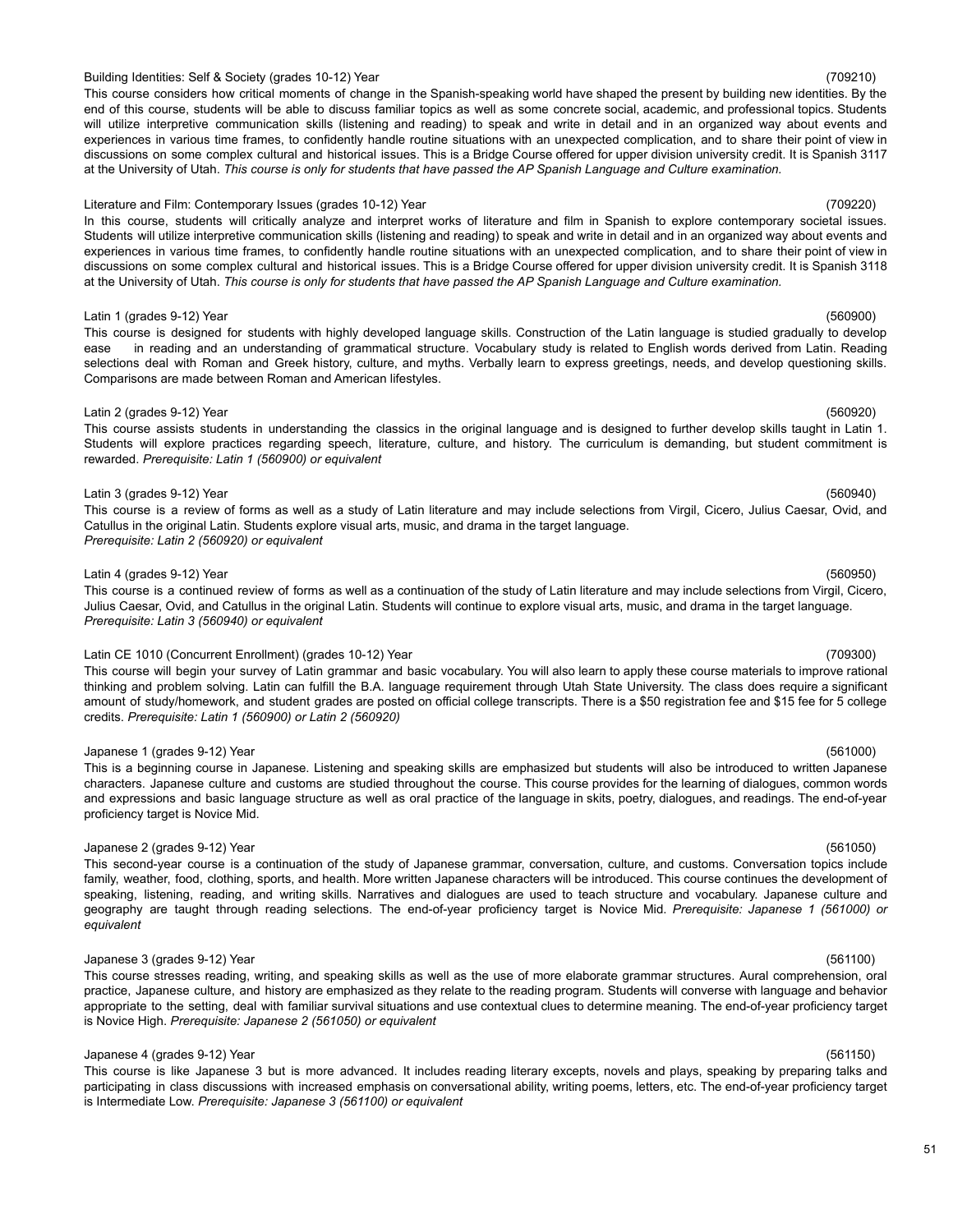### 51

# Building Identities: Self & Society (grades 10-12) Year (709210)

This course considers how critical moments of change in the Spanish-speaking world have shaped the present by building new identities. By the end of this course, students will be able to discuss familiar topics as well as some concrete social, academic, and professional topics. Students will utilize interpretive communication skills (listening and reading) to speak and write in detail and in an organized way about events and experiences in various time frames, to confidently handle routine situations with an unexpected complication, and to share their point of view in discussions on some complex cultural and historical issues. This is a Bridge Course offered for upper division university credit. It is Spanish 3117 at the University of Utah. This course is only for students that have passed the AP Spanish Language and Culture examination.

### Literature and Film: Contemporary Issues (grades 10-12) Year (709220) Contemporary 199220)

In this course, students will critically analyze and interpret works of literature and film in Spanish to explore contemporary societal issues. Students will utilize interpretive communication skills (listening and reading) to speak and write in detail and in an organized way about events and experiences in various time frames, to confidently handle routine situations with an unexpected complication, and to share their point of view in discussions on some complex cultural and historical issues. This is a Bridge Course offered for upper division university credit. It is Spanish 3118 at the University of Utah. This course is only for students that have passed the AP Spanish Language and Culture examination.

### Latin 1 (grades 9-12) Year (560900)

This course is designed for students with highly developed language skills. Construction of the Latin language is studied gradually to develop ease in reading and an understanding of grammatical structure. Vocabulary study is related to English words derived from Latin. Reading selections deal with Roman and Greek history, culture, and myths. Verbally learn to express greetings, needs, and develop questioning skills. Comparisons are made between Roman and American lifestyles.

### Latin 2 (grades 9-12) Year (560920)

This course assists students in understanding the classics in the original language and is designed to further develop skills taught in Latin 1. Students will explore practices regarding speech, literature, culture, and history. The curriculum is demanding, but student commitment is rewarded. *Prerequisite: Latin 1 (560900) or equivalent*

### Latin 3 (grades 9-12) Year (560940)

This course is a review of forms as well as a study of Latin literature and may include selections from Virgil, Cicero, Julius Caesar, Ovid, and Catullus in the original Latin. Students explore visual arts, music, and drama in the target language. *Prerequisite: Latin 2 (560920) or equivalent*

### Latin 4 (grades 9-12) Year (560950)

This course is a continued review of forms as well as a continuation of the study of Latin literature and may include selections from Virgil, Cicero, Julius Caesar, Ovid, and Catullus in the original Latin. Students will continue to explore visual arts, music, and drama in the target language. *Prerequisite: Latin 3 (560940) or equivalent*

### Latin CE 1010 (Concurrent Enrollment) (grades 10-12) Year (709300)

This course will begin your survey of Latin grammar and basic vocabulary. You will also learn to apply these course materials to improve rational thinking and problem solving. Latin can fulfill the B.A. language requirement through Utah State University. The class does require a significant amount of study/homework, and student grades are posted on official college transcripts. There is a \$50 registration fee and \$15 fee for 5 college credits. *Prerequisite: Latin 1 (560900) or Latin 2 (560920)*

### Japanese 1 (grades 9-12) Year (561000)

This is a beginning course in Japanese. Listening and speaking skills are emphasized but students will also be introduced to written Japanese characters. Japanese culture and customs are studied throughout the course. This course provides for the learning of dialogues, common words and expressions and basic language structure as well as oral practice of the language in skits, poetry, dialogues, and readings. The end-of-year proficiency target is Novice Mid.

### Japanese 2 (grades 9-12) Year (561050)

This second-year course is a continuation of the study of Japanese grammar, conversation, culture, and customs. Conversation topics include family, weather, food, clothing, sports, and health. More written Japanese characters will be introduced. This course continues the development of speaking, listening, reading, and writing skills. Narratives and dialogues are used to teach structure and vocabulary. Japanese culture and geography are taught through reading selections. The end-of-year proficiency target is Novice Mid. *Prerequisite: Japanese 1 (561000) or equivalent*

### Japanese 3 (grades 9-12) Year (561100)

This course stresses reading, writing, and speaking skills as well as the use of more elaborate grammar structures. Aural comprehension, oral practice, Japanese culture, and history are emphasized as they relate to the reading program. Students will converse with language and behavior appropriate to the setting, deal with familiar survival situations and use contextual clues to determine meaning. The end-of-year proficiency target is Novice High. *Prerequisite: Japanese 2 (561050) or equivalent*

## Japanese 4 (grades 9-12) Year (561150)

This course is like Japanese 3 but is more advanced. It includes reading literary excepts, novels and plays, speaking by preparing talks and participating in class discussions with increased emphasis on conversational ability, writing poems, letters, etc. The end-of-year proficiency target is Intermediate Low. *Prerequisite: Japanese 3 (561100) or equivalent*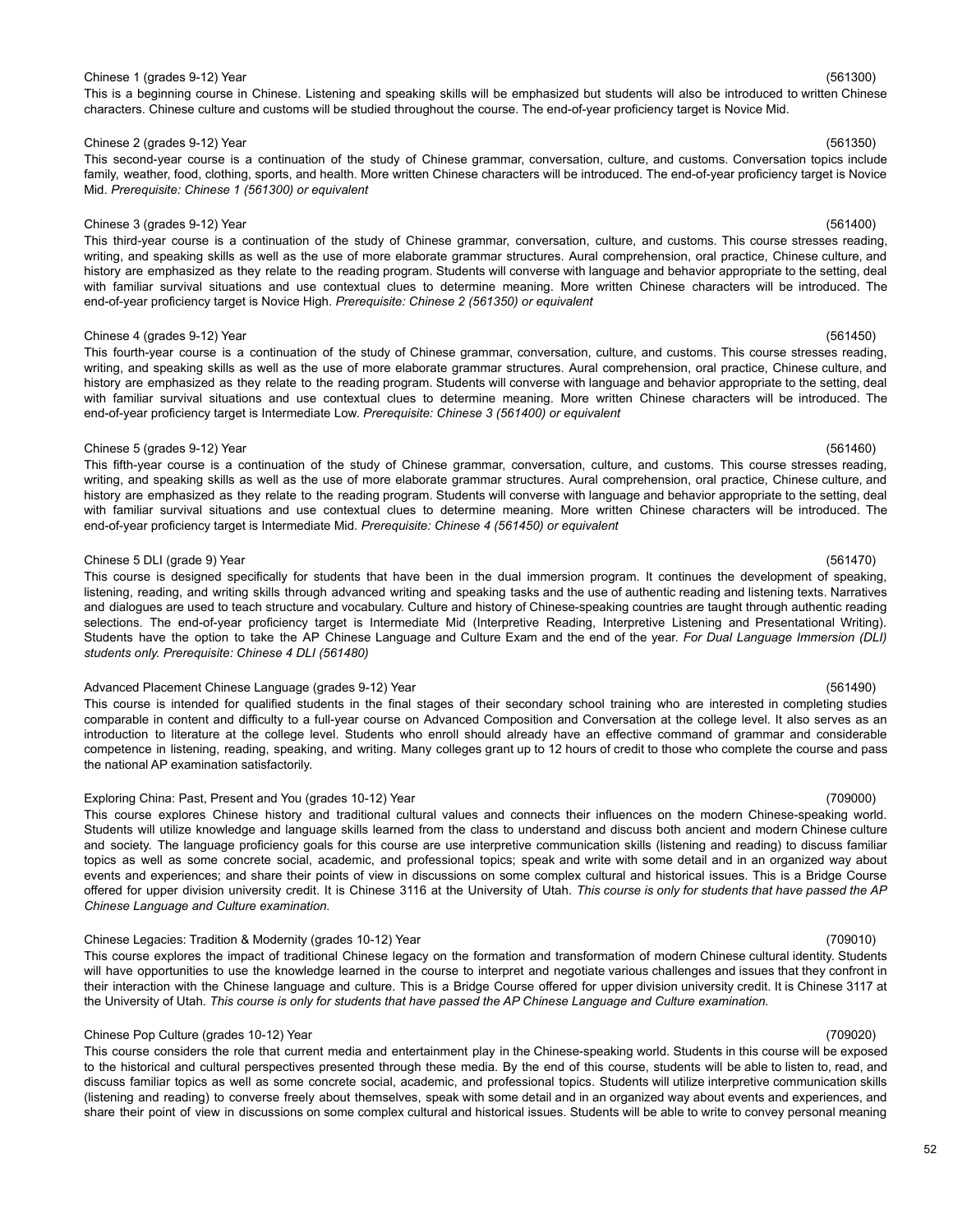### Chinese 1 (grades 9-12) Year (561300)

This is a beginning course in Chinese. Listening and speaking skills will be emphasized but students will also be introduced to written Chinese characters. Chinese culture and customs will be studied throughout the course. The end-of-year proficiency target is Novice Mid.

### Chinese 2 (grades 9-12) Year (561350)

This second-year course is a continuation of the study of Chinese grammar, conversation, culture, and customs. Conversation topics include family, weather, food, clothing, sports, and health. More written Chinese characters will be introduced. The end-of-year proficiency target is Novice Mid. *Prerequisite: Chinese 1 (561300) or equivalent*

### Chinese 3 (grades 9-12) Year (561400)

This third-year course is a continuation of the study of Chinese grammar, conversation, culture, and customs. This course stresses reading, writing, and speaking skills as well as the use of more elaborate grammar structures. Aural comprehension, oral practice, Chinese culture, and history are emphasized as they relate to the reading program. Students will converse with language and behavior appropriate to the setting, deal with familiar survival situations and use contextual clues to determine meaning. More written Chinese characters will be introduced. The end-of-year proficiency target is Novice High. *Prerequisite: Chinese 2 (561350) or equivalent*

### Chinese 4 (grades 9-12) Year (561450)

This fourth-year course is a continuation of the study of Chinese grammar, conversation, culture, and customs. This course stresses reading, writing, and speaking skills as well as the use of more elaborate grammar structures. Aural comprehension, oral practice, Chinese culture, and history are emphasized as they relate to the reading program. Students will converse with language and behavior appropriate to the setting, deal with familiar survival situations and use contextual clues to determine meaning. More written Chinese characters will be introduced. The end-of-year proficiency target is Intermediate Low. *Prerequisite: Chinese 3 (561400) or equivalent*

### Chinese 5 (grades 9-12) Year (561460)

This fifth-year course is a continuation of the study of Chinese grammar, conversation, culture, and customs. This course stresses reading, writing, and speaking skills as well as the use of more elaborate grammar structures. Aural comprehension, oral practice, Chinese culture, and history are emphasized as they relate to the reading program. Students will converse with language and behavior appropriate to the setting, deal with familiar survival situations and use contextual clues to determine meaning. More written Chinese characters will be introduced. The end-of-year proficiency target is Intermediate Mid. *Prerequisite: Chinese 4 (561450) or equivalent*

### Chinese 5 DLI (grade 9) Year (561470)

This course is designed specifically for students that have been in the dual immersion program. It continues the development of speaking, listening, reading, and writing skills through advanced writing and speaking tasks and the use of authentic reading and listening texts. Narratives and dialogues are used to teach structure and vocabulary. Culture and history of Chinese-speaking countries are taught through authentic reading selections. The end-of-year proficiency target is Intermediate Mid (Interpretive Reading, Interpretive Listening and Presentational Writing). Students have the option to take the AP Chinese Language and Culture Exam and the end of the year. *For Dual Language Immersion (DLI) students only. Prerequisite: Chinese 4 DLI (561480)*

### Advanced Placement Chinese Language (grades 9-12) Year (561490) (561490)

This course is intended for qualified students in the final stages of their secondary school training who are interested in completing studies comparable in content and difficulty to a full-year course on Advanced Composition and Conversation at the college level. It also serves as an introduction to literature at the college level. Students who enroll should already have an effective command of grammar and considerable competence in listening, reading, speaking, and writing. Many colleges grant up to 12 hours of credit to those who complete the course and pass the national AP examination satisfactorily.

### Exploring China: Past, Present and You (grades 10-12) Year (709000)

This course explores Chinese history and traditional cultural values and connects their influences on the modern Chinese-speaking world. Students will utilize knowledge and language skills learned from the class to understand and discuss both ancient and modern Chinese culture and society. The language proficiency goals for this course are use interpretive communication skills (listening and reading) to discuss familiar topics as well as some concrete social, academic, and professional topics; speak and write with some detail and in an organized way about events and experiences; and share their points of view in discussions on some complex cultural and historical issues. This is a Bridge Course offered for upper division university credit. It is Chinese 3116 at the University of Utah. This course is only for students that have passed the AP *Chinese Language and Culture examination.*

### Chinese Legacies: Tradition & Modernity (grades 10-12) Year (709010)

This course explores the impact of traditional Chinese legacy on the formation and transformation of modern Chinese cultural identity. Students will have opportunities to use the knowledge learned in the course to interpret and negotiate various challenges and issues that they confront in their interaction with the Chinese language and culture. This is a Bridge Course offered for upper division university credit. It is Chinese 3117 at the University of Utah. This course is only for students that have passed the AP Chinese Language and Culture examination.

### Chinese Pop Culture (grades 10-12) Year (709020)

This course considers the role that current media and entertainment play in the Chinese-speaking world. Students in this course will be exposed to the historical and cultural perspectives presented through these media. By the end of this course, students will be able to listen to, read, and discuss familiar topics as well as some concrete social, academic, and professional topics. Students will utilize interpretive communication skills (listening and reading) to converse freely about themselves, speak with some detail and in an organized way about events and experiences, and share their point of view in discussions on some complex cultural and historical issues. Students will be able to write to convey personal meaning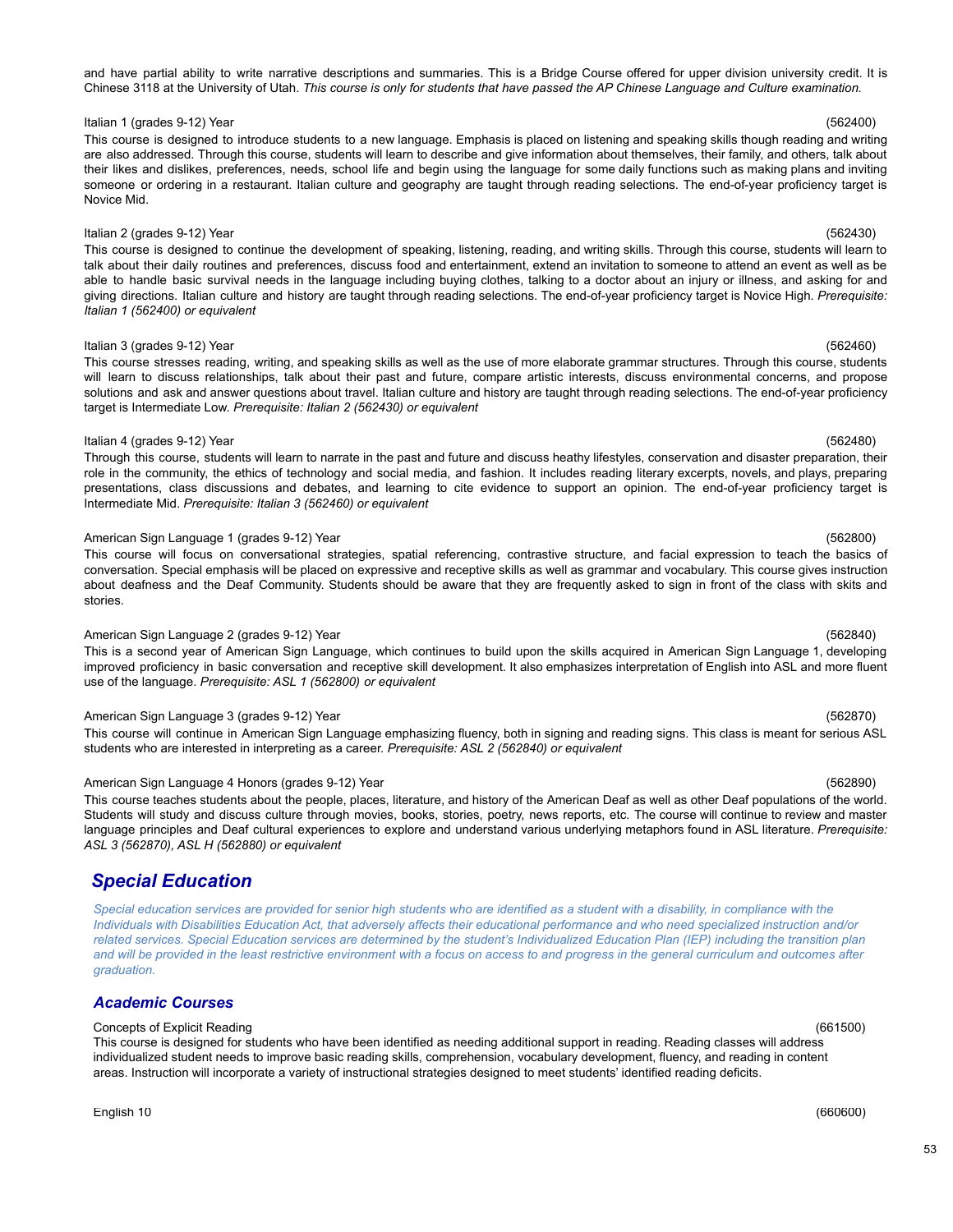and have partial ability to write narrative descriptions and summaries. This is a Bridge Course offered for upper division university credit. It is Chinese 3118 at the University of Utah. This course is only for students that have passed the AP Chinese Language and Culture examination.

# Italian 1 (grades 9-12) Year (562400)

This course is designed to introduce students to a new language. Emphasis is placed on listening and speaking skills though reading and writing are also addressed. Through this course, students will learn to describe and give information about themselves, their family, and others, talk about their likes and dislikes, preferences, needs, school life and begin using the language for some daily functions such as making plans and inviting someone or ordering in a restaurant. Italian culture and geography are taught through reading selections. The end-of-year proficiency target is Novice Mid.

# Italian 2 (grades 9-12) Year (562430)

This course is designed to continue the development of speaking, listening, reading, and writing skills. Through this course, students will learn to talk about their daily routines and preferences, discuss food and entertainment, extend an invitation to someone to attend an event as well as be able to handle basic survival needs in the language including buying clothes, talking to a doctor about an injury or illness, and asking for and giving directions. Italian culture and history are taught through reading selections. The end-of-year proficiency target is Novice High. *Prerequisite: Italian 1 (562400) or equivalent*

# Italian 3 (grades 9-12) Year (562460)

This course stresses reading, writing, and speaking skills as well as the use of more elaborate grammar structures. Through this course, students will learn to discuss relationships, talk about their past and future, compare artistic interests, discuss environmental concerns, and propose solutions and ask and answer questions about travel. Italian culture and history are taught through reading selections. The end-of-year proficiency target is Intermediate Low. *Prerequisite: Italian 2 (562430) or equivalent*

# Italian 4 (grades 9-12) Year (562480)

Through this course, students will learn to narrate in the past and future and discuss heathy lifestyles, conservation and disaster preparation, their role in the community, the ethics of technology and social media, and fashion. It includes reading literary excerpts, novels, and plays, preparing presentations, class discussions and debates, and learning to cite evidence to support an opinion. The end-of-year proficiency target is Intermediate Mid. *Prerequisite: Italian 3 (562460) or equivalent*

# American Sign Language 1 (grades 9-12) Year (562800)

This course will focus on conversational strategies, spatial referencing, contrastive structure, and facial expression to teach the basics of conversation. Special emphasis will be placed on expressive and receptive skills as well as grammar and vocabulary. This course gives instruction about deafness and the Deaf Community. Students should be aware that they are frequently asked to sign in front of the class with skits and stories.

# American Sign Language 2 (grades 9-12) Year (562840)

This is a second year of American Sign Language, which continues to build upon the skills acquired in American Sign Language 1, developing improved proficiency in basic conversation and receptive skill development. It also emphasizes interpretation of English into ASL and more fluent use of the language. *Prerequisite: ASL 1 (562800) or equivalent*

# American Sign Language 3 (grades 9-12) Year (562870) (562870)

This course will continue in American Sign Language emphasizing fluency, both in signing and reading signs. This class is meant for serious ASL students who are interested in interpreting as a career. *Prerequisite: ASL 2 (562840) or equivalent*

# American Sign Language 4 Honors (grades 9-12) Year (562890) American Sign Language (562890)

This course teaches students about the people, places, literature, and history of the American Deaf as well as other Deaf populations of the world. Students will study and discuss culture through movies, books, stories, poetry, news reports, etc. The course will continue to review and master language principles and Deaf cultural experiences to explore and understand various underlying metaphors found in ASL literature. *Prerequisite: ASL 3 (562870), ASL H (562880) or equivalent*

# <span id="page-52-0"></span>*Special Education*

Special education services are provided for senior high students who are identified as a student with a disability, in compliance with the Individuals with Disabilities Education Act, that adversely affects their educational performance and who need specialized instruction and/or related services. Special Education services are determined by the student's Individualized Education Plan (IEP) including the transition plan and will be provided in the least restrictive environment with a focus on access to and progress in the general curriculum and outcomes after *graduation.*

# *Academic Courses*

# Concepts of Explicit Reading (661500)

This course is designed for students who have been identified as needing additional support in reading. Reading classes will address individualized student needs to improve basic reading skills, comprehension, vocabulary development, fluency, and reading in content areas. Instruction will incorporate a variety of instructional strategies designed to meet students' identified reading deficits.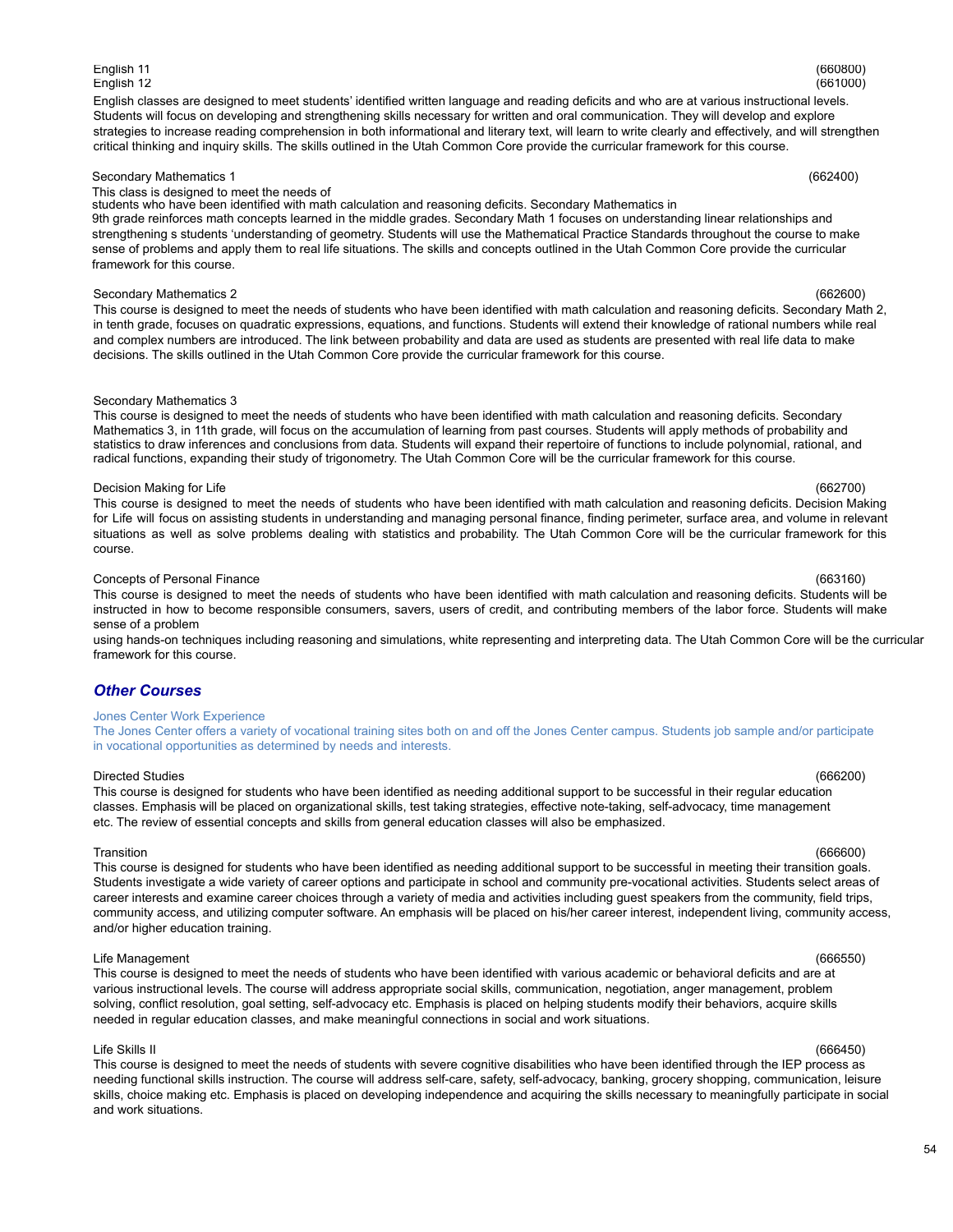### 54

English classes are designed to meet students' identified written language and reading deficits and who are at various instructional levels. Students will focus on developing and strengthening skills necessary for written and oral communication. They will develop and explore strategies to increase reading comprehension in both informational and literary text, will learn to write clearly and effectively, and will strengthen critical thinking and inquiry skills. The skills outlined in the Utah Common Core provide the curricular framework for this course.

English 11 (660800) English 12 (661000)

### Secondary Mathematics 1 (662400)

# This class is designed to meet the needs of

students who have been identified with math calculation and reasoning deficits. Secondary Mathematics in 9th grade reinforces math concepts learned in the middle grades. Secondary Math 1 focuses on understanding linear relationships and strengthening s students 'understanding of geometry. Students will use the Mathematical Practice Standards throughout the course to make sense of problems and apply them to real life situations. The skills and concepts outlined in the Utah Common Core provide the curricular framework for this course.

### Secondary Mathematics 2 (662600)

This course is designed to meet the needs of students who have been identified with math calculation and reasoning deficits. Secondary Math 2, in tenth grade, focuses on quadratic expressions, equations, and functions. Students will extend their knowledge of rational numbers while real and complex numbers are introduced. The link between probability and data are used as students are presented with real life data to make decisions. The skills outlined in the Utah Common Core provide the curricular framework for this course.

### Secondary Mathematics 3

This course is designed to meet the needs of students who have been identified with math calculation and reasoning deficits. Secondary Mathematics 3, in 11th grade, will focus on the accumulation of learning from past courses. Students will apply methods of probability and statistics to draw inferences and conclusions from data. Students will expand their repertoire of functions to include polynomial, rational, and radical functions, expanding their study of trigonometry. The Utah Common Core will be the curricular framework for this course.

### Decision Making for Life (662700)

This course is designed to meet the needs of students who have been identified with math calculation and reasoning deficits. Decision Making for Life will focus on assisting students in understanding and managing personal finance, finding perimeter, surface area, and volume in relevant situations as well as solve problems dealing with statistics and probability. The Utah Common Core will be the curricular framework for this course.

### Concepts of Personal Finance (663160)

This course is designed to meet the needs of students who have been identified with math calculation and reasoning deficits. Students will be instructed in how to become responsible consumers, savers, users of credit, and contributing members of the labor force. Students will make sense of a problem

using hands-on techniques including reasoning and simulations, white representing and interpreting data. The Utah Common Core will be the curricular framework for this course.

# *Other Courses*

### Jones Center Work Experience

The Jones Center offers a variety of vocational training sites both on and off the Jones Center campus. Students job sample and/or participate in vocational opportunities as determined by needs and interests.

### Directed Studies (666200)

This course is designed for students who have been identified as needing additional support to be successful in their regular education classes. Emphasis will be placed on organizational skills, test taking strategies, effective note-taking, self-advocacy, time management etc. The review of essential concepts and skills from general education classes will also be emphasized.

### Transition (666600)

This course is designed for students who have been identified as needing additional support to be successful in meeting their transition goals. Students investigate a wide variety of career options and participate in school and community pre-vocational activities. Students select areas of career interests and examine career choices through a variety of media and activities including guest speakers from the community, field trips, community access, and utilizing computer software. An emphasis will be placed on his/her career interest, independent living, community access, and/or higher education training.

## Life Management (666550)

This course is designed to meet the needs of students who have been identified with various academic or behavioral deficits and are at various instructional levels. The course will address appropriate social skills, communication, negotiation, anger management, problem solving, conflict resolution, goal setting, self-advocacy etc. Emphasis is placed on helping students modify their behaviors, acquire skills needed in regular education classes, and make meaningful connections in social and work situations.

Life Skills II (666450) This course is designed to meet the needs of students with severe cognitive disabilities who have been identified through the IEP process as needing functional skills instruction. The course will address self-care, safety, self-advocacy, banking, grocery shopping, communication, leisure skills, choice making etc. Emphasis is placed on developing independence and acquiring the skills necessary to meaningfully participate in social and work situations.